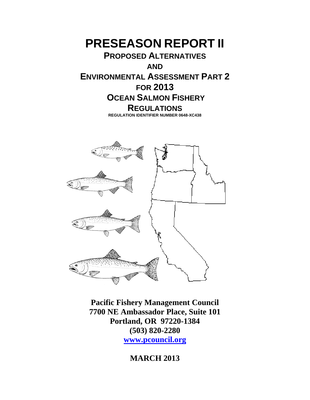**PRESEASON REPORT II PROPOSED ALTERNATIVES AND ENVIRONMENTAL ASSESSMENT PART 2 FOR 2013 OCEAN SALMON FISHERY REGULATIONS**

**REGULATION IDENTIFIER NUMBER 0648-XC438**



**Pacific Fishery Management Council 7700 NE Ambassador Place, Suite 101 Portland, OR 97220-1384 (503) 820-2280 www.pcouncil.org**

# **MARCH 2013**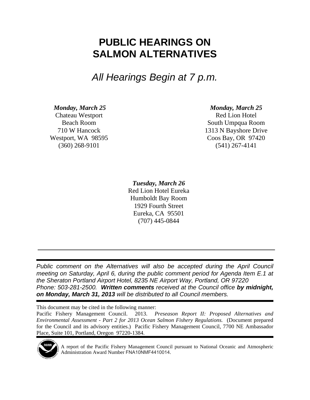# **PUBLIC HEARINGS ON SALMON ALTERNATIVES**

*All Hearings Begin at 7 p.m.* 

 *Monday, March 25* Chateau Westport Beach Room 710 W Hancock Westport, WA 98595 (360) 268-9101

*Monday, March 25*

Red Lion Hotel South Umpqua Room 1313 N Bayshore Drive Coos Bay, OR 97420 (541) 267-4141

*Tuesday, March 26* Red Lion Hotel Eureka Humboldt Bay Room 1929 Fourth Street Eureka, CA 95501 (707) 445-0844

*Public comment on the Alternatives will also be accepted during the April Council meeting on Saturday, April 6, during the public comment period for Agenda Item E.1 at the Sheraton Portland Airport Hotel, 8235 NE Airport Way, Portland, OR 97220 Phone: 503-281-2500. Written comments received at the Council office by midnight, on Monday, March 31, 2013 will be distributed to all Council members.*

This document may be cited in the following manner:

Pacific Fishery Management Council. 2013. *Preseason Report II: Proposed Alternatives and Environmental Assessment - Part 2 for 2013 Ocean Salmon Fishery Regulations.* (Document prepared for the Council and its advisory entities.) Pacific Fishery Management Council, 7700 NE Ambassador Place, Suite 101, Portland, Oregon 97220-1384.



A report of the Pacific Fishery Management Council pursuant to National Oceanic and Atmospheric Administration Award Number FNA10NMF4410014.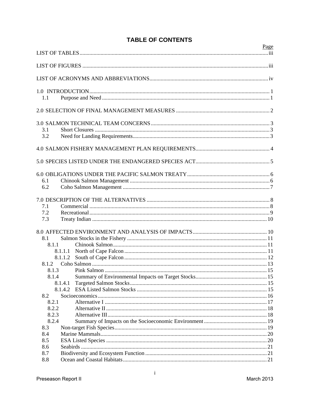|         | Page |
|---------|------|
|         |      |
|         |      |
|         |      |
|         |      |
| 1.1     |      |
|         |      |
|         |      |
| 3.1     |      |
| 3.2     |      |
|         |      |
|         |      |
|         |      |
| 6.1     |      |
| 6.2     |      |
|         |      |
| 7.1     |      |
| 7.2     |      |
| 7.3     |      |
|         |      |
| 8.1     |      |
| 8.1.1   |      |
| 8.1.1.1 |      |
|         |      |
|         |      |
|         |      |
| 8.1.4   |      |
| 8.1.4.1 |      |
| 8.1.4.2 |      |
| 8.2     |      |
| 8.2.1   |      |
| 8.2.2   |      |
| 8.2.3   |      |
| 8.2.4   |      |
| 8.3     |      |
| 8.4     |      |
| 8.5     |      |
| 8.6     |      |
| 8.7     |      |
| 8.8     |      |

# **TABLE OF CONTENTS**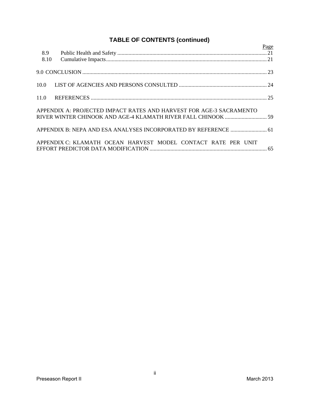# **TABLE OF CONTENTS (continued)**

| 8.9  |                                                                     | Page |
|------|---------------------------------------------------------------------|------|
| 8.10 |                                                                     |      |
|      |                                                                     |      |
|      |                                                                     |      |
| 11.0 |                                                                     |      |
|      | APPENDIX A: PROJECTED IMPACT RATES AND HARVEST FOR AGE-3 SACRAMENTO |      |
|      | APPENDIX B: NEPA AND ESA ANALYSES INCORPORATED BY REFERENCE  61     |      |
|      | APPENDIX C: KLAMATH OCEAN HARVEST MODEL CONTACT RATE PER UNIT       |      |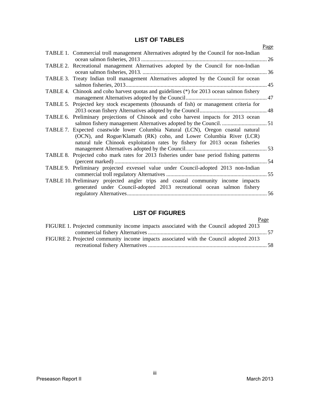### **LIST OF TABLES**

|  |                                                                                                                                                                                                                                       | Page |
|--|---------------------------------------------------------------------------------------------------------------------------------------------------------------------------------------------------------------------------------------|------|
|  | TABLE 1. Commercial troll management Alternatives adopted by the Council for non-Indian                                                                                                                                               |      |
|  | TABLE 2. Recreational management Alternatives adopted by the Council for non-Indian                                                                                                                                                   |      |
|  | TABLE 3. Treaty Indian troll management Alternatives adopted by the Council for ocean                                                                                                                                                 |      |
|  | TABLE 4. Chinook and coho harvest quotas and guidelines (*) for 2013 ocean salmon fishery                                                                                                                                             |      |
|  | TABLE 5. Projected key stock escapements (thousands of fish) or management criteria for                                                                                                                                               |      |
|  | TABLE 6. Preliminary projections of Chinook and coho harvest impacts for 2013 ocean                                                                                                                                                   |      |
|  | TABLE 7. Expected coastwide lower Columbia Natural (LCN), Oregon coastal natural<br>(OCN), and Rogue/Klamath (RK) coho, and Lower Columbia River (LCR)<br>natural tule Chinook exploitation rates by fishery for 2013 ocean fisheries |      |
|  | TABLE 8. Projected coho mark rates for 2013 fisheries under base period fishing patterns                                                                                                                                              | 54   |
|  | TABLE 9. Preliminary projected exvessel value under Council-adopted 2013 non-Indian                                                                                                                                                   |      |
|  | TABLE 10. Preliminary projected angler trips and coastal community income impacts<br>generated under Council-adopted 2013 recreational ocean salmon fishery                                                                           |      |
|  |                                                                                                                                                                                                                                       |      |

#### **LIST OF FIGURES**

|                                                                                       | Page |  |
|---------------------------------------------------------------------------------------|------|--|
| FIGURE 1. Projected community income impacts associated with the Council adopted 2013 |      |  |
|                                                                                       |      |  |
| FIGURE 2. Projected community income impacts associated with the Council adopted 2013 |      |  |
|                                                                                       |      |  |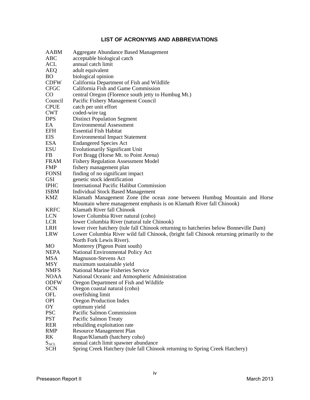#### **LIST OF ACRONYMS AND ABBREVIATIONS**

| AABM               | Aggregate Abundance Based Management                                                                                |
|--------------------|---------------------------------------------------------------------------------------------------------------------|
| <b>ABC</b>         | acceptable biological catch                                                                                         |
| ACL                | annual catch limit                                                                                                  |
| <b>AEQ</b>         | adult equivalent                                                                                                    |
| ВO                 | biological opinion                                                                                                  |
| <b>CDFW</b>        | California Department of Fish and Wildlife                                                                          |
| <b>CFGC</b>        | California Fish and Game Commission                                                                                 |
| CO                 | central Oregon (Florence south jetty to Humbug Mt.)                                                                 |
| Council            | Pacific Fishery Management Council                                                                                  |
| <b>CPUE</b>        | catch per unit effort                                                                                               |
| <b>CWT</b>         | coded-wire tag                                                                                                      |
| <b>DPS</b>         | <b>Distinct Population Segment</b>                                                                                  |
| EA                 | <b>Environmental Assessment</b>                                                                                     |
| <b>EFH</b>         | <b>Essential Fish Habitat</b>                                                                                       |
| <b>EIS</b>         | <b>Environmental Impact Statement</b>                                                                               |
| <b>ESA</b>         | <b>Endangered Species Act</b>                                                                                       |
| <b>ESU</b>         | <b>Evolutionarily Significant Unit</b>                                                                              |
| FB                 | Fort Bragg (Horse Mt. to Point Arena)                                                                               |
| <b>FRAM</b>        | <b>Fishery Regulation Assessment Model</b>                                                                          |
| <b>FMP</b>         | fishery management plan                                                                                             |
| <b>FONSI</b>       | finding of no significant impact                                                                                    |
| <b>GSI</b>         | genetic stock identification                                                                                        |
| <b>IPHC</b>        | <b>International Pacific Halibut Commission</b>                                                                     |
| <b>ISBM</b>        | <b>Individual Stock Based Management</b>                                                                            |
| KMZ                | Klamath Management Zone (the ocean zone between Humbug Mountain and Horse                                           |
|                    | Mountain where management emphasis is on Klamath River fall Chinook)                                                |
| <b>KRFC</b>        | Klamath River fall Chinook                                                                                          |
| <b>LCN</b>         | lower Columbia River natural (coho)                                                                                 |
| <b>LCR</b>         | lower Columbia River (natural tule Chinook)                                                                         |
| LRH                | lower river hatchery (tule fall Chinook returning to hatcheries below Bonneville Dam)                               |
| <b>LRW</b>         | Lower Columbia River wild fall Chinook, (bright fall Chinook returning primarily to the<br>North Fork Lewis River). |
| MO                 | Monterey (Pigeon Point south)                                                                                       |
| <b>NEPA</b>        | National Environmental Policy Act                                                                                   |
| <b>MSA</b>         | <b>Magnuson-Stevens Act</b>                                                                                         |
| MSY                | maximum sustainable yield                                                                                           |
| <b>NMFS</b>        | <b>National Marine Fisheries Service</b>                                                                            |
| <b>NOAA</b>        | National Oceanic and Atmospheric Administration                                                                     |
| <b>ODFW</b>        | Oregon Department of Fish and Wildlife                                                                              |
| <b>OCN</b>         | Oregon coastal natural (coho)                                                                                       |
| OFL                | overfishing limit                                                                                                   |
| OPI                | Oregon Production Index                                                                                             |
| OY                 | optimum yield                                                                                                       |
| <b>PSC</b>         | Pacific Salmon Commission                                                                                           |
| <b>PST</b>         | Pacific Salmon Treaty                                                                                               |
| <b>RER</b>         | rebuilding exploitation rate                                                                                        |
| <b>RMP</b>         | <b>Resource Management Plan</b>                                                                                     |
| RK                 | Rogue/Klamath (hatchery coho)                                                                                       |
| $S_{\mathrm{ACL}}$ | annual catch limit spawner abundance                                                                                |
| <b>SCH</b>         | Spring Creek Hatchery (tule fall Chinook returning to Spring Creek Hatchery)                                        |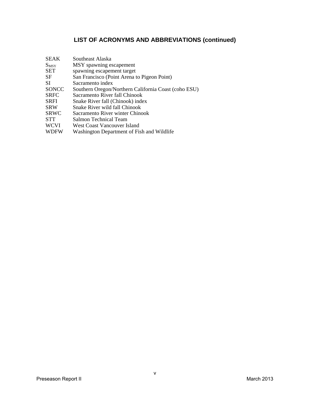# **LIST OF ACRONYMS AND ABBREVIATIONS (continued)**

| <b>SEAK</b>  | Southeast Alaska                                     |
|--------------|------------------------------------------------------|
| $S_{MSY}$    | MSY spawning escapement                              |
| <b>SET</b>   | spawning escapement target                           |
| <b>SF</b>    | San Francisco (Point Arena to Pigeon Point)          |
| SI           | Sacramento index                                     |
| <b>SONCC</b> | Southern Oregon/Northern California Coast (coho ESU) |
| <b>SRFC</b>  | Sacramento River fall Chinook                        |
| <b>SRFI</b>  | Snake River fall (Chinook) index                     |
| <b>SRW</b>   | Snake River wild fall Chinook                        |
| <b>SRWC</b>  | Sacramento River winter Chinook                      |
| <b>STT</b>   | Salmon Technical Team                                |
| <b>WCVI</b>  | West Coast Vancouver Island                          |
| <b>WDFW</b>  | Washington Department of Fish and Wildlife           |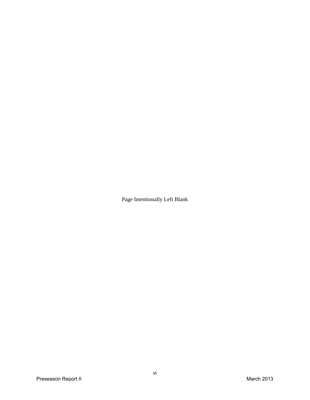Page Intentionally Left Blank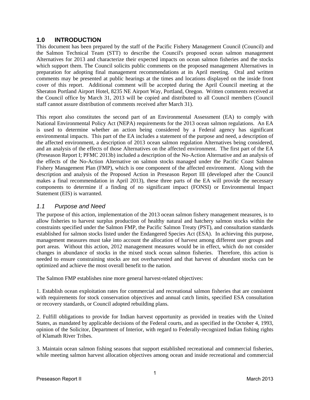#### **1.0 INTRODUCTION**

This document has been prepared by the staff of the Pacific Fishery Management Council (Council) and the Salmon Technical Team (STT) to describe the Council's proposed ocean salmon management Alternatives for 2013 and characterize their expected impacts on ocean salmon fisheries and the stocks which support them. The Council solicits public comments on the proposed management Alternatives in preparation for adopting final management recommendations at its April meeting. Oral and written comments may be presented at public hearings at the times and locations displayed on the inside front cover of this report. Additional comment will be accepted during the April Council meeting at the Sheraton Portland Airport Hotel, 8235 NE Airport Way, Portland, Oregon. Written comments received at the Council office by March 31, 2013 will be copied and distributed to all Council members (Council staff cannot assure distribution of comments received after March 31).

This report also constitutes the second part of an Environmental Assessment (EA) to comply with National Environmental Policy Act (NEPA) requirements for the 2013 ocean salmon regulations. An EA is used to determine whether an action being considered by a Federal agency has significant environmental impacts. This part of the EA includes a statement of the purpose and need, a description of the affected environment, a description of 2013 ocean salmon regulation Alternatives being considered, and an analysis of the effects of those Alternatives on the affected environment. The first part of the EA (Preseason Report I; PFMC 2013b) included a description of the No-Action Alternative and an analysis of the effects of the No-Action Alternative on salmon stocks managed under the Pacific Coast Salmon Fishery Management Plan (FMP), which is one component of the affected environment. Along with the description and analysis of the Proposed Action in Preseason Report III (developed after the Council makes a final recommendation in April 2013), these three parts of the EA will provide the necessary components to determine if a finding of no significant impact (FONSI) or Environmental Impact Statement (EIS) is warranted.

#### *1.1 Purpose and Need*

The purpose of this action, implementation of the 2013 ocean salmon fishery management measures, is to allow fisheries to harvest surplus production of healthy natural and hatchery salmon stocks within the constraints specified under the Salmon FMP, the Pacific Salmon Treaty (PST), and consultation standards established for salmon stocks listed under the Endangered Species Act (ESA). In achieving this purpose, management measures must take into account the allocation of harvest among different user groups and port areas. Without this action, 2012 management measures would be in effect, which do not consider changes in abundance of stocks in the mixed stock ocean salmon fisheries. Therefore, this action is needed to ensure constraining stocks are not overharvested and that harvest of abundant stocks can be optimized and achieve the most overall benefit to the nation.

The Salmon FMP establishes nine more general harvest-related objectives:

1. Establish ocean exploitation rates for commercial and recreational salmon fisheries that are consistent with requirements for stock conservation objectives and annual catch limits, specified ESA consultation or recovery standards, or Council adopted rebuilding plans.

2. Fulfill obligations to provide for Indian harvest opportunity as provided in treaties with the United States, as mandated by applicable decisions of the Federal courts, and as specified in the October 4, 1993, opinion of the Solicitor, Department of Interior, with regard to Federally-recognized Indian fishing rights of Klamath River Tribes.

3. Maintain ocean salmon fishing seasons that support established recreational and commercial fisheries, while meeting salmon harvest allocation objectives among ocean and inside recreational and commercial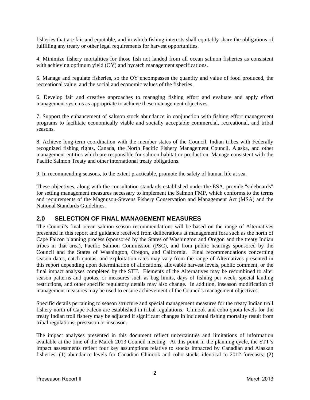fisheries that are fair and equitable, and in which fishing interests shall equitably share the obligations of fulfilling any treaty or other legal requirements for harvest opportunities.

4. Minimize fishery mortalities for those fish not landed from all ocean salmon fisheries as consistent with achieving optimum yield (OY) and bycatch management specifications.

5. Manage and regulate fisheries, so the OY encompasses the quantity and value of food produced, the recreational value, and the social and economic values of the fisheries.

6. Develop fair and creative approaches to managing fishing effort and evaluate and apply effort management systems as appropriate to achieve these management objectives.

7. Support the enhancement of salmon stock abundance in conjunction with fishing effort management programs to facilitate economically viable and socially acceptable commercial, recreational, and tribal seasons.

8. Achieve long-term coordination with the member states of the Council, Indian tribes with Federally recognized fishing rights, Canada, the North Pacific Fishery Management Council, Alaska, and other management entities which are responsible for salmon habitat or production. Manage consistent with the Pacific Salmon Treaty and other international treaty obligations.

9. In recommending seasons, to the extent practicable, promote the safety of human life at sea.

These objectives, along with the consultation standards established under the ESA, provide "sideboards" for setting management measures necessary to implement the Salmon FMP, which conforms to the terms and requirements of the Magnuson-Stevens Fishery Conservation and Management Act (MSA) and the National Standards Guidelines.

#### **2.0 SELECTION OF FINAL MANAGEMENT MEASURES**

The Council's final ocean salmon season recommendations will be based on the range of Alternatives presented in this report and guidance received from deliberations at management fora such as the north of Cape Falcon planning process (sponsored by the States of Washington and Oregon and the treaty Indian tribes in that area), Pacific Salmon Commission (PSC), and from public hearings sponsored by the Council and the States of Washington, Oregon, and California. Final recommendations concerning season dates, catch quotas, and exploitation rates may vary from the range of Alternatives presented in this report depending upon determination of allocations, allowable harvest levels, public comment, or the final impact analyses completed by the STT. Elements of the Alternatives may be recombined to alter season patterns and quotas, or measures such as bag limits, days of fishing per week, special landing restrictions, and other specific regulatory details may also change. In addition, inseason modification of management measures may be used to ensure achievement of the Council's management objectives.

Specific details pertaining to season structure and special management measures for the treaty Indian troll fishery north of Cape Falcon are established in tribal regulations. Chinook and coho quota levels for the treaty Indian troll fishery may be adjusted if significant changes in incidental fishing mortality result from tribal regulations, preseason or inseason.

The impact analyses presented in this document reflect uncertainties and limitations of information available at the time of the March 2013 Council meeting. At this point in the planning cycle, the STT's impact assessments reflect four key assumptions relative to stocks impacted by Canadian and Alaskan fisheries: (1) abundance levels for Canadian Chinook and coho stocks identical to 2012 forecasts; (2)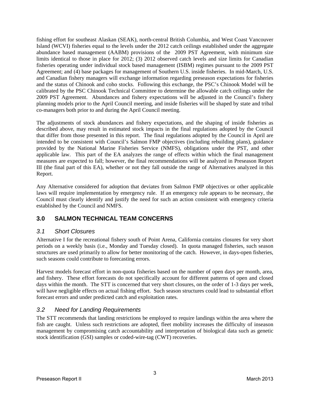fishing effort for southeast Alaskan (SEAK), north-central British Columbia, and West Coast Vancouver Island (WCVI) fisheries equal to the levels under the 2012 catch ceilings established under the aggregate abundance based management (AABM) provisions of the 2009 PST Agreement, with minimum size limits identical to those in place for 2012; (3) 2012 observed catch levels and size limits for Canadian fisheries operating under individual stock based management (ISBM) regimes pursuant to the 2009 PST Agreement; and (4) base packages for management of Southern U.S. inside fisheries. In mid-March, U.S. and Canadian fishery managers will exchange information regarding preseason expectations for fisheries and the status of Chinook and coho stocks. Following this exchange, the PSC's Chinook Model will be calibrated by the PSC Chinook Technical Committee to determine the allowable catch ceilings under the 2009 PST Agreement. Abundances and fishery expectations will be adjusted in the Council's fishery planning models prior to the April Council meeting, and inside fisheries will be shaped by state and tribal co-managers both prior to and during the April Council meeting.

The adjustments of stock abundances and fishery expectations, and the shaping of inside fisheries as described above, may result in estimated stock impacts in the final regulations adopted by the Council that differ from those presented in this report. The final regulations adopted by the Council in April are intended to be consistent with Council's Salmon FMP objectives (including rebuilding plans), guidance provided by the National Marine Fisheries Service (NMFS), obligations under the PST, and other applicable law. This part of the EA analyzes the range of effects within which the final management measures are expected to fall; however, the final recommendations will be analyzed in Preseason Report III (the final part of this EA), whether or not they fall outside the range of Alternatives analyzed in this Report.

Any Alternative considered for adoption that deviates from Salmon FMP objectives or other applicable laws will require implementation by emergency rule. If an emergency rule appears to be necessary, the Council must clearly identify and justify the need for such an action consistent with emergency criteria established by the Council and NMFS.

### **3.0 SALMON TECHNICAL TEAM CONCERNS**

#### *3.1 Short Closures*

Alternative I for the recreational fishery south of Point Arena, California contains closures for very short periods on a weekly basis (i.e., Monday and Tuesday closed). In quota managed fisheries, such season structures are used primarily to allow for better monitoring of the catch. However, in days-open fisheries, such seasons could contribute to forecasting errors.

Harvest models forecast effort in non-quota fisheries based on the number of open days per month, area, and fishery. These effort forecasts do not specifically account for different patterns of open and closed days within the month. The STT is concerned that very short closures, on the order of 1-3 days per week, will have negligible effects on actual fishing effort. Such season structures could lead to substantial effort forecast errors and under predicted catch and exploitation rates.

#### *3.2 Need for Landing Requirements*

The STT recommends that landing restrictions be employed to require landings within the area where the fish are caught. Unless such restrictions are adopted, fleet mobility increases the difficulty of inseason management by compromising catch accountability and interpretation of biological data such as genetic stock identification (GSI) samples or coded-wire-tag (CWT) recoveries.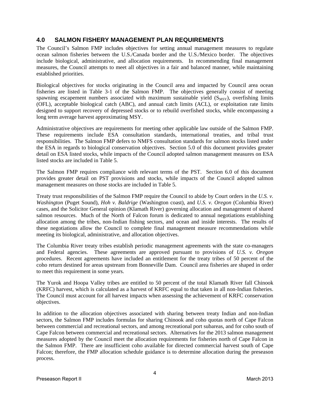#### **4.0 SALMON FISHERY MANAGEMENT PLAN REQUIREMENTS**

The Council's Salmon FMP includes objectives for setting annual management measures to regulate ocean salmon fisheries between the U.S./Canada border and the U.S./Mexico border. The objectives include biological, administrative, and allocation requirements. In recommending final management measures, the Council attempts to meet all objectives in a fair and balanced manner, while maintaining established priorities.

Biological objectives for stocks originating in the Council area and impacted by Council area ocean fisheries are listed in Table 3-1 of the Salmon FMP. The objectives generally consist of meeting spawning escapement numbers associated with maximum sustainable yield  $(S_{MSY})$ , overfishing limits (OFL), acceptable biological catch (ABC), and annual catch limits (ACL), or exploitation rate limits designed to support recovery of depressed stocks or to rebuild overfished stocks, while encompassing a long term average harvest approximating MSY.

Administrative objectives are requirements for meeting other applicable law outside of the Salmon FMP. These requirements include ESA consultation standards, international treaties, and tribal trust responsibilities. The Salmon FMP defers to NMFS consultation standards for salmon stocks listed under the ESA in regards to biological conservation objectives. Section 5.0 of this document provides greater detail on ESA listed stocks, while impacts of the Council adopted salmon management measures on ESA listed stocks are included in Table 5.

The Salmon FMP requires compliance with relevant terms of the PST. Section 6.0 of this document provides greater detail on PST provisions and stocks, while impacts of the Council adopted salmon management measures on those stocks are included in Table 5.

Treaty trust responsibilities of the Salmon FMP require the Council to abide by Court orders in the *U.S. v. Washington* (Puget Sound), *Hoh v. Baldrige* (Washington coast), and *U.S. v. Oregon* (Columbia River) cases, and the Solicitor General opinion (Klamath River) governing allocation and management of shared salmon resources. Much of the North of Falcon forum is dedicated to annual negotiations establishing allocation among the tribes, non-Indian fishing sectors, and ocean and inside interests. The results of these negotiations allow the Council to complete final management measure recommendations while meeting its biological, administrative, and allocation objectives.

The Columbia River treaty tribes establish periodic management agreements with the state co-managers and Federal agencies. These agreements are approved pursuant to provisions of *U.S. v. Oregon* procedures. Recent agreements have included an entitlement for the treaty tribes of 50 percent of the coho return destined for areas upstream from Bonneville Dam. Council area fisheries are shaped in order to meet this requirement in some years.

The Yurok and Hoopa Valley tribes are entitled to 50 percent of the total Klamath River fall Chinook (KRFC) harvest, which is calculated as a harvest of KRFC equal to that taken in all non-Indian fisheries. The Council must account for all harvest impacts when assessing the achievement of KRFC conservation objectives.

In addition to the allocation objectives associated with sharing between treaty Indian and non-Indian sectors, the Salmon FMP includes formulas for sharing Chinook and coho quotas north of Cape Falcon between commercial and recreational sectors, and among recreational port subareas, and for coho south of Cape Falcon between commercial and recreational sectors. Alternatives for the 2013 salmon management measures adopted by the Council meet the allocation requirements for fisheries north of Cape Falcon in the Salmon FMP. There are insufficient coho available for directed commercial harvest south of Cape Falcon; therefore, the FMP allocation schedule guidance is to determine allocation during the preseason process.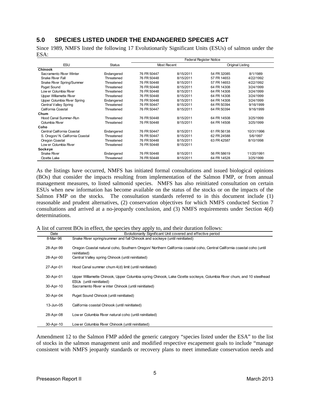### **5.0 SPECIES LISTED UNDER THE ENDANGERED SPECIES ACT**

Since 1989, NMFS listed the following 17 Evolutionarily Significant Units (ESUs) of salmon under the ESA:

|                                  |               | <b>Federal Register Notice</b> |           |                  |            |
|----------------------------------|---------------|--------------------------------|-----------|------------------|------------|
| <b>ESU</b>                       | <b>Status</b> | <b>Most Recent</b>             |           | Original Listing |            |
| <b>Chinook</b>                   |               |                                |           |                  |            |
| Sacramento River Winter          | Endangered    | 76 FR 50447                    | 8/15/2011 | 54 FR 32085      | 8/1/1989   |
| Snake River Fall                 | Threatened    | 76 FR 50448                    | 8/15/2011 | 57 FR 14653      | 4/22/1992  |
| Snake River Spring/Summer        | Threatened    | 76 FR 50448                    | 8/15/2011 | 57 FR 14653      | 4/22/1992  |
| <b>Puget Sound</b>               | Threatened    | 76 FR 50448                    | 8/15/2011 | 64 FR 14308      | 3/24/1999  |
| Low er Columbia River            | Threatened    | 76 FR 50448                    | 8/15/2011 | 64 FR 14308      | 3/24/1999  |
| Upper Willamette River           | Threatened    | 76 FR 50448                    | 8/15/2011 | 64 FR 14308      | 3/24/1999  |
| Upper Columbia River Spring      | Endangered    | 76 FR 50448                    | 8/15/2011 | 64 FR 14308      | 3/24/1999  |
| Central Valley Spring            | Threatened    | 76 FR 50447                    | 8/15/2011 | 64 FR 50394      | 9/16/1999  |
| California Coastal               | Threatened    | 76 FR 50447                    | 8/15/2011 | 64 FR 50394      | 9/16/1999  |
| Chum                             |               |                                |           |                  |            |
| Hood Canal Summer-Run            | Threatened    | 76 FR 50448                    | 8/15/2011 | 64 FR 14508      | 3/25/1999  |
| Columbia River                   | Threatened    | 76 FR 50448                    | 8/15/2011 | 64 FR 14508      | 3/25/1999  |
| Coho                             |               |                                |           |                  |            |
| Central California Coastal       | Endangered    | 76 FR 50447                    | 8/15/2011 | 61 FR 56138      | 10/31/1996 |
| S. Oregon/ N. California Coastal | Threatened    | 76 FR 50447                    | 8/15/2011 | 62 FR 24588      | 5/6/1997   |
| Oregon Coastal                   | Threatened    | 76 FR 50448                    | 8/15/2011 | 63 FR 42587      | 8/10/1998  |
| Low er Columbia River            | Threatened    | 76 FR 50448                    | 8/15/2011 |                  |            |
| Sockeye                          |               |                                |           |                  |            |
| Snake River                      | Endangered    | 76 FR 50448                    | 8/15/2011 | 56 FR 58619      | 11/20/1991 |
| Ozette Lake                      | Threatened    | 76 FR 50448                    | 8/15/2011 | 64 FR 14528      | 3/25/1999  |

As the listings have occurred, NMFS has initiated formal consultations and issued biological opinions (BOs) that consider the impacts resulting from implementation of the Salmon FMP, or from annual management measures, to listed salmonid species. NMFS has also reinitiated consultation on certain ESUs when new information has become available on the status of the stocks or on the impacts of the Salmon FMP on the stocks. The consultation standards referred to in this document include (1) reasonable and prudent alternatives, (2) conservation objectives for which NMFS conducted Section 7 consultations and arrived at a no-jeopardy conclusion, and (3) NMFS requirements under Section 4(d) determinations.

A list of current BOs in effect, the species they apply to, and their duration follows:

| Date      | Evolutionarily Significant Unit covered and effective period                                                                                    |
|-----------|-------------------------------------------------------------------------------------------------------------------------------------------------|
| 8-Mar-96  | Snake River spring/summer and fall Chinook and sockeye (until reinitiated)                                                                      |
| 28-Apr-99 | Oregon Coastal natural coho, Southern Oregon/Northern California coastal coho, Central California coastal coho (until<br>reinitiated)           |
| 28-Apr-00 | Central Valley spring Chinook (until reinitiated)                                                                                               |
| 27-Apr-01 | Hood Canal summer chum 4(d) limit (until reinitiated)                                                                                           |
| 30-Apr-01 | Upper Willamette Chinook, Upper Columbia spring Chinook, Lake Ozette sockeye, Columbia River chum, and 10 steelhead<br>ESUs (until reinitiated) |
| 30-Apr-10 | Sacramento River w inter Chinook (until reinitiated)                                                                                            |
| 30-Apr-04 | Puget Sound Chinook (until reinitiated)                                                                                                         |
| 13-Jun-05 | California coastal Chinook (until reinitiated)                                                                                                  |
| 28-Apr-08 | Low er Columbia River natural coho (until reinitiated)                                                                                          |
| 30-Apr-10 | Low er Columbia River Chinook (until reinitiated)                                                                                               |

Amendment 12 to the Salmon FMP added the generic category "species listed under the ESA" to the list of stocks in the salmon management unit and modified respective escapement goals to include "manage consistent with NMFS jeopardy standards or recovery plans to meet immediate conservation needs and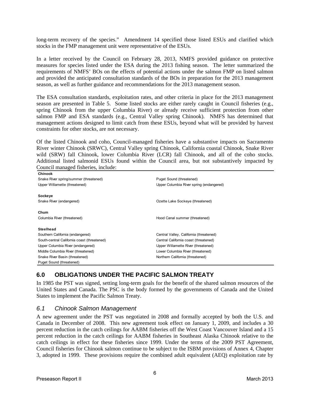long-term recovery of the species." Amendment 14 specified those listed ESUs and clarified which stocks in the FMP management unit were representative of the ESUs.

In a letter received by the Council on February 28, 2013, NMFS provided guidance on protective measures for species listed under the ESA during the 2013 fishing season. The letter summarized the requirements of NMFS' BOs on the effects of potential actions under the salmon FMP on listed salmon and provided the anticipated consultation standards of the BOs in preparation for the 2013 management season, as well as further guidance and recommendations for the 2013 management season.

The ESA consultation standards, exploitation rates, and other criteria in place for the 2013 management season are presented in Table 5. Some listed stocks are either rarely caught in Council fisheries (e.g., spring Chinook from the upper Columbia River) or already receive sufficient protection from other salmon FMP and ESA standards (e.g., Central Valley spring Chinook). NMFS has determined that management actions designed to limit catch from these ESUs, beyond what will be provided by harvest constraints for other stocks, are not necessary.

Of the listed Chinook and coho, Council-managed fisheries have a substantive impacts on Sacramento River winter Chinook (SRWC), Central Valley spring Chinook, California coastal Chinook, Snake River wild (SRW) fall Chinook, lower Columbia River (LCR) fall Chinook, and all of the coho stocks. Additional listed salmonid ESUs found within the Council area, but not substantively impacted by Council managed fisheries, include:

| <b>Chinook</b>                              |                                          |  |  |
|---------------------------------------------|------------------------------------------|--|--|
| Snake River spring/summer (threatened)      | Puget Sound (threatened)                 |  |  |
| Upper Willamette (threatened)               | Upper Columbia River spring (endangered) |  |  |
|                                             |                                          |  |  |
| Sockeye                                     |                                          |  |  |
| Snake River (endangered)                    | Ozette Lake Sockeye (threatened)         |  |  |
|                                             |                                          |  |  |
| Chum                                        |                                          |  |  |
| Columbia River (threatened)                 | Hood Canal summer (threatened)           |  |  |
|                                             |                                          |  |  |
| Steelhead                                   |                                          |  |  |
| Southern California (endangered)            | Central Valley, California (threatened)  |  |  |
| South-central California coast (threatened) | Central California coast (threatened)    |  |  |
| Upper Columbia River (endangered)           | Upper Willamette River (threatened)      |  |  |
| Middle Columbia River (threatened)          | Lower Columbia River (threatened)        |  |  |
| Snake River Basin (threatened)              | Northern California (threatened)         |  |  |
| Puget Sound (threatened)                    |                                          |  |  |

# **6.0 OBLIGATIONS UNDER THE PACIFIC SALMON TREATY**

In 1985 the PST was signed, setting long-term goals for the benefit of the shared salmon resources of the United States and Canada. The PSC is the body formed by the governments of Canada and the United States to implement the Pacific Salmon Treaty.

#### *6.1 Chinook Salmon Management*

A new agreement under the PST was negotiated in 2008 and formally accepted by both the U.S. and Canada in December of 2008. This new agreement took effect on January 1, 2009, and includes a 30 percent reduction in the catch ceilings for AABM fisheries off the West Coast Vancouver Island and a 15 percent reduction in the catch ceilings for AABM fisheries in Southeast Alaska Chinook relative to the catch ceilings in effect for these fisheries since 1999. Under the terms of the 2009 PST Agreement, Council fisheries for Chinook salmon continue to be subject to the ISBM provisions of Annex 4, Chapter 3, adopted in 1999. These provisions require the combined adult equivalent (AEQ) exploitation rate by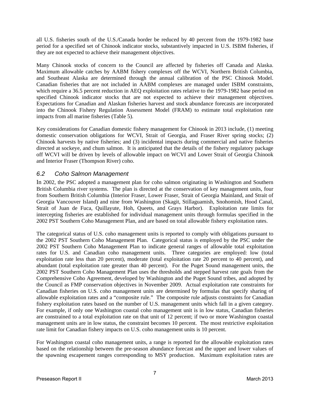all U.S. fisheries south of the U.S./Canada border be reduced by 40 percent from the 1979-1982 base period for a specified set of Chinook indicator stocks, substantively impacted in U.S. ISBM fisheries, if they are not expected to achieve their management objectives.

Many Chinook stocks of concern to the Council are affected by fisheries off Canada and Alaska. Maximum allowable catches by AABM fishery complexes off the WCVI, Northern British Columbia, and Southeast Alaska are determined through the annual calibration of the PSC Chinook Model. Canadian fisheries that are not included in AABM complexes are managed under ISBM constraints, which require a 36.5 percent reduction in AEQ exploitation rates relative to the 1979-1982 base period on specified Chinook indicator stocks that are not expected to achieve their management objectives. Expectations for Canadian and Alaskan fisheries harvest and stock abundance forecasts are incorporated into the Chinook Fishery Regulation Assessment Model (FRAM) to estimate total exploitation rate impacts from all marine fisheries (Table 5).

Key considerations for Canadian domestic fishery management for Chinook in 2013 include, (1) meeting domestic conservation obligations for WCVI, Strait of Georgia, and Fraser River spring stocks; (2) Chinook harvests by native fisheries; and (3) incidental impacts during commercial and native fisheries directed at sockeye, and chum salmon. It is anticipated that the details of the fishery regulatory package off WCVI will be driven by levels of allowable impact on WCVI and Lower Strait of Georgia Chinook and Interior Fraser (Thompson River) coho.

#### *6.2 Coho Salmon Management*

In 2002, the PSC adopted a management plan for coho salmon originating in Washington and Southern British Columbia river systems. The plan is directed at the conservation of key management units, four from Southern British Columbia (Interior Fraser, Lower Fraser, Strait of Georgia Mainland, and Strait of Georgia Vancouver Island) and nine from Washington (Skagit, Stillaguamish, Snohomish, Hood Canal, Strait of Juan de Fuca, Quillayute, Hoh, Queets, and Grays Harbor). Exploitation rate limits for intercepting fisheries are established for individual management units through formulas specified in the 2002 PST Southern Coho Management Plan, and are based on total allowable fishery exploitation rates.

The categorical status of U.S. coho management units is reported to comply with obligations pursuant to the 2002 PST Southern Coho Management Plan. Categorical status is employed by the PSC under the 2002 PST Southern Coho Management Plan to indicate general ranges of allowable total exploitation rates for U.S. and Canadian coho management units. Three categories are employed: low (total exploitation rate less than 20 percent), moderate (total exploitation rate 20 percent to 40 percent), and abundant (total exploitation rate greater than 40 percent). For the Puget Sound management units, the 2002 PST Southern Coho Management Plan uses the thresholds and stepped harvest rate goals from the Comprehensive Coho Agreement, developed by Washington and the Puget Sound tribes, and adopted by the Council as FMP conservation objectives in November 2009. Actual exploitation rate constraints for Canadian fisheries on U.S. coho management units are determined by formulas that specify sharing of allowable exploitation rates and a "composite rule." The composite rule adjusts constraints for Canadian fishery exploitation rates based on the number of U.S. management units which fall in a given category. For example, if only one Washington coastal coho management unit is in low status, Canadian fisheries are constrained to a total exploitation rate on that unit of 12 percent; if two or more Washington coastal management units are in low status, the constraint becomes 10 percent. The most restrictive exploitation rate limit for Canadian fishery impacts on U.S. coho management units is 10 percent.

For Washington coastal coho management units, a range is reported for the allowable exploitation rates based on the relationship between the pre-season abundance forecast and the upper and lower values of the spawning escapement ranges corresponding to MSY production. Maximum exploitation rates are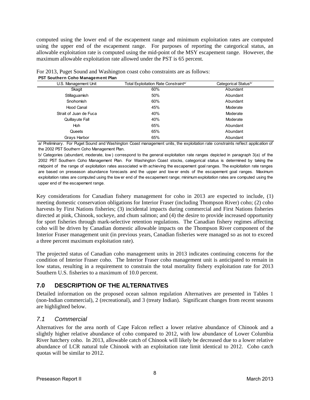computed using the lower end of the escapement range and minimum exploitation rates are computed using the upper end of the escapement range. For purposes of reporting the categorical status, an allowable exploitation rate is computed using the mid-point of the MSY escapement range. However, the maximum allowable exploitation rate allowed under the PST is 65 percent.

| U.S. Management Unit   | Total Exploitation Rate Constraint <sup>a/</sup> | Categorical Status <sup>b/</sup> |  |
|------------------------|--------------------------------------------------|----------------------------------|--|
| Skagit                 | 60%                                              | Abundant                         |  |
| Stillaguamish          | 50%                                              | Abundant                         |  |
| Snohomish              | 60%                                              | Abundant                         |  |
| Hood Canal             | 45%                                              | Moderate                         |  |
| Strait of Juan de Fuca | 40%                                              | Moderate                         |  |
| Quillayute Fall        | 40%                                              | Moderate                         |  |
| <b>Hoh</b>             | 65%                                              | Abundant                         |  |
| Queets                 | 65%                                              | Abundant                         |  |
| Grays Harbor           | 65%                                              | Abundant                         |  |
|                        |                                                  |                                  |  |

| For 2013, Puget Sound and Washington coast coho constraints are as follows: |  |  |
|-----------------------------------------------------------------------------|--|--|
| <b>PST Southern Coho Management Plan</b>                                    |  |  |

a/ Preliminary. For Puget Sound and Washington Coast management units, the exploitation rate constraints reflect application of the 2002 PST Southern Coho Management Plan.

b/ Categories (abundant, moderate, low ) correspond to the general exploitation rate ranges depicted in paragraph 3(a) of the 2002 PST Southern Coho Management Plan. For Washington Coast stocks, categorical status is determined by taking the midpoint of the range of exploitation rates associated w ith achieving the escapement goal ranges. The exploitation rate ranges are based on preseason abundance forecasts and the upper and low er ends of the escapement goal ranges. Maximum exploitation rates are computed using the low er end of the escapement range; minimum exploitation rates are computed using the upper end of the escapement range.

Key considerations for Canadian fishery management for coho in 2013 are expected to include, (1) meeting domestic conservation obligations for Interior Fraser (including Thompson River) coho; (2) coho harvests by First Nations fisheries; (3) incidental impacts during commercial and First Nations fisheries directed at pink, Chinook, sockeye, and chum salmon; and (4) the desire to provide increased opportunity for sport fisheries through mark-selective retention regulations. The Canadian fishery regimes affecting coho will be driven by Canadian domestic allowable impacts on the Thompson River component of the Interior Fraser management unit (in previous years, Canadian fisheries were managed so as not to exceed a three percent maximum exploitation rate).

The projected status of Canadian coho management units in 2013 indicates continuing concerns for the condition of Interior Fraser coho. The Interior Fraser coho management unit is anticipated to remain in low status, resulting in a requirement to constrain the total mortality fishery exploitation rate for 2013 Southern U.S. fisheries to a maximum of 10.0 percent.

### **7.0 DESCRIPTION OF THE ALTERNATIVES**

Detailed information on the proposed ocean salmon regulation Alternatives are presented in Tables 1 (non-Indian commercial), 2 (recreational), and 3 (treaty Indian). Significant changes from recent seasons are highlighted below.

#### *7.1 Commercial*

Alternatives for the area north of Cape Falcon reflect a lower relative abundance of Chinook and a slightly higher relative abundance of coho compared to 2012, with low abundance of Lower Columbia River hatchery coho. In 2013, allowable catch of Chinook will likely be decreased due to a lower relative abundance of LCR natural tule Chinook with an exploitation rate limit identical to 2012. Coho catch quotas will be similar to 2012.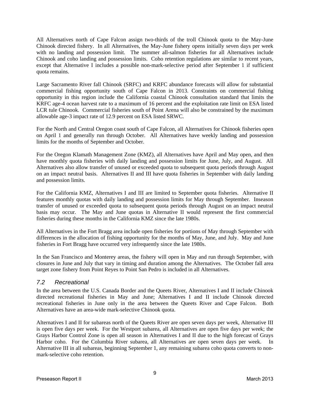All Alternatives north of Cape Falcon assign two-thirds of the troll Chinook quota to the May-June Chinook directed fishery. In all Alternatives, the May-June fishery opens initially seven days per week with no landing and possession limit. The summer all-salmon fisheries for all Alternatives include Chinook and coho landing and possession limits. Coho retention regulations are similar to recent years, except that Alternative I includes a possible non-mark-selective period after September 1 if sufficient quota remains.

Large Sacramento River fall Chinook (SRFC) and KRFC abundance forecasts will allow for substantial commercial fishing opportunity south of Cape Falcon in 2013. Constraints on commercial fishing opportunity in this region include the California coastal Chinook consultation standard that limits the KRFC age-4 ocean harvest rate to a maximum of 16 percent and the exploitation rate limit on ESA listed LCR tule Chinook. Commercial fisheries south of Point Arena will also be constrained by the maximum allowable age-3 impact rate of 12.9 percent on ESA listed SRWC.

For the North and Central Oregon coast south of Cape Falcon, all Alternatives for Chinook fisheries open on April 1 and generally run through October. All Alternatives have weekly landing and possession limits for the months of September and October.

For the Oregon Klamath Management Zone (KMZ), all Alternatives have April and May open, and then have monthly quota fisheries with daily landing and possession limits for June, July, and August. All Alternatives also allow transfer of unused or exceeded quota to subsequent quota periods through August on an impact neutral basis. Alternatives II and III have quota fisheries in September with daily landing and possession limits.

For the California KMZ, Alternatives I and III are limited to September quota fisheries. Alternative II features monthly quotas with daily landing and possession limits for May through September. Inseason transfer of unused or exceeded quota to subsequent quota periods through August on an impact neutral basis may occur. The May and June quotas in Alternative II would represent the first commercial fisheries during these months in the California KMZ since the late 1980s.

All Alternatives in the Fort Bragg area include open fisheries for portions of May through September with differences in the allocation of fishing opportunity for the months of May, June, and July. May and June fisheries in Fort Bragg have occurred very infrequently since the late 1980s.

In the San Francisco and Monterey areas, the fishery will open in May and run through September, with closures in June and July that vary in timing and duration among the Alternatives. The October fall area target zone fishery from Point Reyes to Point San Pedro is included in all Alternatives.

#### *7.2 Recreational*

In the area between the U.S. Canada Border and the Queets River, Alternatives I and II include Chinook directed recreational fisheries in May and June; Alternatives I and II include Chinook directed recreational fisheries in June only in the area between the Queets River and Cape Falcon. Both Alternatives have an area-wide mark-selective Chinook quota.

Alternatives I and II for subareas north of the Queets River are open seven days per week, Alternative III is open five days per week. For the Westport subarea, all Alternatives are open five days per week; the Grays Harbor Control Zone is open all season in Alternatives I and II due to the high forecast of Grays Harbor coho. For the Columbia River subarea, all Alternatives are open seven days per week. In Alternative III in all subareas, beginning September 1, any remaining subarea coho quota converts to nonmark-selective coho retention.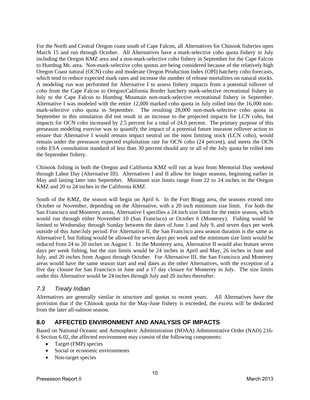For the North and Central Oregon coast south of Cape Falcon, all Alternatives for Chinook fisheries open March 15 and run through October. All Alternatives have a mark-selective coho quota fishery in July including the Oregon KMZ area and a non-mark-selective coho fishery in September for the Cape Falcon to Humbug Mt. area. Non-mark-selective coho quotas are being considered because of the relatively high Oregon Coast natural (OCN) coho and moderate Oregon Production Index (OPI) hatchery coho forecasts, which tend to reduce expected mark rates and increase the number of release mortalities on natural stocks. A modeling run was performed for Alternative I to assess fishery impacts from a potential rollover of coho from the Cape Falcon to Oregon/California Border hatchery mark-selective recreational fishery in July to the Cape Falcon to Humbug Mountain non-mark-selective recreational fishery in September. Alternative I was modeled with the entire 12,000 marked coho quota in July rolled into the 16,000 nonmark-selective coho quota in September. The resulting 28,000 non-mark-selective coho quota in September in this simulation did not result in an increase to the projected impacts for LCN coho, but impacts for OCN coho increased by 2.5 percent for a total of 24.0 percent. The primary purpose of this preseason modeling exercise was to quantify the impact of a potential future inseason rollover action to ensure that Alternative I would remain impact neutral on the most limiting stock (LCN coho), would remain under the preseason expected exploitation rate for OCN coho (24 percent), and meets the OCN coho ESA consultation standard of less than 30 percent should any or all of the July quota be rolled into the September fishery.

Chinook fishing in both the Oregon and California KMZ will run at least from Memorial Day weekend through Labor Day (Alternative III). Alternatives I and II allow for longer seasons, beginning earlier in May and lasting later into September. Minimum size limits range from 22 to 24 inches in the Oregon KMZ and 20 to 24 inches in the California KMZ.

South of the KMZ, the season will begin on April 6. In the Fort Bragg area, the seasons extend into October or November, depending on the Alternative, with a 20 inch minimum size limit. For both the San Francisco and Monterey areas, Alternative I specifies a 24 inch size limit for the entire season, which would run through either November 10 (San Francisco) or October 6 (Monterey). Fishing would be limited to Wednesday through Sunday between the dates of June 1 and July 9, and seven days per week outside of this June/July period. For Alternative II, the San Francisco area season duration is the same as Alternative I, but fishing would be allowed for seven days per week and the minimum size limit would be reduced from 24 to 20 inches on August 1. In the Monterey area, Alternative II would also feature seven days per week fishing, but the size limits would be 24 inches in April and May, 26 inches in June and July, and 20 inches from August through October. For Alternative III, the San Francisco and Monterey areas would have the same season start and end dates as the other Alternatives, with the exception of a five day closure for San Francisco in June and a 17 day closure for Monterey in July. The size limits under this Alternative would be 24 inches through July and 20 inches thereafter.

#### *7.3 Treaty Indian*

Alternatives are generally similar in structure and quotas to recent years. All Alternatives have the provision that if the Chinook quota for the May-June fishery is exceeded, the excess will be deducted from the later all-salmon season.

### **8.0 AFFECTED ENVIRONMENT AND ANALYSIS OF IMPACTS**

Based on National Oceanic and Atmospheric Administration (NOAA) Administrative Order (NAO) 216- 6 Section 6.02, the affected environment may consist of the following components:

- Target (FMP) species
- Social or economic environments
- Non-target species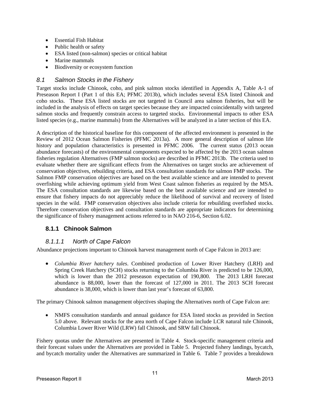- Essential Fish Habitat
- Public health or safety
- ESA listed (non-salmon) species or critical habitat
- Marine mammals
- Biodiversity or ecosystem function

#### *8.1 Salmon Stocks in the Fishery*

Target stocks include Chinook, coho, and pink salmon stocks identified in Appendix A, Table A-1 of Preseason Report I (Part 1 of this EA; PFMC 2013b), which includes several ESA listed Chinook and coho stocks. These ESA listed stocks are not targeted in Council area salmon fisheries, but will be included in the analysis of effects on target species because they are impacted coincidentally with targeted salmon stocks and frequently constrain access to targeted stocks. Environmental impacts to other ESA listed species (e.g., marine mammals) from the Alternatives will be analyzed in a later section of this EA.

A description of the historical baseline for this component of the affected environment is presented in the Review of 2012 Ocean Salmon Fisheries (PFMC 2013a). A more general description of salmon life history and population characteristics is presented in PFMC 2006. The current status (2013 ocean abundance forecasts) of the environmental components expected to be affected by the 2013 ocean salmon fisheries regulation Alternatives (FMP salmon stocks) are described in PFMC 2013b. The criteria used to evaluate whether there are significant effects from the Alternatives on target stocks are achievement of conservation objectives, rebuilding criteria, and ESA consultation standards for salmon FMP stocks. The Salmon FMP conservation objectives are based on the best available science and are intended to prevent overfishing while achieving optimum yield from West Coast salmon fisheries as required by the MSA. The ESA consultation standards are likewise based on the best available science and are intended to ensure that fishery impacts do not appreciably reduce the likelihood of survival and recovery of listed species in the wild. FMP conservation objectives also include criteria for rebuilding overfished stocks. Therefore conservation objectives and consultation standards are appropriate indicators for determining the significance of fishery management actions referred to in NAO 216-6, Section 6.02.

#### **8.1.1 Chinook Salmon**

#### *8.1.1.1 North of Cape Falcon*

Abundance projections important to Chinook harvest management north of Cape Falcon in 2013 are:

 *Columbia River hatchery tules*. Combined production of Lower River Hatchery (LRH) and Spring Creek Hatchery (SCH) stocks returning to the Columbia River is predicted to be 126,000, which is lower than the 2012 preseason expectation of 190,800. The 2013 LRH forecast abundance is 88,000, lower than the forecast of 127,000 in 2011. The 2013 SCH forecast abundance is 38,000, which is lower than last year's forecast of 63,800.

The primary Chinook salmon management objectives shaping the Alternatives north of Cape Falcon are:

 NMFS consultation standards and annual guidance for ESA listed stocks as provided in Section 5.0 above. Relevant stocks for the area north of Cape Falcon include LCR natural tule Chinook, Columbia Lower River Wild (LRW) fall Chinook, and SRW fall Chinook.

Fishery quotas under the Alternatives are presented in Table 4. Stock-specific management criteria and their forecast values under the Alternatives are provided in Table 5. Projected fishery landings, bycatch, and bycatch mortality under the Alternatives are summarized in Table 6. Table 7 provides a breakdown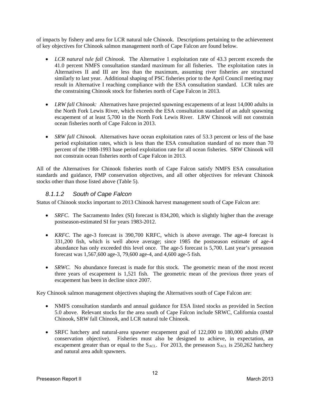of impacts by fishery and area for LCR natural tule Chinook. Descriptions pertaining to the achievement of key objectives for Chinook salmon management north of Cape Falcon are found below.

- *LCR natural tule fall Chinook*. The Alternative 1 exploitation rate of 43.3 percent exceeds the 41.0 percent NMFS consultation standard maximum for all fisheries. The exploitation rates in Alternatives II and III are less than the maximum, assuming river fisheries are structured similarly to last year. Additional shaping of PSC fisheries prior to the April Council meeting may result in Alternative I reaching compliance with the ESA consultation standard. LCR tules are the constraining Chinook stock for fisheries north of Cape Falcon in 2013.
- *LRW fall Chinook:* Alternatives have projected spawning escapements of at least 14,000 adults in the North Fork Lewis River, which exceeds the ESA consultation standard of an adult spawning escapement of at least 5,700 in the North Fork Lewis River. LRW Chinook will not constrain ocean fisheries north of Cape Falcon in 2013.
- *SRW fall Chinook*. Alternatives have ocean exploitation rates of 53.3 percent or less of the base period exploitation rates, which is less than the ESA consultation standard of no more than 70 percent of the 1988-1993 base period exploitation rate for all ocean fisheries. SRW Chinook will not constrain ocean fisheries north of Cape Falcon in 2013.

All of the Alternatives for Chinook fisheries north of Cape Falcon satisfy NMFS ESA consultation standards and guidance, FMP conservation objectives, and all other objectives for relevant Chinook stocks other than those listed above (Table 5).

#### *8.1.1.2 South of Cape Falcon*

Status of Chinook stocks important to 2013 Chinook harvest management south of Cape Falcon are:

- *SRFC*. The Sacramento Index (SI) forecast is 834,200, which is slightly higher than the average postseason-estimated SI for years 1983-2012.
- *KRFC*. The age-3 forecast is 390,700 KRFC, which is above average. The age-4 forecast is 331,200 fish, which is well above average; since 1985 the postseason estimate of age-4 abundance has only exceeded this level once. The age-5 forecast is 5,700. Last year's preseason forecast was 1,567,600 age-3, 79,600 age-4, and 4,600 age-5 fish.
- *SRWC*. No abundance forecast is made for this stock. The geometric mean of the most recent three years of escapement is 1,521 fish. The geometric mean of the previous three years of escapement has been in decline since 2007.

Key Chinook salmon management objectives shaping the Alternatives south of Cape Falcon are:

- NMFS consultation standards and annual guidance for ESA listed stocks as provided in Section 5.0 above. Relevant stocks for the area south of Cape Falcon include SRWC, California coastal Chinook, SRW fall Chinook, and LCR natural tule Chinook.
- SRFC hatchery and natural-area spawner escapement goal of 122,000 to 180,000 adults (FMP conservation objective). Fisheries must also be designed to achieve, in expectation, an escapement greater than or equal to the  $S_{\text{ACL}}$ . For 2013, the preseason  $S_{\text{ACL}}$  is 250,262 hatchery and natural area adult spawners.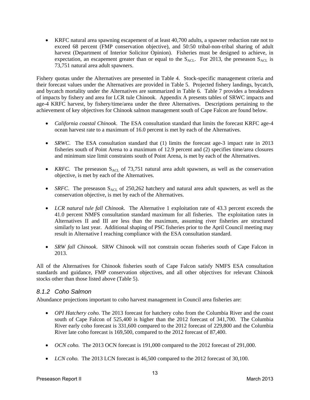KRFC natural area spawning escapement of at least 40,700 adults, a spawner reduction rate not to exceed 68 percent (FMP conservation objective), and 50:50 tribal-non-tribal sharing of adult harvest (Department of Interior Solicitor Opinion). Fisheries must be designed to achieve, in expectation, an escapement greater than or equal to the  $S_{ACL}$ . For 2013, the preseason  $S_{ACL}$  is 73,751 natural area adult spawners.

Fishery quotas under the Alternatives are presented in Table 4. Stock-specific management criteria and their forecast values under the Alternatives are provided in Table 5. Projected fishery landings, bycatch, and bycatch mortality under the Alternatives are summarized in Table 6. Table 7 provides a breakdown of impacts by fishery and area for LCR tule Chinook. Appendix A presents tables of SRWC impacts and age-4 KRFC harvest, by fishery/time/area under the three Alternatives. Descriptions pertaining to the achievement of key objectives for Chinook salmon management south of Cape Falcon are found below.

- *California coastal Chinook*. The ESA consultation standard that limits the forecast KRFC age-4 ocean harvest rate to a maximum of 16.0 percent is met by each of the Alternatives.
- *SRWC*. The ESA consultation standard that (1) limits the forecast age-3 impact rate in 2013 fisheries south of Point Arena to a maximum of 12.9 percent and (2) specifies time/area closures and minimum size limit constraints south of Point Arena, is met by each of the Alternatives.
- *KRFC*. The preseason  $S_{\text{ACL}}$  of 73,751 natural area adult spawners, as well as the conservation objective, is met by each of the Alternatives.
- *SRFC*. The preseason S<sub>ACL</sub> of 250,262 hatchery and natural area adult spawners, as well as the conservation objective, is met by each of the Alternatives.
- *LCR natural tule fall Chinook*. The Alternative 1 exploitation rate of 43.3 percent exceeds the 41.0 percent NMFS consultation standard maximum for all fisheries. The exploitation rates in Alternatives II and III are less than the maximum, assuming river fisheries are structured similarly to last year. Additional shaping of PSC fisheries prior to the April Council meeting may result in Alternative I reaching compliance with the ESA consultation standard.
- *SRW fall Chinook*. SRW Chinook will not constrain ocean fisheries south of Cape Falcon in 2013.

All of the Alternatives for Chinook fisheries south of Cape Falcon satisfy NMFS ESA consultation standards and guidance, FMP conservation objectives, and all other objectives for relevant Chinook stocks other than those listed above (Table 5).

#### *8.1.2 Coho Salmon*

Abundance projections important to coho harvest management in Council area fisheries are:

- *OPI Hatchery coho.* The 2013 forecast for hatchery coho from the Columbia River and the coast south of Cape Falcon of 525,400 is higher than the 2012 forecast of 341,700. The Columbia River early coho forecast is 331,600 compared to the 2012 forecast of 229,800 and the Columbia River late coho forecast is 169,500, compared to the 2012 forecast of 87,400.
- *OCN coho.* The 2013 OCN forecast is 191,000 compared to the 2012 forecast of 291,000.
- *LCN coho.* The 2013 LCN forecast is 46,500 compared to the 2012 forecast of 30,100.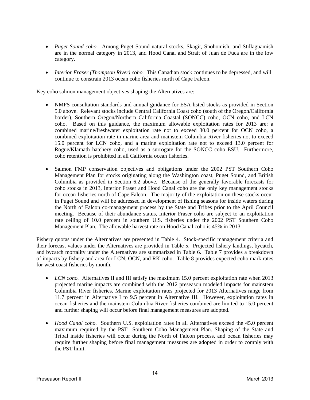- *Puget Sound coho.* Among Puget Sound natural stocks, Skagit, Snohomish, and Stillaguamish are in the normal category in 2013, and Hood Canal and Strait of Juan de Fuca are in the low category*.*
- *Interior Fraser (Thompson River) coho.* This Canadian stock continues to be depressed, and will continue to constrain 2013 ocean coho fisheries north of Cape Falcon.

Key coho salmon management objectives shaping the Alternatives are:

- NMFS consultation standards and annual guidance for ESA listed stocks as provided in Section 5.0 above. Relevant stocks include Central California Coast coho (south of the Oregon/California border), Southern Oregon/Northern California Coastal (SONCC) coho, OCN coho, and LCN coho. Based on this guidance, the maximum allowable exploitation rates for 2013 are: a combined marine/freshwater exploitation rate not to exceed 30.0 percent for OCN coho, a combined exploitation rate in marine-area and mainstem Columbia River fisheries not to exceed 15.0 percent for LCN coho, and a marine exploitation rate not to exceed 13.0 percent for Rogue/Klamath hatchery coho, used as a surrogate for the SONCC coho ESU. Furthermore, coho retention is prohibited in all California ocean fisheries.
- Salmon FMP conservation objectives and obligations under the 2002 PST Southern Coho Management Plan for stocks originating along the Washington coast, Puget Sound, and British Columbia as provided in Section 6.2 above. Because of the generally favorable forecasts for coho stocks in 2013, Interior Fraser and Hood Canal coho are the only key management stocks for ocean fisheries north of Cape Falcon. The majority of the exploitation on these stocks occur in Puget Sound and will be addressed in development of fishing seasons for inside waters during the North of Falcon co-management process by the State and Tribes prior to the April Council meeting. Because of their abundance status, Interior Fraser coho are subject to an exploitation rate ceiling of 10.0 percent in southern U.S. fisheries under the 2002 PST Southern Coho Management Plan. The allowable harvest rate on Hood Canal coho is 45% in 2013.

Fishery quotas under the Alternatives are presented in Table 4. Stock-specific management criteria and their forecast values under the Alternatives are provided in Table 5. Projected fishery landings, bycatch, and bycatch mortality under the Alternatives are summarized in Table 6. Table 7 provides a breakdown of impacts by fishery and area for LCN, OCN, and RK coho. Table 8 provides expected coho mark rates for west coast fisheries by month.

- *LCN coho.* Alternatives II and III satisfy the maximum 15.0 percent exploitation rate when 2013 projected marine impacts are combined with the 2012 preseason modeled impacts for mainstem Columbia River fisheries. Marine exploitation rates projected for 2013 Alternatives range from 11.7 percent in Alternative I to 9.5 percent in Alternative III. However, exploitation rates in ocean fisheries and the mainstem Columbia River fisheries combined are limited to 15.0 percent and further shaping will occur before final management measures are adopted.
- *Hood Canal coho.* Southern U.S. exploitation rates in all Alternatives exceed the 45.0 percent maximum required by the PST Southern Coho Management Plan. Shaping of the State and Tribal inside fisheries will occur during the North of Falcon process, and ocean fisheries may require further shaping before final management measures are adopted in order to comply with the PST limit.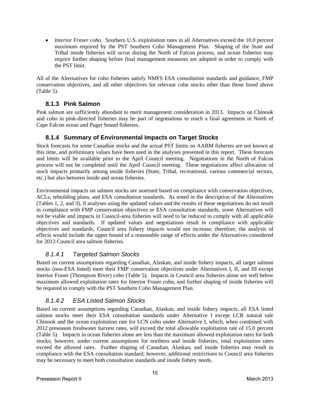*Interior Fraser coho*. Southern U.S. exploitation rates in all Alternatives exceed the 10.0 percent maximum required by the PST Southern Coho Management Plan. Shaping of the State and Tribal inside fisheries will occur during the North of Falcon process, and ocean fisheries may require further shaping before final management measures are adopted in order to comply with the PST limit.

All of the Alternatives for coho fisheries satisfy NMFS ESA consultation standards and guidance, FMP conservation objectives, and all other objectives for relevant coho stocks other than those listed above (Table 5).

#### **8.1.3 Pink Salmon**

Pink salmon are sufficiently abundant to merit management consideration in 2013. Impacts on Chinook and coho in pink-directed fisheries may be part of negotiations to reach a final agreement in North of Cape Falcon ocean and Puget Sound fisheries.

#### **8.1.4 Summary of Environmental Impacts on Target Stocks**

Stock forecasts for some Canadian stocks and the actual PST limits on AABM fisheries are not known at this time, and preliminary values have been used in the analyses presented in this report. These forecasts and limits will be available prior to the April Council meeting. Negotiations in the North of Falcon process will not be completed until the April Council meeting. These negotiations affect allocation of stock impacts primarily among inside fisheries (State, Tribal, recreational, various commercial sectors, etc.) but also between inside and ocean fisheries.

Environmental impacts on salmon stocks are assessed based on compliance with conservation objectives, ACLs, rebuilding plans, and ESA consultation standards. As noted in the description of the Alternatives (Tables 1, 2, and 3), if analyses using the updated values and the results of these negotiations do not result in compliance with FMP conservation objectives or ESA consultation standards, some Alternatives will not be viable and impacts in Council-area fisheries will need to be reduced to comply with all applicable objectives and standards. If updated values and negotiations result in compliance with applicable objectives and standards, Council area fishery impacts would not increase; therefore, the analysis of effects would include the upper bound of a reasonable range of effects under the Alternatives considered for 2013 Council area salmon fisheries.

#### *8.1.4.1 Targeted Salmon Stocks*

Based on current assumptions regarding Canadian, Alaskan, and inside fishery impacts, all target salmon stocks (non-ESA listed) meet their FMP conservation objectives under Alternatives I, II, and III except Interior Fraser (Thompson River) coho (Table 5). Impacts in Council area fisheries alone are well below maximum allowed exploitation rates for Interior Fraser coho, and further shaping of inside fisheries will be required to comply with the PST Southern Coho Management Plan.

### *8.1.4.2 ESA Listed Salmon Stocks*

Based on current assumptions regarding Canadian, Alaskan, and inside fishery impacts, all ESA listed salmon stocks meet their ESA consultation standards under Alternative I except LCR natural tule Chinook and the ocean exploitation rate for LCN coho under Alternative I, which, when combined with 2012 preseason freshwater harvest rates, will exceed the total allowable exploitation rate of 15.0 percent (Table 5). Impacts in ocean fisheries alone are less than the maximum allowed exploitation rates for both stocks; however, under current assumptions for northern and inside fisheries, total exploitation rates exceed the allowed rates. Further shaping of Canadian, Alaskan, and inside fisheries may result in compliance with the ESA consultation standard; however, additional restrictions to Council area fisheries may be necessary to meet both consultation standards and inside fishery needs.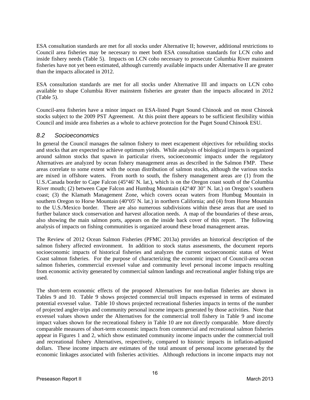ESA consultation standards are met for all stocks under Alternative II; however, additional restrictions to Council area fisheries may be necessary to meet both ESA consultation standards for LCN coho and inside fishery needs (Table 5). Impacts on LCN coho necessary to prosecute Columbia River mainstem fisheries have not yet been estimated, although currently available impacts under Alternative II are greater than the impacts allocated in 2012.

ESA consultation standards are met for all stocks under Alternative III and impacts on LCN coho available to shape Columbia River mainstem fisheries are greater than the impacts allocated in 2012 (Table 5).

Council-area fisheries have a minor impact on ESA-listed Puget Sound Chinook and on most Chinook stocks subject to the 2009 PST Agreement. At this point there appears to be sufficient flexibility within Council and inside area fisheries as a whole to achieve protection for the Puget Sound Chinook ESU.

#### *8.2 Socioeconomics*

In general the Council manages the salmon fishery to meet escapement objectives for rebuilding stocks and stocks that are expected to achieve optimum yields. While analysis of biological impacts is organized around salmon stocks that spawn in particular rivers, socioeconomic impacts under the regulatory Alternatives are analyzed by ocean fishery management areas as described in the Salmon FMP. These areas correlate to some extent with the ocean distribution of salmon stocks, although the various stocks are mixed in offshore waters. From north to south, the fishery management areas are (1) from the U.S./Canada border to Cape Falcon (45°46' N. lat.), which is on the Oregon coast south of the Columbia River mouth; (2) between Cape Falcon and Humbug Mountain (42°40' 30" N. lat.) on Oregon's southern coast; (3) the Klamath Management Zone, which covers ocean waters from Humbug Mountain in southern Oregon to Horse Mountain (40°05' N. lat.) in northern California; and (4) from Horse Mountain to the U.S./Mexico border. There are also numerous subdivisions within these areas that are used to further balance stock conservation and harvest allocation needs. A map of the boundaries of these areas, also showing the main salmon ports, appears on the inside back cover of this report. The following analysis of impacts on fishing communities is organized around these broad management areas.

The Review of 2012 Ocean Salmon Fisheries (PFMC 2013a) provides an historical description of the salmon fishery affected environment. In addition to stock status assessments, the document reports socioeconomic impacts of historical fisheries and analyzes the current socioeconomic status of West Coast salmon fisheries. For the purpose of characterizing the economic impact of Council-area ocean salmon fisheries, commercial exvessel value and community level personal income impacts resulting from economic activity generated by commercial salmon landings and recreational angler fishing trips are used.

The short-term economic effects of the proposed Alternatives for non-Indian fisheries are shown in Tables 9 and 10. Table 9 shows projected commercial troll impacts expressed in terms of estimated potential exvessel value. Table 10 shows projected recreational fisheries impacts in terms of the number of projected angler-trips and community personal income impacts generated by those activities. Note that exvessel values shown under the Alternatives for the commercial troll fishery in Table 9 and income impact values shown for the recreational fishery in Table 10 are not directly comparable. More directly comparable measures of short-term economic impacts from commercial and recreational salmon fisheries appear in Figures 1 and 2, which show estimated community income impacts under the commercial troll and recreational fishery Alternatives, respectively, compared to historic impacts in inflation-adjusted dollars. These income impacts are estimates of the total amount of personal income generated by the economic linkages associated with fisheries activities. Although reductions in income impacts may not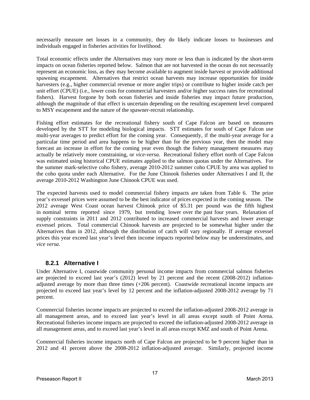necessarily measure net losses in a community, they do likely indicate losses to businesses and individuals engaged in fisheries activities for livelihood.

Total economic effects under the Alternatives may vary more or less than is indicated by the short-term impacts on ocean fisheries reported below. Salmon that are not harvested in the ocean do not necessarily represent an economic loss, as they may become available to augment inside harvest or provide additional spawning escapement. Alternatives that restrict ocean harvests may increase opportunities for inside harvesters (e.g., higher commercial revenue or more angler trips) or contribute to higher inside catch per unit effort (CPUE) (i.e., lower costs for commercial harvesters and/or higher success rates for recreational fishers). Harvest forgone by both ocean fisheries and inside fisheries may impact future production, although the magnitude of that effect is uncertain depending on the resulting escapement level compared to MSY escapement and the nature of the spawner-recruit relationship.

Fishing effort estimates for the recreational fishery south of Cape Falcon are based on measures developed by the STT for modeling biological impacts. STT estimates for south of Cape Falcon use multi-year averages to predict effort for the coming year. Consequently, if the multi-year average for a particular time period and area happens to be higher than for the previous year, then the model may forecast an increase in effort for the coming year even though the fishery management measures may actually be relatively more constraining, or *vice-versa*. Recreational fishery effort north of Cape Falcon was estimated using historical CPUE estimates applied to the salmon quotas under the Alternatives. For the summer mark-selective coho fishery, average 2010-2012 summer coho CPUE by area was applied to the coho quota under each Alternative. For the June Chinook fisheries under Alternatives I and II, the average 2010-2012 Washington June Chinook CPUE was used.

The expected harvests used to model commercial fishery impacts are taken from Table 6. The prior year's exvessel prices were assumed to be the best indicator of prices expected in the coming season. The 2012 average West Coast ocean harvest Chinook price of \$5.31 per pound was the fifth highest in nominal terms reported since 1979, but trending lower over the past four years. Relaxation of supply constraints in 2011 and 2012 contributed to increased commercial harvests and lower average exvessel prices. Total commercial Chinook harvests are projected to be somewhat higher under the Alternatives than in 2012, although the distribution of catch will vary regionally. If average exvessel prices this year exceed last year's level then income impacts reported below may be underestimates, and *vice versa*.

#### **8.2.1 Alternative I**

Under Alternative I, coastwide community personal income impacts from commercial salmon fisheries are projected to exceed last year's (2012) level by 21 percent and the recent (2008-2012) inflationadjusted average by more than three times (+206 percent). Coastwide recreational income impacts are projected to exceed last year's level by 12 percent and the inflation-adjusted 2008-2012 average by 71 percent.

Commercial fisheries income impacts are projected to exceed the inflation-adjusted 2008-2012 average in all management areas, and to exceed last year's level in all areas except south of Point Arena. Recreational fisheries income impacts are projected to exceed the inflation-adjusted 2008-2012 average in all management areas, and to exceed last year's level in all areas except KMZ and south of Point Arena.

Commercial fisheries income impacts north of Cape Falcon are projected to be 9 percent higher than in 2012 and 41 percent above the 2008-2012 inflation-adjusted average. Similarly, projected income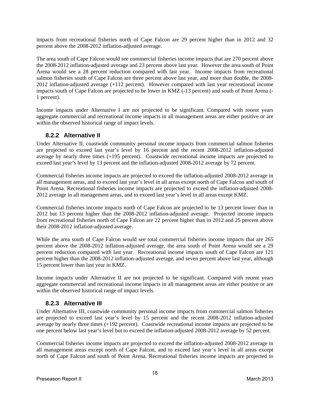impacts from recreational fisheries north of Cape Falcon are 29 percent higher than in 2012 and 32 percent above the 2008-2012 inflation-adjusted average.

The area south of Cape Falcon would see commercial fisheries income impacts that are 270 percent above the 2008-2012 inflation-adjusted average and 23 percent above last year. However the area south of Point Arena would see a 28 percent reduction compared with last year. Income impacts from recreational salmon fisheries south of Cape Falcon are three percent above last year, and more than double, the 2008- 2012 inflation-adjusted average (+112 percent). However compared with last year recreational income impacts south of Cape Falcon are projected to be lower in KMZ (-13 percent) and south of Point Arena (- 1 percent).

Income impacts under Alternative I are not projected to be significant. Compared with recent years aggregate commercial and recreational income impacts in all management areas are either positive or are within the observed historical range of impact levels.

#### **8.2.2 Alternative II**

Under Alternative II, coastwide community personal income impacts from commercial salmon fisheries are projected to exceed last year's level by 16 percent and the recent 2008-2012 inflation-adjusted average by nearly three times (+195 percent). Coastwide recreational income impacts are projected to exceed last year's level by 13 percent and the inflation-adjusted 2008-2012 average by 72 percent.

Commercial fisheries income impacts are projected to exceed the inflation-adjusted 2008-2012 average in all management areas, and to exceed last year's level in all areas except north of Cape Falcon and south of Point Arena. Recreational fisheries income impacts are projected to exceed the inflation-adjusted 2008- 2012 average in all management areas, and to exceed last year's level in all areas except KMZ.

Commercial fisheries income impacts north of Cape Falcon are projected to be 13 percent lower than in 2012 but 13 percent higher than the 2008-2012 inflation-adjusted average. Projected income impacts from recreational fisheries north of Cape Falcon are 22 percent higher than in 2012 and 25 percent above their 2008-2012 inflation-adjusted average.

While the area south of Cape Falcon would see total commercial fisheries income impacts that are 265 percent above the 2008-2012 inflation-adjusted average, the area south of Point Arena would see a 29 percent reduction compared with last year. Recreational income impacts south of Cape Falcon are 121 percent higher than the 2008-2012 inflation-adjusted average, and seven percent above last year, although 15 percent lower than last year in KMZ.

Income impacts under Alternative II are not projected to be significant. Compared with recent years aggregate commercial and recreational income impacts in all management areas are either positive or are within the observed historical range of impact levels.

#### **8.2.3 Alternative III**

Under Alternative III, coastwide community personal income impacts from commercial salmon fisheries are projected to exceed last year's level by 15 percent and the recent 2008-2012 inflation-adjusted average by nearly three times (+192 percent). Coastwide recreational income impacts are projected to be one percent below last year's level but to exceed the inflation-adjusted 2008-2012 average by 52 percent.

Commercial fisheries income impacts are projected to exceed the inflation-adjusted 2008-2012 average in all management areas except north of Cape Falcon, and to exceed last year's level in all areas except north of Cape Falcon and south of Point Arena. Recreational fisheries income impacts are projected to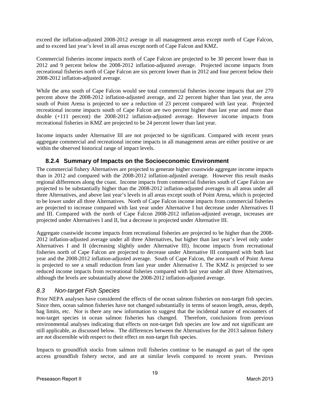exceed the inflation-adjusted 2008-2012 average in all management areas except north of Cape Falcon, and to exceed last year's level in all areas except north of Cape Falcon and KMZ.

Commercial fisheries income impacts north of Cape Falcon are projected to be 30 percent lower than in 2012 and 9 percent below the 2008-2012 inflation-adjusted average. Projected income impacts from recreational fisheries north of Cape Falcon are six percent lower than in 2012 and four percent below their 2008-2012 inflation-adjusted average.

While the area south of Cape Falcon would see total commercial fisheries income impacts that are 270 percent above the 2008-2012 inflation-adjusted average, and 22 percent higher than last year, the area south of Point Arena is projected to see a reduction of 23 percent compared with last year. Projected recreational income impacts south of Cape Falcon are two percent higher than last year and more than double (+111 percent) the 2008-2012 inflation-adjusted average. However income impacts from recreational fisheries in KMZ are projected to be 24 percent lower than last year.

Income impacts under Alternative III are not projected to be significant. Compared with recent years aggregate commercial and recreational income impacts in all management areas are either positive or are within the observed historical range of impact levels.

#### **8.2.4 Summary of Impacts on the Socioeconomic Environment**

The commercial fishery Alternatives are projected to generate higher coastwide aggregate income impacts than in 2012 and compared with the 2008-2012 inflation-adjusted average. However this result masks regional differences along the coast. Income impacts from commercial fisheries south of Cape Falcon are projected to be substantially higher than the 2008-2012 inflation-adjusted averages in all areas under all three Alternatives, and above last year's levels in all areas except south of Point Arena, which is projected to be lower under all three Alternatives. North of Cape Falcon income impacts from commercial fisheries are projected to increase compared with last year under Alternative I but decrease under Alternatives II and III. Compared with the north of Cape Falcon 2008-2012 inflation-adjusted average, increases are projected under Alternatives I and II, but a decrease is projected under Alternative III.

Aggregate coastwide income impacts from recreational fisheries are projected to be higher than the 2008- 2012 inflation-adjusted average under all three Alternatives, but higher than last year's level only under Alternatives I and II (decreasing slightly under Alternative III). Income impacts from recreational fisheries north of Cape Falcon are projected to decrease under Alternative III compared with both last year and the 2008-2012 inflation-adjusted average. South of Cape Falcon, the area south of Point Arena is projected to see a small reduction from last year under Alternative I. The KMZ is projected to see reduced income impacts from recreational fisheries compared with last year under all three Alternatives, although the levels are substantially above the 2008-2012 inflation-adjusted average.

#### *8.3 Non-target Fish Species*

Prior NEPA analyses have considered the effects of the ocean salmon fisheries on non-target fish species. Since then, ocean salmon fisheries have not changed substantially in terms of season length, areas, depth, bag limits, etc. Nor is there any new information to suggest that the incidental nature of encounters of non-target species in ocean salmon fisheries has changed. Therefore, conclusions from previous environmental analyses indicating that effects on non-target fish species are low and not significant are still applicable, as discussed below. The differences between the Alternatives for the 2013 salmon fishery are not discernible with respect to their effect on non-target fish species.

Impacts to groundfish stocks from salmon troll fisheries continue to be managed as part of the open access groundfish fishery sector, and are at similar levels compared to recent years. Previous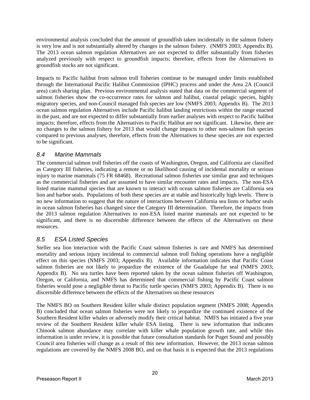environmental analysis concluded that the amount of groundfish taken incidentally in the salmon fishery is very low and is not substantially altered by changes in the salmon fishery. (NMFS 2003; Appendix B). The 2013 ocean salmon regulation Alternatives are not expected to differ substantially from fisheries analyzed previously with respect to groundfish impacts; therefore, effects from the Alternatives to groundfish stocks are not significant.

Impacts to Pacific halibut from salmon troll fisheries continue to be managed under limits established through the International Pacific Halibut Commission (IPHC) process and under the Area 2A (Council area) catch sharing plan. Previous environmental analysis stated that data on the commercial segment of salmon fisheries show the co-occurrence rates for salmon and halibut, coastal pelagic species, highly migratory species, and non-Council managed fish species are low (NMFS 2003; Appendix B). The 2013 ocean salmon regulation Alternatives include Pacific halibut landing restrictions within the range enacted in the past, and are not expected to differ substantially from earlier analyses with respect to Pacific halibut impacts; therefore, effects from the Alternatives to Pacific Halibut are not significant. Likewise, there are no changes to the salmon fishery for 2013 that would change impacts to other non-salmon fish species compared to previous analyses, therefore, effects from the Alternatives to these species are not expected to be significant.

#### *8.4 Marine Mammals*

The commercial salmon troll fisheries off the coasts of Washington, Oregon, and California are classified as Category III fisheries, indicating a remote or no likelihood causing of incidental mortality or serious injury to marine mammals (75 FR 68468). Recreational salmon fisheries use similar gear and techniques as the commercial fisheries and are assumed to have similar encounter rates and impacts. The non-ESA listed marine mammal species that are known to interact with ocean salmon fisheries are California sea lion and harbor seals. Populations of both these species are at stable and historically high levels. There is no new information to suggest that the nature of interactions between California sea lions or harbor seals in ocean salmon fisheries has changed since the Category III determination. Therefore, the impacts from the 2013 salmon regulation Alternatives to non-ESA listed marine mammals are not expected to be significant, and there is no discernible difference between the effects of the Alternatives on these resources.

#### *8.5 ESA Listed Species*

Steller sea lion interaction with the Pacific Coast salmon fisheries is rare and NMFS has determined mortality and serious injury incidental to commercial salmon troll fishing operations have a negligible effect on this species (NMFS 2003; Appendix B). Available information indicates that Pacific Coast salmon fisheries are not likely to jeopardize the existence of the Guadalupe fur seal (NMFS 2003; Appendix B). No sea turtles have been reported taken by the ocean salmon fisheries off Washington, Oregon, or California, and NMFS has determined that commercial fishing by Pacific Coast salmon fisheries would pose a negligible threat to Pacific turtle species (NMFS 2003; Appendix B). There is no discernible difference between the effects of the Alternatives on these resources

The NMFS BO on Southern Resident killer whale distinct population segment (NMFS 2008; Appendix B) concluded that ocean salmon fisheries were not likely to jeopardize the continued existence of the Southern Resident killer whales or adversely modify their critical habitat. NMFS has initiated a five year review of the Southern Resident killer whale ESA listing. There is new information that indicates Chinook salmon abundance may correlate with killer whale population growth rate, and while this information is under review, it is possible that future consultation standards for Puget Sound and possibly Council area fisheries will change as a result of this new information. However, the 2013 ocean salmon regulations are covered by the NMFS 2008 BO, and on that basis it is expected that the 2013 regulations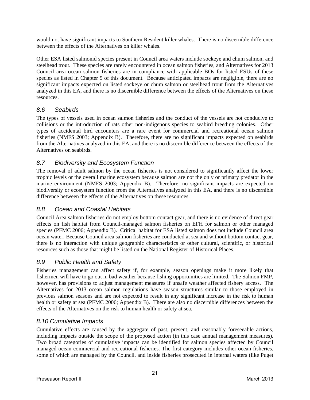would not have significant impacts to Southern Resident killer whales. There is no discernible difference between the effects of the Alternatives on killer whales.

Other ESA listed salmonid species present in Council area waters include sockeye and chum salmon, and steelhead trout. These species are rarely encountered in ocean salmon fisheries, and Alternatives for 2013 Council area ocean salmon fisheries are in compliance with applicable BOs for listed ESUs of these species as listed in Chapter 5 of this document. Because anticipated impacts are negligible, there are no significant impacts expected on listed sockeye or chum salmon or steelhead trout from the Alternatives analyzed in this EA, and there is no discernible difference between the effects of the Alternatives on these resources.

#### *8.6 Seabirds*

The types of vessels used in ocean salmon fisheries and the conduct of the vessels are not conducive to collisions or the introduction of rats other non-indigenous species to seabird breeding colonies. Other types of accidental bird encounters are a rare event for commercial and recreational ocean salmon fisheries (NMFS 2003; Appendix B). Therefore, there are no significant impacts expected on seabirds from the Alternatives analyzed in this EA, and there is no discernible difference between the effects of the Alternatives on seabirds.

#### *8.7 Biodiversity and Ecosystem Function*

The removal of adult salmon by the ocean fisheries is not considered to significantly affect the lower trophic levels or the overall marine ecosystem because salmon are not the only or primary predator in the marine environment (NMFS 2003; Appendix B). Therefore, no significant impacts are expected on biodiversity or ecosystem function from the Alternatives analyzed in this EA, and there is no discernible difference between the effects of the Alternatives on these resources.

#### *8.8 Ocean and Coastal Habitats*

Council Area salmon fisheries do not employ bottom contact gear, and there is no evidence of direct gear effects on fish habitat from Council-managed salmon fisheries on EFH for salmon or other managed species (PFMC 2006; Appendix B). Critical habitat for ESA listed salmon does not include Council area ocean water. Because Council area salmon fisheries are conducted at sea and without bottom contact gear, there is no interaction with unique geographic characteristics or other cultural, scientific, or historical resources such as those that might be listed on the National Register of Historical Places.

#### *8.9 Public Health and Safety*

Fisheries management can affect safety if, for example, season openings make it more likely that fishermen will have to go out in bad weather because fishing opportunities are limited. The Salmon FMP, however, has provisions to adjust management measures if unsafe weather affected fishery access. The Alternatives for 2013 ocean salmon regulations have season structures similar to those employed in previous salmon seasons and are not expected to result in any significant increase in the risk to human health or safety at sea (PFMC 2006; Appendix B). There are also no discernible differences between the effects of the Alternatives on the risk to human health or safety at sea.

#### *8.10 Cumulative Impacts*

Cumulative effects are caused by the aggregate of past, present, and reasonably foreseeable actions, including impacts outside the scope of the proposed action (in this case annual management measures). Two broad categories of cumulative impacts can be identified for salmon species affected by Council managed ocean commercial and recreational fisheries. The first category includes other ocean fisheries, some of which are managed by the Council, and inside fisheries prosecuted in internal waters (like Puget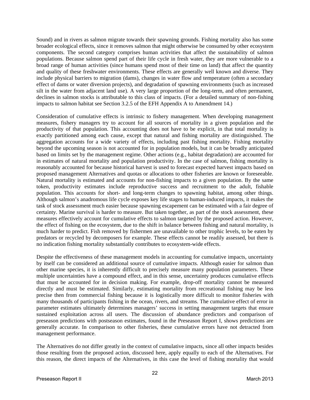Sound) and in rivers as salmon migrate towards their spawning grounds. Fishing mortality also has some broader ecological effects, since it removes salmon that might otherwise be consumed by other ecosystem components. The second category comprises human activities that affect the sustainability of salmon populations. Because salmon spend part of their life cycle in fresh water, they are more vulnerable to a broad range of human activities (since humans spend most of their time on land) that affect the quantity and quality of these freshwater environments. These effects are generally well known and diverse. They include physical barriers to migration (dams), changes in water flow and temperature (often a secondary effect of dams or water diversion projects), and degradation of spawning environments (such as increased silt in the water from adjacent land use). A very large proportion of the long-term, and often permanent, declines in salmon stocks is attributable to this class of impacts. (For a detailed summary of non-fishing impacts to salmon habitat see Section 3.2.5 of the EFH Appendix A to Amendment 14.)

Consideration of cumulative effects is intrinsic to fishery management. When developing management measures, fishery managers try to account for all sources of mortality in a given population and the productivity of that population. This accounting does not have to be explicit, in that total mortality is exactly partitioned among each cause, except that natural and fishing mortality are distinguished. The aggregation accounts for a wide variety of effects, including past fishing mortality. Fishing mortality beyond the upcoming season is not accounted for in population models, but it can be broadly anticipated based on limits set by the management regime. Other actions (e.g., habitat degradation) are accounted for in estimates of natural mortality and population productivity. In the case of salmon, fishing mortality is reasonably accounted for because historical harvest is used to forecast expected harvest impacts based on proposed management Alternatives and quotas or allocations to other fisheries are known or foreseeable. Natural mortality is estimated and accounts for non-fishing impacts to a given population. By the same token, productivity estimates include reproductive success and recruitment to the adult, fishable population. This accounts for short- and long-term changes to spawning habitat, among other things. Although salmon's anadromous life cycle exposes key life stages to human-induced impacts, it makes the task of stock assessment much easier because spawning escapement can be estimated with a fair degree of certainty. Marine survival is harder to measure. But taken together, as part of the stock assessment, these measures effectively account for cumulative effects to salmon targeted by the proposed action. However, the effect of fishing on the ecosystem, due to the shift in balance between fishing and natural mortality, is much harder to predict. Fish removed by fishermen are unavailable to other trophic levels, to be eaten by predators or recycled by decomposers for example. These effects cannot be readily assessed, but there is no indication fishing mortality substantially contributes to ecosystem-wide effects.

Despite the effectiveness of these management models in accounting for cumulative impacts, uncertainty by itself can be considered an additional source of cumulative impacts. Although easier for salmon than other marine species, it is inherently difficult to precisely measure many population parameters. These multiple uncertainties have a compound effect, and in this sense, uncertainty produces cumulative effects that must be accounted for in decision making. For example, drop-off mortality cannot be measured directly and must be estimated. Similarly, estimating mortality from recreational fishing may be less precise then from commercial fishing because it is logistically more difficult to monitor fisheries with many thousands of participants fishing in the ocean, rivers, and streams. The cumulative effect of error in parameter estimates ultimately determines managers' success in setting management targets that ensure sustained exploitation across all users. The discussion of abundance predictors and comparison of preseason predictions with postseason estimates, found in the Preseason Report I, shows predictions are generally accurate. In comparison to other fisheries, these cumulative errors have not detracted from management performance.

The Alternatives do not differ greatly in the context of cumulative impacts, since all other impacts besides those resulting from the proposed action, discussed here, apply equally to each of the Alternatives. For this reason, the direct impacts of the Alternatives, in this case the level of fishing mortality that would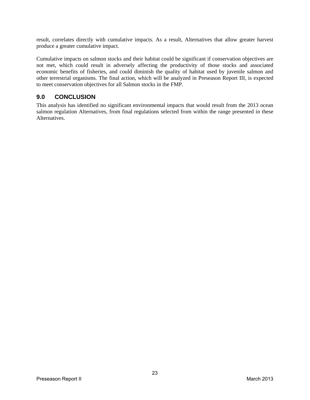result, correlates directly with cumulative impacts. As a result, Alternatives that allow greater harvest produce a greater cumulative impact.

Cumulative impacts on salmon stocks and their habitat could be significant if conservation objectives are not met, which could result in adversely affecting the productivity of those stocks and associated economic benefits of fisheries, and could diminish the quality of habitat used by juvenile salmon and other terrestrial organisms. The final action, which will be analyzed in Preseason Report III, is expected to meet conservation objectives for all Salmon stocks in the FMP.

#### **9.0 CONCLUSION**

This analysis has identified no significant environmental impacts that would result from the 2013 ocean salmon regulation Alternatives, from final regulations selected from within the range presented in these Alternatives.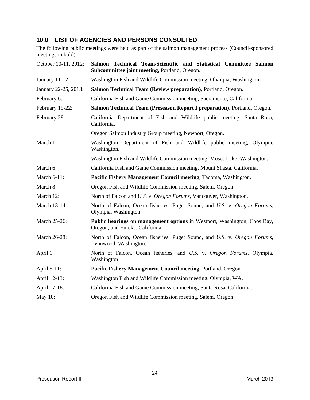# **10.0 LIST OF AGENCIES AND PERSONS CONSULTED**

The following public meetings were held as part of the salmon management process (Council-sponsored meetings in bold):

| October 10-11, 2012: | Salmon Technical Team/Scientific and Statistical Committee Salmon<br>Subcommittee joint meeting, Portland, Oregon. |  |  |  |
|----------------------|--------------------------------------------------------------------------------------------------------------------|--|--|--|
| January 11-12:       | Washington Fish and Wildlife Commission meeting, Olympia, Washington.                                              |  |  |  |
| January 22-25, 2013: | Salmon Technical Team (Review preparation), Portland, Oregon.                                                      |  |  |  |
| February 6:          | California Fish and Game Commission meeting, Sacramento, California.                                               |  |  |  |
| February 19-22:      | Salmon Technical Team (Preseason Report I preparation), Portland, Oregon.                                          |  |  |  |
| February 28:         | California Department of Fish and Wildlife public meeting, Santa Rosa,<br>California.                              |  |  |  |
|                      | Oregon Salmon Industry Group meeting, Newport, Oregon.                                                             |  |  |  |
| March 1:             | Washington Department of Fish and Wildlife public meeting, Olympia,<br>Washington.                                 |  |  |  |
|                      | Washington Fish and Wildlife Commission meeting, Moses Lake, Washington.                                           |  |  |  |
| March 6:             | California Fish and Game Commission meeting, Mount Shasta, California.                                             |  |  |  |
| March 6-11:          | Pacific Fishery Management Council meeting, Tacoma, Washington.                                                    |  |  |  |
| March 8:             | Oregon Fish and Wildlife Commission meeting, Salem, Oregon.                                                        |  |  |  |
| March 12:            | North of Falcon and U.S. v. Oregon Forums, Vancouver, Washington.                                                  |  |  |  |
| March 13-14:         | North of Falcon, Ocean fisheries, Puget Sound, and U.S. v. Oregon Forums,<br>Olympia, Washington.                  |  |  |  |
| March 25-26:         | <b>Public hearings on management options</b> in Westport, Washington; Coos Bay,<br>Oregon; and Eureka, California. |  |  |  |
| March 26-28:         | North of Falcon, Ocean fisheries, Puget Sound, and U.S. v. Oregon Forums,<br>Lynnwood, Washington.                 |  |  |  |
| April 1:             | North of Falcon, Ocean fisheries, and U.S. v. Oregon Forums, Olympia,<br>Washington.                               |  |  |  |
| April 5-11:          | Pacific Fishery Management Council meeting, Portland, Oregon.                                                      |  |  |  |
| April 12-13:         | Washington Fish and Wildlife Commission meeting, Olympia, WA.                                                      |  |  |  |
| April 17-18:         | California Fish and Game Commission meeting, Santa Rosa, California.                                               |  |  |  |
| May 10:              | Oregon Fish and Wildlife Commission meeting, Salem, Oregon.                                                        |  |  |  |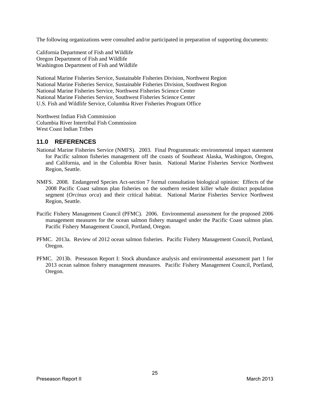The following organizations were consulted and/or participated in preparation of supporting documents:

California Department of Fish and Wildlife Oregon Department of Fish and Wildlife Washington Department of Fish and Wildlife

National Marine Fisheries Service, Sustainable Fisheries Division, Northwest Region National Marine Fisheries Service, Sustainable Fisheries Division, Southwest Region National Marine Fisheries Service, Northwest Fisheries Science Center National Marine Fisheries Service, Southwest Fisheries Science Center U.S. Fish and Wildlife Service, Columbia River Fisheries Program Office

Northwest Indian Fish Commission Columbia River Intertribal Fish Commission West Coast Indian Tribes

#### **11.0 REFERENCES**

- National Marine Fisheries Service (NMFS). 2003. Final Programmatic environmental impact statement for Pacific salmon fisheries management off the coasts of Southeast Alaska, Washington, Oregon, and California, and in the Columbia River basin. National Marine Fisheries Service Northwest Region, Seattle.
- NMFS. 2008. Endangered Species Act-section 7 formal consultation biological opinion: Effects of the 2008 Pacific Coast salmon plan fisheries on the southern resident killer whale distinct population segment (*Orcinus orca*) and their critical habitat. National Marine Fisheries Service Northwest Region, Seattle.
- Pacific Fishery Management Council (PFMC). 2006. Environmental assessment for the proposed 2006 management measures for the ocean salmon fishery managed under the Pacific Coast salmon plan. Pacific Fishery Management Council, Portland, Oregon.
- PFMC. 2013a. Review of 2012 ocean salmon fisheries. Pacific Fishery Management Council, Portland, Oregon.
- PFMC. 2013b. Preseason Report I: Stock abundance analysis and environmental assessment part 1 for 2013 ocean salmon fishery management measures. Pacific Fishery Management Council, Portland, Oregon.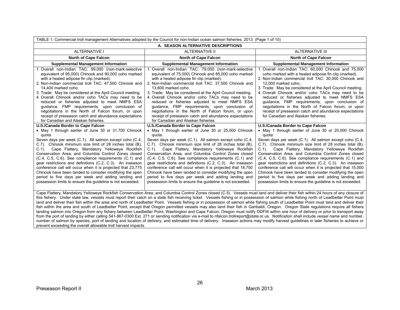| TABLE 1. Commercial troll management Alternatives adopted by the Council for non-Indian ocean salmon fisheries, 2013 (Page 1 of 10)                                                                                                                                                                                                                                                                                                                                                                                                                                                                                                                                                                                                                                                                                                                                                                                                                                                                                                                                                                                                                                                                                                                                                                                                                                                                               |                                                                                                                                                                                                                                                                                                                                                                                                                                                                                                                                                                                                                         |                                                                                                                                                                                                                                                                                                                                                                                                                                                                                                                                                                                                              |  |  |
|-------------------------------------------------------------------------------------------------------------------------------------------------------------------------------------------------------------------------------------------------------------------------------------------------------------------------------------------------------------------------------------------------------------------------------------------------------------------------------------------------------------------------------------------------------------------------------------------------------------------------------------------------------------------------------------------------------------------------------------------------------------------------------------------------------------------------------------------------------------------------------------------------------------------------------------------------------------------------------------------------------------------------------------------------------------------------------------------------------------------------------------------------------------------------------------------------------------------------------------------------------------------------------------------------------------------------------------------------------------------------------------------------------------------|-------------------------------------------------------------------------------------------------------------------------------------------------------------------------------------------------------------------------------------------------------------------------------------------------------------------------------------------------------------------------------------------------------------------------------------------------------------------------------------------------------------------------------------------------------------------------------------------------------------------------|--------------------------------------------------------------------------------------------------------------------------------------------------------------------------------------------------------------------------------------------------------------------------------------------------------------------------------------------------------------------------------------------------------------------------------------------------------------------------------------------------------------------------------------------------------------------------------------------------------------|--|--|
| A. SEASON ALTERNATIVE DESCRIPTIONS                                                                                                                                                                                                                                                                                                                                                                                                                                                                                                                                                                                                                                                                                                                                                                                                                                                                                                                                                                                                                                                                                                                                                                                                                                                                                                                                                                                |                                                                                                                                                                                                                                                                                                                                                                                                                                                                                                                                                                                                                         |                                                                                                                                                                                                                                                                                                                                                                                                                                                                                                                                                                                                              |  |  |
| <b>ALTERNATIVE I</b>                                                                                                                                                                                                                                                                                                                                                                                                                                                                                                                                                                                                                                                                                                                                                                                                                                                                                                                                                                                                                                                                                                                                                                                                                                                                                                                                                                                              | <b>ALTERNATIVE II</b>                                                                                                                                                                                                                                                                                                                                                                                                                                                                                                                                                                                                   | <b>ALTERNATIVE III</b>                                                                                                                                                                                                                                                                                                                                                                                                                                                                                                                                                                                       |  |  |
| <b>North of Cape Falcon</b>                                                                                                                                                                                                                                                                                                                                                                                                                                                                                                                                                                                                                                                                                                                                                                                                                                                                                                                                                                                                                                                                                                                                                                                                                                                                                                                                                                                       | <b>North of Cape Falcon</b>                                                                                                                                                                                                                                                                                                                                                                                                                                                                                                                                                                                             | <b>North of Cape Falcon</b>                                                                                                                                                                                                                                                                                                                                                                                                                                                                                                                                                                                  |  |  |
| <b>Supplemental Management Information</b>                                                                                                                                                                                                                                                                                                                                                                                                                                                                                                                                                                                                                                                                                                                                                                                                                                                                                                                                                                                                                                                                                                                                                                                                                                                                                                                                                                        | <b>Supplemental Management Information</b>                                                                                                                                                                                                                                                                                                                                                                                                                                                                                                                                                                              | <b>Supplemental Management Information</b>                                                                                                                                                                                                                                                                                                                                                                                                                                                                                                                                                                   |  |  |
| 1. Overall non-Indian TAC: 99,000 (non-mark-selective<br>equivalent of 95,000) Chinook and 90,000 coho marked<br>with a healed adipose fin clip (marked).<br>2. Non-Indian commercial troll TAC: 47,500 Chinook and<br>14,400 marked coho.<br>3. Trade: May be considered at the April Council meeting.<br>4. Overall Chinook and/or coho TACs may need to be<br>reduced or fisheries adjusted to meet NMFS ESA<br>guidance, FMP requirements, upon conclusion of<br>negotiations in the North of Falcon forum, or upon<br>receipt of preseason catch and abundance expectations<br>for Canadian and Alaskan fisheries.                                                                                                                                                                                                                                                                                                                                                                                                                                                                                                                                                                                                                                                                                                                                                                                           | 1. Overall non-Indian TAC: 79,000 (non-mark-selective<br>equivalent of 75,000) Chinook and 85,000 coho marked<br>with a healed adipose fin clip (marked).<br>2. Non-Indian commercial troll TAC: 37,500 Chinook and<br>13,600 marked coho.<br>3. Trade: May be considered at the April Council meeting.<br>4. Overall Chinook and/or coho TACs may need to be<br>reduced or fisheries adjusted to meet NMFS ESA<br>guidance, FMP requirements, upon conclusion of<br>negotiations in the North of Falcon forum, or upon<br>receipt of preseason catch and abundance expectations<br>for Canadian and Alaskan fisheries. | 1. Overall non-Indian TAC: 60,000 Chinook and 75,000<br>coho marked with a healed adipose fin clip (marked).<br>2. Non-Indian commercial troll TAC: 30,000 Chinook and<br>12.000 marked coho.<br>3. Trade: May be considered at the April Council meeting.<br>4. Overall Chinook and/or coho TACs may need to be<br>reduced or fisheries adjusted to meet NMFS ESA<br>quidance, FMP requirements, upon conclusion of<br>negotiations in the North of Falcon forum, or upon<br>receipt of preseason catch and abundance expectations<br>for Canadian and Alaskan fisheries.                                   |  |  |
| <b>U.S./Canada Border to Cape Falcon</b><br>• May 1 through earlier of June 30 or 31,700 Chinook<br>quota.                                                                                                                                                                                                                                                                                                                                                                                                                                                                                                                                                                                                                                                                                                                                                                                                                                                                                                                                                                                                                                                                                                                                                                                                                                                                                                        | U.S./Canada Border to Cape Falcon<br>• May 1 through earlier of June 30 or 25,000 Chinook<br>quota.                                                                                                                                                                                                                                                                                                                                                                                                                                                                                                                     | U.S./Canada Border to Cape Falcon<br>• May 1 through earlier of June 30 or 20,000 Chinook<br>quota.                                                                                                                                                                                                                                                                                                                                                                                                                                                                                                          |  |  |
| Seven days per week (C.1). All salmon except coho (C.4,<br>C.7). Chinook minimum size limit of 28 inches total (B),<br>Cape Flattery, Mandatory Yelloweye Rockfish<br>$C.1$ ).<br>Conservation Area, and Columbia Control Zones closed<br>(C.4, C.5, C.6). See compliance requirements (C.1) and<br>gear restrictions and definitions (C.2, C.3). An inseason<br>conference call will occur when it is projected that 23,775<br>Chinook have been landed to consider modifying the open<br>period to five days per week and adding landing and<br>possession limits to ensure the guideline is not exceeded.                                                                                                                                                                                                                                                                                                                                                                                                                                                                                                                                                                                                                                                                                                                                                                                                      | Seven days per week (C.1). All salmon except coho (C.4,<br>C.7). Chinook minimum size limit of 28 inches total (B),<br>Cape Flattery, Mandatory Yelloweye Rockfish<br>$C.1$ ).<br>Conservation Area, and Columbia Control Zones closed<br>(C.4, C.5, C.6). See compliance requirements (C.1) and<br>gear restrictions and definitions (C.2, C.3). An inseason<br>conference call will occur when it is projected that 18,750<br>Chinook have been landed to consider modifying the open<br>period to five days per week and adding landing and<br>possession limits to ensure the guideline is not exceeded.            | Seven days per week (C.1). All salmon except coho (C.4,<br>C.7). Chinook minimum size limit of 28 inches total (B),<br>Cape Flattery, Mandatory Yelloweye Rockfish<br>$C.1$ ).<br>Conservation Area, and Columbia Control Zones closed<br>(C.4, C.5, C.6). See compliance requirements (C.1) and<br>gear restrictions and definitions (C.2, C.3). An inseason<br>conference call will occur when it is projected that 15,000<br>Chinook have been landed to consider modifying the open<br>period to five days per week and adding landing and<br>possession limits to ensure the quideline is not exceeded. |  |  |
| Cape Flattery, Mandatory Yelloweye Rockfish Conservation Area, and Columbia Control Zones closed (C.5). Vessels must land and deliver their fish within 24 hours of any closure of<br>this fishery. Under state law, vessels must report their catch on a state fish receiving ticket. Vessels fishing or in possession of salmon while fishing north of Leadbetter Point must<br>land and deliver their fish within the area and north of Leadbetter Point. Vessels fishing or in possession of salmon while fishing south of Leadbetter Point must land and deliver their<br>fish within the area and south of Leadbetter Point, except that Oregon permitted vessels may also land their fish in Garibaldi, Oregon. Oregon State regulations require all fishers<br>landing salmon into Oregon from any fishery between Leadbetter Point, Washington and Cape Falcon, Oregon must notify ODFW within one hour of delivery or prior to transport away<br>from the port of landing by either calling 541-867-0300 Ext. 271 or sending notification via e-mail to nfalcon.trollreport@state.or.us. Notification shall include vessel name and number,<br>number of salmon by species, port of landing and location of delivery, and estimated time of delivery. Inseason actions may modify harvest guidelines in later fisheries to achieve or<br>prevent exceeding the overall allowable troll harvest impacts. |                                                                                                                                                                                                                                                                                                                                                                                                                                                                                                                                                                                                                         |                                                                                                                                                                                                                                                                                                                                                                                                                                                                                                                                                                                                              |  |  |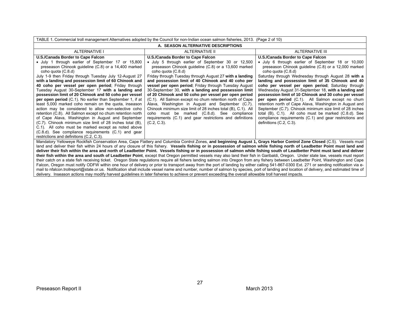| TABLE 1. Commercial troll management Alternatives adopted by the Council for non-Indian ocean salmon fisheries, 2013. (Page 2 of 10)                                                     |                                                                                                                  |                                                                                                                     |  |  |
|------------------------------------------------------------------------------------------------------------------------------------------------------------------------------------------|------------------------------------------------------------------------------------------------------------------|---------------------------------------------------------------------------------------------------------------------|--|--|
| A. SEASON ALTERNATIVE DESCRIPTIONS                                                                                                                                                       |                                                                                                                  |                                                                                                                     |  |  |
| <b>ALTERNATIVE I</b>                                                                                                                                                                     | <b>ALTERNATIVE II</b>                                                                                            | <b>ALTERNATIVE III</b>                                                                                              |  |  |
| U.S./Canada Border to Cape Falcon                                                                                                                                                        | U.S./Canada Border to Cape Falcon                                                                                | U.S./Canada Border to Cape Falcon                                                                                   |  |  |
| • July 1 through earlier of September 17 or 15,800                                                                                                                                       | • July 5 through earlier of September 30 or 12,500                                                               | • July 6 through earlier of September 18 or 10,000                                                                  |  |  |
| preseason Chinook guideline (C.8) or a 14,400 marked                                                                                                                                     | preseason Chinook guideline (C.8) or a 13,600 marked                                                             | preseason Chinook guideline (C.8) or a 12,000 marked                                                                |  |  |
| coho quota (C.8.d)                                                                                                                                                                       | coho quota (C.8.d)                                                                                               | coho quota (C.8.d)                                                                                                  |  |  |
| July 1-9 then Friday through Tuesday July 12-August 27                                                                                                                                   | Friday through Tuesday through August 27 with a landing                                                          | Saturday through Wednesday through August 28 with a                                                                 |  |  |
| with a landing and possession limit of 60 Chinook and                                                                                                                                    | and possession limit of 40 Chinook and 40 coho per                                                               | landing and possession limit of 35 Chinook and 40                                                                   |  |  |
| 40 coho per vessel per open period; Friday through                                                                                                                                       | vessel per open period; Friday through Tuesday August                                                            | coho per vessel per open period; Saturday through                                                                   |  |  |
| Tuesday August 30-September 17 with a landing and                                                                                                                                        | 30-September 30, with a landing and possession limit                                                             | Wednesday August 31-September 18, with a landing and                                                                |  |  |
| possession limit of 20 Chinook and 50 coho per vessel                                                                                                                                    | of 20 Chinook and 50 coho per vessel per open period                                                             | possession limit of 10 Chinook and 30 coho per vessel                                                               |  |  |
| per open period (C.1). No earlier than September 1, if at                                                                                                                                | (C.1). All Salmon except no chum retention north of Cape                                                         | per open period (C.1). All Salmon except no chum                                                                    |  |  |
| least 5,000 marked coho remain on the quota, inseason<br>action may be considered to allow non-selective coho                                                                            | Alava, Washington in August and September (C.7).<br>Chinook minimum size limit of 28 inches total (B), C.1). All | retention north of Cape Alava, Washington in August and<br>September (C.7). Chinook minimum size limit of 28 inches |  |  |
| retention (C.8). All Salmon except no chum retention north                                                                                                                               | coho must be marked (C.8.d). See compliance                                                                      | total (B), C.1). All coho must be marked (C.8.d). See                                                               |  |  |
| of Cape Alava, Washington in August and September                                                                                                                                        | requirements (C.1) and gear restrictions and definitions                                                         | compliance requirements (C.1) and gear restrictions and                                                             |  |  |
| (C.7). Chinook minimum size limit of 28 inches total (B),                                                                                                                                | $(C.2, C.3)$ .                                                                                                   | definitions (C.2, C.3).                                                                                             |  |  |
| C.1). All coho must be marked except as noted above                                                                                                                                      |                                                                                                                  |                                                                                                                     |  |  |
| (C.8.d). See compliance requirements (C.1) and gear                                                                                                                                      |                                                                                                                  |                                                                                                                     |  |  |
| restrictions and definitions (C.2, C.3).                                                                                                                                                 |                                                                                                                  |                                                                                                                     |  |  |
| Mandatory Yelloweye Rockfish Conservation Area, Cape Flattery and Columbia Control Zones, and beginning August 1, Grays Harbor Control Zone Closed (C.5). Vessels must                   |                                                                                                                  |                                                                                                                     |  |  |
| land and deliver their fish within 24 hours of any closure of this fishery. Vessels fishing or in possession of salmon while fishing north of Leadbetter Point must land and             |                                                                                                                  |                                                                                                                     |  |  |
| deliver their fish within the area and north of Leadbetter Point. Vessels fishing or in possession of salmon while fishing south of Leadbetter Point must land and deliver               |                                                                                                                  |                                                                                                                     |  |  |
| their fish within the area and south of Leadbetter Point, except that Oregon permitted vessels may also land their fish in Garibaldi, Oregon. Under state law, vessels must report       |                                                                                                                  |                                                                                                                     |  |  |
| their catch on a state fish receiving ticket. Oregon State regulations require all fishers landing salmon into Oregon from any fishery between Leadbetter Point, Washington and Cape     |                                                                                                                  |                                                                                                                     |  |  |
| Falcon, Oregon must notify ODFW within one hour of delivery or prior to transport away from the port of landing by either calling 541-867-0300 Ext. 271 or sending notification via e-   |                                                                                                                  |                                                                                                                     |  |  |
| mail to nfalcon.trollreport@state.or.us. Notification shall include vessel name and number, number of salmon by species, port of landing and location of delivery, and estimated time of |                                                                                                                  |                                                                                                                     |  |  |
| delivery. Inseason actions may modify harvest guidelines in later fisheries to achieve or prevent exceeding the overall allowable troll harvest impacts.                                 |                                                                                                                  |                                                                                                                     |  |  |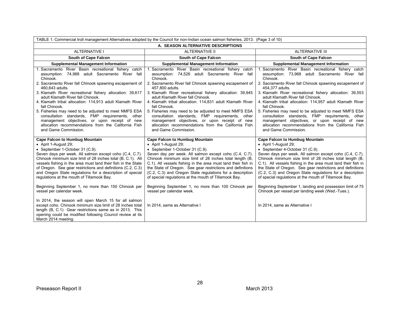| TABLE 1. Commercial troll management Alternatives adopted by the Council for non-Indian ocean salmon fisheries, 2013. (Page 3 of 10)                                                                                                                                                                                                                                                                                                                                                                                                                                                                                                                                                                                                                                                                                            |                                                                                                                                                                                                                                                                                                                                                                                                                                                                                                                                                                                                                             |                                                                                                                                                                                                                                                                                                                                                                                                                                                                                                                                                                                                                                  |  |  |
|---------------------------------------------------------------------------------------------------------------------------------------------------------------------------------------------------------------------------------------------------------------------------------------------------------------------------------------------------------------------------------------------------------------------------------------------------------------------------------------------------------------------------------------------------------------------------------------------------------------------------------------------------------------------------------------------------------------------------------------------------------------------------------------------------------------------------------|-----------------------------------------------------------------------------------------------------------------------------------------------------------------------------------------------------------------------------------------------------------------------------------------------------------------------------------------------------------------------------------------------------------------------------------------------------------------------------------------------------------------------------------------------------------------------------------------------------------------------------|----------------------------------------------------------------------------------------------------------------------------------------------------------------------------------------------------------------------------------------------------------------------------------------------------------------------------------------------------------------------------------------------------------------------------------------------------------------------------------------------------------------------------------------------------------------------------------------------------------------------------------|--|--|
| A. SEASON ALTERNATIVE DESCRIPTIONS                                                                                                                                                                                                                                                                                                                                                                                                                                                                                                                                                                                                                                                                                                                                                                                              |                                                                                                                                                                                                                                                                                                                                                                                                                                                                                                                                                                                                                             |                                                                                                                                                                                                                                                                                                                                                                                                                                                                                                                                                                                                                                  |  |  |
| <b>ALTERNATIVE I</b>                                                                                                                                                                                                                                                                                                                                                                                                                                                                                                                                                                                                                                                                                                                                                                                                            | <b>ALTERNATIVE II</b>                                                                                                                                                                                                                                                                                                                                                                                                                                                                                                                                                                                                       | <b>ALTERNATIVE III</b>                                                                                                                                                                                                                                                                                                                                                                                                                                                                                                                                                                                                           |  |  |
| South of Cape Falcon                                                                                                                                                                                                                                                                                                                                                                                                                                                                                                                                                                                                                                                                                                                                                                                                            | South of Cape Falcon                                                                                                                                                                                                                                                                                                                                                                                                                                                                                                                                                                                                        | South of Cape Falcon                                                                                                                                                                                                                                                                                                                                                                                                                                                                                                                                                                                                             |  |  |
| <b>Supplemental Management Information</b>                                                                                                                                                                                                                                                                                                                                                                                                                                                                                                                                                                                                                                                                                                                                                                                      | <b>Supplemental Management Information</b>                                                                                                                                                                                                                                                                                                                                                                                                                                                                                                                                                                                  | <b>Supplemental Management Information</b>                                                                                                                                                                                                                                                                                                                                                                                                                                                                                                                                                                                       |  |  |
| 1. Sacramento River Basin recreational fishery catch<br>assumption: 74,988 adult Sacramento River fall<br>Chinook.<br>2. Sacramento River fall Chinook spawning escapement of<br>460.643 adults.<br>3. Klamath River recreational fishery allocation: 39,617<br>adult Klamath River fall Chinook.<br>4. Klamath tribal allocation: 114,913 adult Klamath River<br>fall Chinook.<br>5. Fisheries may need to be adjusted to meet NMFS ESA<br>consultation standards, FMP requirements, other<br>management objectives, or upon receipt of new<br>allocation recommendations from the California Fish<br>and Game Commission.                                                                                                                                                                                                     | 1. Sacramento River Basin recreational fishery catch<br>assumption: 74,526 adult Sacramento River fall<br>Chinook.<br>2. Sacramento River fall Chinook spawning escapement of<br>457,800 adults.<br>3. Klamath River recreational fishery allocation: 39,945<br>adult Klamath River fall Chinook.<br>4. Klamath tribal allocation: 114,831 adult Klamath River<br>fall Chinook.<br>5. Fisheries may need to be adjusted to meet NMFS ESA<br>consultation standards, FMP requirements, other<br>management objectives, or upon receipt of new<br>allocation recommendations from the California Fish<br>and Game Commission. | 1. Sacramento River Basin recreational fishery catch<br>assumption: 73,968 adult Sacramento River fall<br>Chinook.<br>2. Sacramento River fall Chinook spawning escapement of<br>454.377 adults.<br>3. Klamath River recreational fishery allocation: 39,553<br>adult Klamath River fall Chinook.<br>4. Klamath tribal allocation: 114,957 adult Klamath River<br>fall Chinook<br>5. Fisheries may need to be adjusted to meet NMFS ESA<br>consultation standards, FMP requirements, other<br>management objectives, or upon receipt of new<br>allocation recommendations from the California Fish<br>and Game Commission.       |  |  |
| <b>Cape Falcon to Humbug Mountain</b><br>• April 1-August 29:<br>• September 1-October 31 (C.9).<br>Seven days per week. All salmon except coho (C.4, C.7).<br>Chinook minimum size limit of 28 inches total (B, C.1). All<br>vessels fishing in the area must land their fish in the State<br>of Oregon. See gear restrictions and definitions (C.2, C.3)<br>and Oregon State regulations for a description of special<br>regulations at the mouth of Tillamook Bay.<br>Beginning September 1, no more than 150 Chinook per<br>vessel per calendar week.<br>In 2014, the season will open March 15 for all salmon<br>except coho. Chinook minimum size limit of 28 inches total<br>length (B, C.1) Gear restrictions same as in 2013. This<br>opening could be modified following Council review at its<br>March 2014 meeting. | <b>Cape Falcon to Humbug Mountain</b><br>• April 1-August 29;<br>• September 1-October 31 (C.9).<br>Seven day per week. All salmon except coho (C.4, C.7).<br>Chinook minimum size limit of 28 inches total length (B,<br>C.1). All vessels fishing in the area must land their fish in<br>the State of Oregon. See gear restrictions and definitions<br>(C.2, C.3) and Oregon State regulations for a description<br>of special regulations at the mouth of Tillamook Bay.<br>Beginning September 1, no more than 100 Chinook per<br>vessel per calendar week.<br>In 2014, same as Alternative I                           | <b>Cape Falcon to Humbug Mountain</b><br>• April 1-August 29;<br>• September 4-October 31 (C.9).<br>Seven days per week. All salmon except coho (C.4, C.7).<br>Chinook minimum size limit of 28 inches total length (B,<br>C.1). All vessels fishing in the area must land their fish in<br>the State of Oregon. See gear restrictions and definitions<br>(C.2, C.3) and Oregon State regulations for a description<br>of special regulations at the mouth of Tillamook Bay.<br>Beginning September 1, landing and possession limit of 75<br>Chinook per vessel per landing week (Wed.-Tues.).<br>In 2014, same as Alternative I |  |  |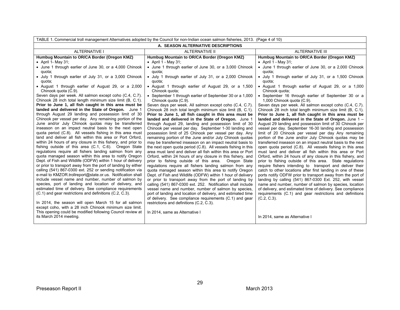| TABLE 1. Commercial troll management Alternatives adopted by the Council for non-Indian ocean salmon fisheries, 2013. (Page 4 of 10) |                                                                                                                  |                                                                                                                |  |  |
|--------------------------------------------------------------------------------------------------------------------------------------|------------------------------------------------------------------------------------------------------------------|----------------------------------------------------------------------------------------------------------------|--|--|
| A. SEASON ALTERNATIVE DESCRIPTIONS                                                                                                   |                                                                                                                  |                                                                                                                |  |  |
| <b>ALTERNATIVE I</b><br><b>ALTERNATIVE II</b><br><b>ALTERNATIVE III</b>                                                              |                                                                                                                  |                                                                                                                |  |  |
| Humbug Mountain to OR/CA Border (Oregon KMZ)                                                                                         | Humbug Mountain to OR/CA Border (Oregon KMZ)                                                                     | Humbug Mountain to OR/CA Border (Oregon KMZ)                                                                   |  |  |
| • April 1- May 31;                                                                                                                   | • April 1 - May 31;                                                                                              | • April 1 - May 31;                                                                                            |  |  |
| • June 1 through earlier of June 30, or a 4,000 Chinook<br>quota;                                                                    | • June 1 through earlier of June 30, or a 3,000 Chinook<br>quota;                                                | • June 1 through earlier of June 30, or a 2,000 Chinook<br>quota;                                              |  |  |
| • July 1 through earlier of July 31, or a 3,000 Chinook<br>quota:                                                                    | • July 1 through earlier of July 31, or a 2,000 Chinook<br>quota;                                                | • July 1 through earlier of July 31, or a 1,500 Chinook<br>quota;                                              |  |  |
| • August 1 through earlier of August 29, or a 2,000<br>Chinook quota (C.9).                                                          | • August 1 through earlier of August 29, or a 1,500<br>Chinook quota;                                            | • August 1 through earlier of August 29, or a 1,000<br>Chinook quota;                                          |  |  |
| Seven days per week. All salmon except coho (C.4, C.7).<br>Chinook 28 inch total length minimum size limit (B, C.1).                 | • September 1 through earlier of September 30 or a 1,000<br>Chinook quota (C.9).                                 | • September 16 through earlier of September 30 or a<br>1,000 Chinook quota (C.9).                              |  |  |
| Prior to June 1, all fish caught in this area must be                                                                                | Seven days per week. All salmon except coho (C.4, C.7).                                                          | Seven days per week. All salmon except coho (C.4, C.7).                                                        |  |  |
| landed and delivered in the State of Oregon. June 1                                                                                  | Chinook 28 inch total length minimum size limit (B, C.1).                                                        | Chinook 28 inch total length minimum size limit (B, C.1).                                                      |  |  |
| through August 29 landing and possession limit of 30                                                                                 | Prior to June 1, all fish caught in this area must be                                                            | Prior to June 1, all fish caught in this area must be                                                          |  |  |
| Chinook per vessel per day. Any remaining portion of the                                                                             | landed and delivered in the State of Oregon. June 1                                                              | landed and delivered in the State of Oregon. June 1 -                                                          |  |  |
| June and/or July Chinook quotas may be transferred                                                                                   | through August 29, landing and possession limit of 30                                                            | August 29 landing and possession limit of 30 Chinook per                                                       |  |  |
| inseason on an impact neutral basis to the next open<br>quota period (C.8). All vessels fishing in this area must                    | Chinook per vessel per day. September 1-30 landing and<br>possession limit of 25 Chinook per vessel per day. Any | vessel per day. September 16-30 landing and possession<br>limit of 20 Chinook per vessel per day Any remaining |  |  |
| land and deliver all fish within this area or Port Orford,                                                                           | remaining portion of the June and/or July Chinook quotas                                                         | portion of the June and/or July Chinook quotas may be                                                          |  |  |
| within 24 hours of any closure in this fishery, and prior to                                                                         | may be transferred inseason on an impact neutral basis to                                                        | transferred inseason on an impact neutral basis to the next                                                    |  |  |
| fishing outside of this area (C.1, C.6). Oregon State                                                                                | the next open quota period $(C.8)$ . All vessels fishing in this                                                 | open quota period (C.8). All vessels fishing in this area                                                      |  |  |
| regulations require all fishers landing salmon from any                                                                              | area must land and deliver all fish within this area or Port                                                     | must land and deliver all fish within this area or Port                                                        |  |  |
| quota managed season within this area to notify Oregon                                                                               | Orford, within 24 hours of any closure in this fishery, and                                                      | Orford, within 24 hours of any closure in this fishery, and                                                    |  |  |
| Dept. of Fish and Wildlife (ODFW) within 1 hour of delivery                                                                          | prior to fishing outside of this area. Oregon State                                                              | prior to fishing outside of this area. State regulations                                                       |  |  |
| or prior to transport away from the port of landing by either                                                                        | regulations require all fishers landing salmon from any                                                          | require fishers intending to transport and deliver their                                                       |  |  |
| calling (541) 867-0300 ext. 252 or sending notification via                                                                          | quota managed season within this area to notify Oregon                                                           | catch to other locations after first landing in one of these                                                   |  |  |
| e-mail to KMZOR.trollreport@state.or.us. Notification shall                                                                          | Dept. of Fish and Wildlife (ODFW) within 1 hour of delivery                                                      | ports notify ODFW prior to transport away from the port of                                                     |  |  |
| include vessel name and number, number of salmon by                                                                                  | or prior to transport away from the port of landing by                                                           | landing by calling (541) 867-0300 Ext. 252, with vessel                                                        |  |  |
| species, port of landing and location of delivery, and                                                                               | calling (541) 867-0300 ext. 252. Notification shall include                                                      | name and number, number of salmon by species, location                                                         |  |  |
| estimated time of delivery. See compliance requirements                                                                              | vessel name and number, number of salmon by species,                                                             | of delivery, and estimated time of delivery. See compliance                                                    |  |  |
| (C.1) and gear restrictions and definitions (C.2, C.3).                                                                              | port of landing and location of delivery, and estimated time                                                     | requirements (C.1) and gear restrictions and definitions                                                       |  |  |
|                                                                                                                                      | of delivery. See compliance requirements (C.1) and gear                                                          | $(C.2, C.3)$ .                                                                                                 |  |  |
| In 2014, the season will open March 15 for all salmon                                                                                | restrictions and definitions (C.2, C.3).                                                                         |                                                                                                                |  |  |
| except coho, with a 28 inch Chinook minimum size limit.                                                                              |                                                                                                                  |                                                                                                                |  |  |
| This opening could be modified following Council review at<br>its March 2014 meeting.                                                | In 2014, same as Alternative I                                                                                   | In 2014, same as Alternative I                                                                                 |  |  |
|                                                                                                                                      |                                                                                                                  |                                                                                                                |  |  |
|                                                                                                                                      |                                                                                                                  |                                                                                                                |  |  |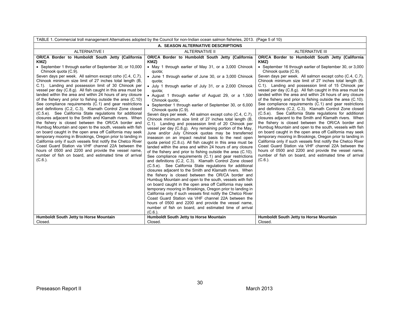| TABLE 1. Commercial troll management Alternatives adopted by the Council for non-Indian ocean salmon fisheries, 2013. (Page 5 of 10)                                                                                                                                                                                                                                                                                                                                                                                                                                                                                                                                                                                                                                                                                                                                                                                                                                                                                                                                                                                                                                                                    |                                                                                                                                                                                                                                                                                                                                                                                                                                                                                                                                                                                                                                                                                                                                                                                                                                                                                                                                                                                                                                                                                                                                                                                                                                                                                                                                                                                                                                                                                                                                                                                                                                                                        |                                                                                                                                                                                                                                                                                                                                                                                                                                                                                                                                                                                                                                                                                                                                                                                                                                                                                                                                                                                                                                                                                                                                                                                                          |  |  |
|---------------------------------------------------------------------------------------------------------------------------------------------------------------------------------------------------------------------------------------------------------------------------------------------------------------------------------------------------------------------------------------------------------------------------------------------------------------------------------------------------------------------------------------------------------------------------------------------------------------------------------------------------------------------------------------------------------------------------------------------------------------------------------------------------------------------------------------------------------------------------------------------------------------------------------------------------------------------------------------------------------------------------------------------------------------------------------------------------------------------------------------------------------------------------------------------------------|------------------------------------------------------------------------------------------------------------------------------------------------------------------------------------------------------------------------------------------------------------------------------------------------------------------------------------------------------------------------------------------------------------------------------------------------------------------------------------------------------------------------------------------------------------------------------------------------------------------------------------------------------------------------------------------------------------------------------------------------------------------------------------------------------------------------------------------------------------------------------------------------------------------------------------------------------------------------------------------------------------------------------------------------------------------------------------------------------------------------------------------------------------------------------------------------------------------------------------------------------------------------------------------------------------------------------------------------------------------------------------------------------------------------------------------------------------------------------------------------------------------------------------------------------------------------------------------------------------------------------------------------------------------------|----------------------------------------------------------------------------------------------------------------------------------------------------------------------------------------------------------------------------------------------------------------------------------------------------------------------------------------------------------------------------------------------------------------------------------------------------------------------------------------------------------------------------------------------------------------------------------------------------------------------------------------------------------------------------------------------------------------------------------------------------------------------------------------------------------------------------------------------------------------------------------------------------------------------------------------------------------------------------------------------------------------------------------------------------------------------------------------------------------------------------------------------------------------------------------------------------------|--|--|
|                                                                                                                                                                                                                                                                                                                                                                                                                                                                                                                                                                                                                                                                                                                                                                                                                                                                                                                                                                                                                                                                                                                                                                                                         | A. SEASON ALTERNATIVE DESCRIPTIONS                                                                                                                                                                                                                                                                                                                                                                                                                                                                                                                                                                                                                                                                                                                                                                                                                                                                                                                                                                                                                                                                                                                                                                                                                                                                                                                                                                                                                                                                                                                                                                                                                                     |                                                                                                                                                                                                                                                                                                                                                                                                                                                                                                                                                                                                                                                                                                                                                                                                                                                                                                                                                                                                                                                                                                                                                                                                          |  |  |
| <b>ALTERNATIVE I</b>                                                                                                                                                                                                                                                                                                                                                                                                                                                                                                                                                                                                                                                                                                                                                                                                                                                                                                                                                                                                                                                                                                                                                                                    | <b>ALTERNATIVE II</b>                                                                                                                                                                                                                                                                                                                                                                                                                                                                                                                                                                                                                                                                                                                                                                                                                                                                                                                                                                                                                                                                                                                                                                                                                                                                                                                                                                                                                                                                                                                                                                                                                                                  | <b>ALTERNATIVE III</b>                                                                                                                                                                                                                                                                                                                                                                                                                                                                                                                                                                                                                                                                                                                                                                                                                                                                                                                                                                                                                                                                                                                                                                                   |  |  |
| OR/CA Border to Humboldt South Jetty (California<br>KMZ)                                                                                                                                                                                                                                                                                                                                                                                                                                                                                                                                                                                                                                                                                                                                                                                                                                                                                                                                                                                                                                                                                                                                                | OR/CA Border to Humboldt South Jetty (California<br>KMZ)                                                                                                                                                                                                                                                                                                                                                                                                                                                                                                                                                                                                                                                                                                                                                                                                                                                                                                                                                                                                                                                                                                                                                                                                                                                                                                                                                                                                                                                                                                                                                                                                               | OR/CA Border to Humboldt South Jetty (California<br>KMZ)                                                                                                                                                                                                                                                                                                                                                                                                                                                                                                                                                                                                                                                                                                                                                                                                                                                                                                                                                                                                                                                                                                                                                 |  |  |
| • September 1 through earlier of September 30, or 10,000<br>Chinook quota (C.9).<br>Seven days per week. All salmon except coho (C.4, C.7).<br>Chinook minimum size limit of 27 inches total length (B,<br>C.1). Landing and possession limit of 30 Chinook per<br>vessel per day (C.8.g). All fish caught in this area must be<br>landed within the area and within 24 hours of any closure<br>of the fishery and prior to fishing outside the area (C.10)<br>See compliance requirements (C.1) and gear restrictions<br>and definitions (C.2, C.3). Klamath Control Zone closed<br>(C.5.e). See California State regulations for additional<br>closures adjacent to the Smith and Klamath rivers. When<br>the fishery is closed between the OR/CA border and<br>Humbug Mountain and open to the south, vessels with fish<br>on board caught in the open area off California may seek<br>temporary mooring in Brookings, Oregon prior to landing in<br>California only if such vessels first notify the Chetco River<br>Coast Guard Station via VHF channel 22A between the<br>hours of 0500 and 2200 and provide the vessel name,<br>number of fish on board, and estimated time of arrival<br>(C.6.) | • May 1 through earlier of May 31, or a 3,000 Chinook<br>quota:<br>• June 1 through earlier of June 30, or a 3,000 Chinook<br>quota:<br>• July 1 through earlier of July 31, or a 2,000 Chinook<br>quota;<br>• August 1 through earlier of August 29, or a 1,500<br>Chinook quota;<br>• September 1 through earlier of September 30, or 6,000<br>Chinook quota (C.9).<br>Seven days per week. All salmon except coho (C.4, C.7).<br>Chinook minimum size limit of 27 inches total length (B,<br>C.1). Landing and possession limit of 20 Chinook per<br>vessel per day (C.8.g). Any remaining portion of the May,<br>June and/or July Chinook quotas may be transferred<br>inseason on an impact neutral basis to the next open<br>quota period (C.8.c). All fish caught in this area must be<br>landed within the area and within 24 hours of any closure<br>of the fishery and prior to fishing outside the area (C.10).<br>See compliance requirements (C.1) and gear restrictions<br>and definitions (C.2, C.3). Klamath Control Zone closed<br>(C.5.e). See California State regulations for additional<br>closures adjacent to the Smith and Klamath rivers. When<br>the fishery is closed between the OR/CA border and<br>Humbug Mountain and open to the south, vessels with fish<br>on board caught in the open area off California may seek<br>temporary mooring in Brookings, Oregon prior to landing in<br>California only if such vessels first notify the Chetco River<br>Coast Guard Station via VHF channel 22A between the<br>hours of 0500 and 2200 and provide the vessel name,<br>number of fish on board, and estimated time of arrival<br>(C.6.) | • September 16 through earlier of September 30, or 3,000<br>Chinook quota (C.9).<br>Seven days per week. All salmon except coho (C.4, C.7).<br>Chinook minimum size limit of 27 inches total length (B,<br>C.1). Landing and possession limit of 15 Chinook per<br>vessel per day (C.8.g). All fish caught in this area must be<br>landed within the area and within 24 hours of any closure<br>of the fishery and prior to fishing outside the area (C.10).<br>See compliance requirements (C.1) and gear restrictions<br>and definitions (C.2, C.3). Klamath Control Zone closed<br>(C.5.e). See California State regulations for additional<br>closures adjacent to the Smith and Klamath rivers. When<br>the fishery is closed between the OR/CA border and<br>Humbug Mountain and open to the south, vessels with fish<br>on board caught in the open area off California may seek<br>temporary mooring in Brookings, Oregon prior to landing in<br>California only if such vessels first notify the Chetco River<br>Coast Guard Station via VHF channel 22A between the<br>hours of 0500 and 2200 and provide the vessel name,<br>number of fish on board, and estimated time of arrival<br>(C.6.) |  |  |
| Humboldt South Jetty to Horse Mountain<br>Closed.                                                                                                                                                                                                                                                                                                                                                                                                                                                                                                                                                                                                                                                                                                                                                                                                                                                                                                                                                                                                                                                                                                                                                       | <b>Humboldt South Jetty to Horse Mountain</b><br>Closed.                                                                                                                                                                                                                                                                                                                                                                                                                                                                                                                                                                                                                                                                                                                                                                                                                                                                                                                                                                                                                                                                                                                                                                                                                                                                                                                                                                                                                                                                                                                                                                                                               | Humboldt South Jetty to Horse Mountain<br>Closed.                                                                                                                                                                                                                                                                                                                                                                                                                                                                                                                                                                                                                                                                                                                                                                                                                                                                                                                                                                                                                                                                                                                                                        |  |  |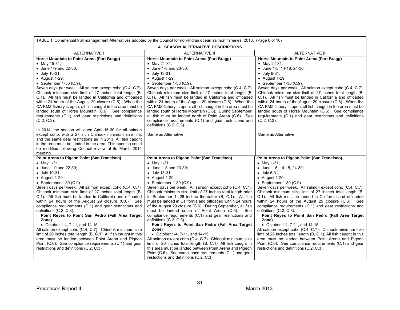|                                                                                                                                                                                                                                                                                                                                                                                                                                                                                                                                                                                                                                                                                                                                                                                                                                     | TABLE 1. Commercial troll management Alternatives adopted by the Council for non-Indian ocean salmon fisheries, 2013. (Page 6 of 10)                                                                                                                                                                                                                                                                                                                                                                                                                                                                                                                                                                                                                                                                                                                                                                                                                          |                                                                                                                                                                                                                                                                                                                                                                                                                                                                                                                                                                                                                                                                                                                                                                                                                                           |  |
|-------------------------------------------------------------------------------------------------------------------------------------------------------------------------------------------------------------------------------------------------------------------------------------------------------------------------------------------------------------------------------------------------------------------------------------------------------------------------------------------------------------------------------------------------------------------------------------------------------------------------------------------------------------------------------------------------------------------------------------------------------------------------------------------------------------------------------------|---------------------------------------------------------------------------------------------------------------------------------------------------------------------------------------------------------------------------------------------------------------------------------------------------------------------------------------------------------------------------------------------------------------------------------------------------------------------------------------------------------------------------------------------------------------------------------------------------------------------------------------------------------------------------------------------------------------------------------------------------------------------------------------------------------------------------------------------------------------------------------------------------------------------------------------------------------------|-------------------------------------------------------------------------------------------------------------------------------------------------------------------------------------------------------------------------------------------------------------------------------------------------------------------------------------------------------------------------------------------------------------------------------------------------------------------------------------------------------------------------------------------------------------------------------------------------------------------------------------------------------------------------------------------------------------------------------------------------------------------------------------------------------------------------------------------|--|
| A. SEASON ALTERNATIVE DESCRIPTIONS                                                                                                                                                                                                                                                                                                                                                                                                                                                                                                                                                                                                                                                                                                                                                                                                  |                                                                                                                                                                                                                                                                                                                                                                                                                                                                                                                                                                                                                                                                                                                                                                                                                                                                                                                                                               |                                                                                                                                                                                                                                                                                                                                                                                                                                                                                                                                                                                                                                                                                                                                                                                                                                           |  |
| <b>ALTERNATIVE I</b>                                                                                                                                                                                                                                                                                                                                                                                                                                                                                                                                                                                                                                                                                                                                                                                                                | <b>ALTERNATIVE II</b>                                                                                                                                                                                                                                                                                                                                                                                                                                                                                                                                                                                                                                                                                                                                                                                                                                                                                                                                         | ALTERNATIVE III                                                                                                                                                                                                                                                                                                                                                                                                                                                                                                                                                                                                                                                                                                                                                                                                                           |  |
| Horse Mountain to Point Arena (Fort Bragg)<br>• May $15-31$ ;<br>• June 1-9 and 22-30;<br>$\bullet$ July 10-31;<br>• August 1-29;<br>• September 1-30 $(C.9)$ .<br>Seven days per week. All salmon except coho (C.4, C.7).<br>Chinook minimum size limit of 27 inches total length (B,<br>C.1). All fish must be landed in California and offloaded<br>within 24 hours of the August 29 closure (C.6). When the<br>CA KMZ fishery is open, all fish caught in the area must be<br>landed south of Horse Mountain (C.6). See compliance<br>requirements (C.1) and gear restrictions and definitions<br>$(C.2, C.3)$ .                                                                                                                                                                                                                | Horse Mountain to Point Arena (Fort Bragg)<br>• May 21-31;<br>• June 1-8 and 23-30;<br>• July 13-31;<br>$\bullet$ August 1-29;<br>• September $1-30$ (C.9).<br>Seven days per week. All salmon except coho (C.4, C.7).<br>Chinook minimum size limit of 27 inches total length (B,<br>C.1). All fish must be landed in California and offloaded<br>within 24 hours of the August 29 closure (C.6). When the<br>CA KMZ fishery is open, all fish caught in the area must be<br>landed south of Horse Mountain (C.6). During September,<br>all fish must be landed north of Point Arena (C.6). See<br>compliance requirements (C.1) and gear restrictions and<br>definitions (C.2, C.3).                                                                                                                                                                                                                                                                        | Horse Mountain to Point Arena (Fort Bragg)<br>• May 24-31;<br>• June 1-5, 14-18, 24-30;<br>• July 6-31;<br>$\bullet$ August 1-29;<br>• September $1-30$ (C.9).<br>Seven days per week. All salmon except coho (C.4, C.7).<br>Chinook minimum size limit of 27 inches total length (B,<br>C.1). All fish must be landed in California and offloaded<br>within 24 hours of the August 29 closure (C.6). When the<br>CA KMZ fishery is open, all fish caught in the area must be<br>landed south of Horse Mountain (C.6). See compliance<br>requirements (C.1) and gear restrictions and definitions<br>$(C.2, C.3)$ .                                                                                                                                                                                                                       |  |
| In 2014, the season will open April 16-30 for all salmon<br>except coho, with a 27 inch Chinook minimum size limit<br>and the same gear restrictions as in 2013. All fish caught<br>in the area must be landed in the area. This opening could<br>be modified following Council review at its March 2014<br>meeting.                                                                                                                                                                                                                                                                                                                                                                                                                                                                                                                | Same as Alternative I                                                                                                                                                                                                                                                                                                                                                                                                                                                                                                                                                                                                                                                                                                                                                                                                                                                                                                                                         | Same as Alternative I                                                                                                                                                                                                                                                                                                                                                                                                                                                                                                                                                                                                                                                                                                                                                                                                                     |  |
| Point Arena to Pigeon Point (San Francisco)                                                                                                                                                                                                                                                                                                                                                                                                                                                                                                                                                                                                                                                                                                                                                                                         | Point Arena to Pigeon Point (San Francisco)<br>• May 1-31;                                                                                                                                                                                                                                                                                                                                                                                                                                                                                                                                                                                                                                                                                                                                                                                                                                                                                                    | Point Arena to Pigeon Point (San Francisco)<br>• May 1-31;                                                                                                                                                                                                                                                                                                                                                                                                                                                                                                                                                                                                                                                                                                                                                                                |  |
| • June 1-9 and 22-30;<br>$\bullet$ July 10-31;<br>$\bullet$ August 1-29;<br>• September $1-30$ (C.9).<br>Seven days per week. All salmon except coho (C.4, C.7).<br>Chinook minimum size limit of 27 inches total length (B,<br>C.1). All fish must be landed in California and offloaded<br>within 24 hours of the August 29 closure (C.6). See<br>compliance requirements (C.1) and gear restrictions and<br>definitions (C.2, C.3).<br>Point Reyes to Point San Pedro (Fall Area Target<br>Zone)<br>• October 1-4, 7-11, and 14-15.<br>All salmon except coho (C.4, C.7). Chinook minimum size<br>limit of 26 inches total length (B, C.1). All fish caught in this<br>area must be landed between Point Arena and Pigeon<br>Point (C.6). See compliance requirements (C.1) and gear<br>restrictions and definitions (C.2, C.3). | • June 1-8 and 23-30;<br>$\bullet$ July 13-31;<br>$\bullet$ August 1-29;<br>• September $1-30$ (C.9).<br>Seven days per week. All salmon except coho (C.4, C.7).<br>Chinook minimum size limit of 27 inches total length prior<br>to September 1, 26 inches thereafter (B, C.1). All fish<br>must be landed in California and offloaded within 24 hours<br>of the August 29 closure (C.6). During September, all fish<br>must be landed south of Point Arena (C.6).<br>See<br>compliance requirements (C.1) and gear restrictions and<br>definitions (C.2, C.3).<br>Point Reyes to Point San Pedro (Fall Area Target<br>Zone)<br>• October 1-4, 7-11, and 14-15.<br>All salmon except coho (C.4, C.7). Chinook minimum size<br>limit of 26 inches total length (B, C.1). All fish caught in<br>this area must be landed between Point Arena and Pigeon<br>Point (C.6). See compliance requirements (C.1) and gear<br>restrictions and definitions (C.2, C.3). | • June 1-5, 14-18, 24-30;<br>$\bullet$ July 6-31,<br>$\bullet$ August 1-29;<br>• September $1-30$ (C.9).<br>Seven days per week. All salmon except coho (C.4, C.7).<br>Chinook minimum size limit of 27 inches total length (B,<br>C.1). All fish must be landed in California and offloaded<br>within 24 hours of the August 29 closure (C.6). See<br>compliance requirements (C.1) and gear restrictions and<br>definitions $(C.2, C.3)$ .<br>Point Reyes to Point San Pedro (Fall Area Target<br>Zone)<br>• October 1-4, 7-11, and 14-15.<br>All salmon except coho (C.4, C.7). Chinook minimum size<br>limit of 26 inches total length (B, C.1). All fish caught in this<br>area must be landed between Point Arena and Pigeon<br>Point (C.6). See compliance requirements (C.1) and gear<br>restrictions and definitions (C.2, C.3). |  |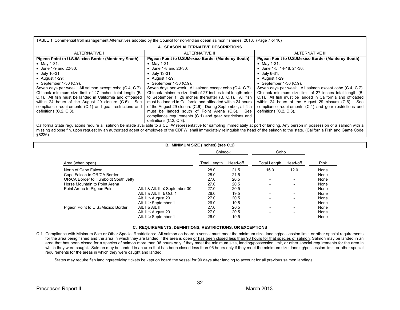| TABLE 1. Commercial troll management Alternatives adopted by the Council for non-Indian ocean salmon fisheries, 2013. (Page 7 of 10) |                                                            |                                                                                                                                                                                     |  |
|--------------------------------------------------------------------------------------------------------------------------------------|------------------------------------------------------------|-------------------------------------------------------------------------------------------------------------------------------------------------------------------------------------|--|
| A. SEASON ALTERNATIVE DESCRIPTIONS                                                                                                   |                                                            |                                                                                                                                                                                     |  |
| <b>ALTERNATIVE I</b>                                                                                                                 | ALTERNATIVE II                                             | ALTERNATIVE III                                                                                                                                                                     |  |
| Pigeon Point to U.S./Mexico Border (Monterey South)                                                                                  | Pigeon Point to U.S./Mexico Border (Monterey South)        | Pigeon Point to U.S./Mexico Border (Monterey South)                                                                                                                                 |  |
| • May 1-31;                                                                                                                          | • May 1-31;                                                | • May 1-31;                                                                                                                                                                         |  |
| • June 1-9 and 22-30;                                                                                                                | • June 1-8 and 23-30;                                      | • June 1-5, 14-18, 24-30;                                                                                                                                                           |  |
| $\bullet$ July 10-31;                                                                                                                | $\bullet$ July 13-31:                                      | $\bullet$ July 6-31,                                                                                                                                                                |  |
| • August $1-29$ ;                                                                                                                    | • August $1-29$ ;                                          | • August 1-29;                                                                                                                                                                      |  |
| • September 1-30 $(C.9)$ .                                                                                                           | • September $1-30$ (C.9).                                  | • September $1-30$ (C.9).                                                                                                                                                           |  |
| Seven days per week. All salmon except coho (C.4, C.7).                                                                              | Seven days per week. All salmon except coho (C.4, C.7).    | Seven days per week. All salmon except coho (C.4, C.7).                                                                                                                             |  |
| Chinook minimum size limit of 27 inches total length (B,                                                                             | Chinook minimum size limit of 27 inches total length prior | Chinook minimum size limit of 27 inches total length (B,                                                                                                                            |  |
| C.1). All fish must be landed in California and offloaded                                                                            | to September 1, 26 inches thereafter (B, C.1). All fish    | C.1). All fish must be landed in California and offloaded                                                                                                                           |  |
| within 24 hours of the August 29 closure (C.6). See                                                                                  | must be landed in California and offloaded within 24 hours | within 24 hours of the August 29 closure (C.6). See                                                                                                                                 |  |
| compliance requirements (C.1) and gear restrictions and                                                                              | of the August 29 closure (C.6). During September, all fish | compliance requirements (C.1) and gear restrictions and                                                                                                                             |  |
| definitions $(C.2, C.3)$ .                                                                                                           | must be landed south of Point Arena (C.6). See             | definitions $(C.2, C.3)$ .                                                                                                                                                          |  |
|                                                                                                                                      | compliance requirements (C.1) and gear restrictions and    |                                                                                                                                                                                     |  |
|                                                                                                                                      | definitions (C.2, C.3).                                    |                                                                                                                                                                                     |  |
|                                                                                                                                      |                                                            | California State regulations require all salmon be made available to a CDFW representative for sampling immediately at port of landing. Any person in possession of a salmon with a |  |
|                                                                                                                                      |                                                            | missing adipose fin, upon request by an authorized agent or employee of the CDFW, shall immediately relinguish the head of the salmon to the state. (California Fish and Game Code  |  |

|                                      |                                       | Chinook             |          | Coho                     |                          |      |
|--------------------------------------|---------------------------------------|---------------------|----------|--------------------------|--------------------------|------|
| Area (when open)                     |                                       | <b>Total Length</b> | Head-off | <b>Total Length</b>      | Head-off                 | Pink |
| North of Cape Falcon                 |                                       | 28.0                | 21.5     | 16.0                     | 12.0                     | None |
| Cape Falcon to OR/CA Border          |                                       | 28.0                | 21.5     | $\overline{\phantom{0}}$ | <b>.</b>                 | None |
| OR/CA Border to Humboldt South Jetty |                                       | 27.0                | 20.5     | $\overline{\phantom{0}}$ | $\overline{\phantom{0}}$ | None |
| Horse Mountain to Point Arena        |                                       | 27.0                | 20.5     | $\overline{\phantom{0}}$ | $\overline{\phantom{0}}$ | None |
| Point Arena to Pigeon Point          | Alt. $8$ Alt. III $\leq$ September 30 | 27.0                | 20.5     | $\overline{\phantom{0}}$ | $\overline{\phantom{0}}$ | None |
|                                      | Alt. $\mid$ & Alt. III $\geq$ Oct. 1  | 26.0                | 19.5     | $\overline{\phantom{0}}$ | $\overline{\phantom{a}}$ | None |
|                                      | Alt. II $\leq$ August 29              | 27.0                | 20.5     | $\overline{\phantom{0}}$ | $\overline{\phantom{0}}$ | None |
|                                      | Alt. $II \geq$ September 1            | 26.0                | 19.5     | $\overline{\phantom{0}}$ | $\overline{\phantom{0}}$ | None |
| Pigeon Point to U.S./Mexico Border   | Alt. I & Alt. III                     | 27.0                | 20.5     | $\overline{\phantom{0}}$ | $\overline{\phantom{a}}$ | None |
|                                      | Alt. II $\leq$ August 29              | 27.0                | 20.5     | -                        | $\overline{\phantom{0}}$ | None |
|                                      | Alt. $II \geq$ September 1            | 26.0                | 19.5     | $\overline{\phantom{0}}$ | $\overline{\phantom{0}}$ | None |

## **C. REQUIREMENTS, DEFINITIONS, RESTRICTIONS, OR EXCEPTIONS**

C.1. Compliance with Minimum Size or Other Special Restrictions: All salmon on board a vessel must meet the minimum size, landing/possession limit, or other special requirements for the area being fished and the area in which they are landed if the area is open or has been closed less than 96 hours for that species of salmon. Salmon may be landed in an area that has been closed for a species of salmon more than 96 hours only if they meet the minimum size, landing/possession limit, or other special requirements for the area in which they were caught. Salmon may be landed in an area that has been closed less than 96 hours only if they meet the minimum size, landing/possession limit, or other special requirements for the areas in which they were caught and landed.

States may require fish landing/receiving tickets be kept on board the vessel for 90 days after landing to account for all previous salmon landings.

§8226)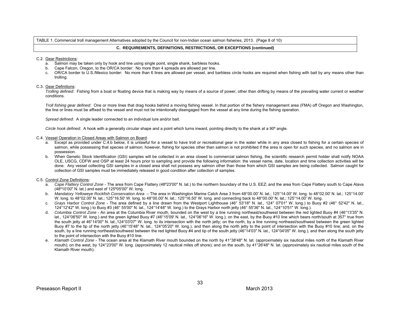TABLE 1. Commercial troll management Alternatives adopted by the Council for non-Indian ocean salmon fisheries, 2013. (Page 8 of 10)

#### **C. REQUIREMENTS, DEFINITIONS, RESTRICTIONS, OR EXCEPTIONS (continued)**

#### C.2. Gear Restrictions:

- a. Salmon may be taken only by hook and line using single point, single shank, barbless hooks.
- b. Cape Falcon, Oregon, to the OR/CA border: No more than 4 spreads are allowed per line.
- c. OR/CA border to U.S./Mexico border: No more than 6 lines are allowed per vessel, and barbless circle hooks are required when fishing with bait by any means other than trolling.

#### C.3. Gear Definitions:

*Trolling defined*: Fishing from a boat or floating device that is making way by means of a source of power, other than drifting by means of the prevailing water current or weather conditions.

*Troll fishing gear defined*: One or more lines that drag hooks behind a moving fishing vessel. In that portion of the fishery management area (FMA) off Oregon and Washington, the line or lines must be affixed to the vessel and must not be intentionally disengaged from the vessel at any time during the fishing operation.

*Spread defined*: A single leader connected to an individual lure and/or bait.

*Circle hook defined*: A hook with a generally circular shape and a point which turns inward, pointing directly to the shank at a 90º angle.

#### C.4. Vessel Operation in Closed Areas with Salmon on Board:

- a. Except as provided under C.4.b below, it is unlawful for a vessel to have troll or recreational gear in the water while in any area closed to fishing for a certain species of salmon, while possessing that species of salmon; however, fishing for species other than salmon is not prohibited if the area is open for such species, and no salmon are in possession.
- b. When Genetic Stock Identification (GSI) samples will be collected in an area closed to commercial salmon fishing, the scientific research permit holder shall notify NOAA OLE, USCG, CDFW and OSP at least 24 hours prior to sampling and provide the following information: the vessel name, date, location and time collection activities will be done. Any vessel collecting GSI samples in a closed area shall not possess any salmon other than those from which GSI samples are being collected. Salmon caught for collection of GSI samples must be immediately released in good condition after collection of samples.

#### C.5. Control Zone Definitions:

- a. *Cape Flattery Control Zone*  The area from Cape Flattery (48º23'00" N. lat.) to the northern boundary of the U.S. EEZ; and the area from Cape Flattery south to Cape Alava (48º10'00" N. lat.) and east of 125º05'00" W. long.
- b. *Mandatory Yelloweye Rockfish Conservation Area* The area in Washington Marine Catch Area 3 from 48°00.00' N. lat.; 125°14.00' W. long. to 48°02.00' N. lat.; 125°14.00' W. long. to 48°02.00' N. lat.; 125°16.50' W. long. to 48°00.00' N. lat.; 125°16.50' W. long. and connecting back to 48°00.00' N. lat.; 125°14.00' W. long.
- c. *Grays Harbor Control Zone* The area defined by a line drawn from the Westport Lighthouse (46° 53'18" N. lat., 124° 07'01" W. long.) to Buoy #2 (46° 52'42" N. lat., 124°12'42" W. long.) to Buoy #3 (46° 55'00" N. lat., 124°14'48" W. long.) to the Grays Harbor north jetty (46° 55'36" N. lat., 124°10'51" W. long.).
- d. *Columbia Control Zone* An area at the Columbia River mouth, bounded on the west by a line running northeast/southwest between the red lighted Buoy #4 (46°13'35" N. lat., 124°06'50" W. long.) and the green lighted Buoy #7 (46°15'09' N. lat., 124°06'16" W. long.); on the east, by the Buoy #10 line which bears north/south at 357° true from the south jetty at 46°14'00" N. lat.,124°03'07" W. long. to its intersection with the north jetty; on the north, by a line running northeast/southwest between the green lighted Buoy #7 to the tip of the north jetty (46°15'48" N. lat., 124°05'20" W. long.), and then along the north jetty to the point of intersection with the Buoy #10 line; and, on the south, by a line running northeast/southwest between the red lighted Buoy #4 and tip of the south jetty (46°14'03" N. lat., 124°04'05" W. long.), and then along the south jetty to the point of intersection with the Buoy #10 line.
- e. *Klamath Control Zone* The ocean area at the Klamath River mouth bounded on the north by 41°38'48" N. lat. (approximately six nautical miles north of the Klamath River mouth); on the west, by 124°23'00" W. long. (approximately 12 nautical miles off shore); and on the south, by 41°26'48" N. lat. (approximately six nautical miles south of the Klamath River mouth).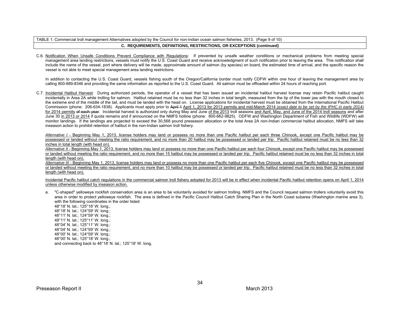TABLE 1. Commercial troll management Alternatives adopted by the Council for non-Indian ocean salmon fisheries, 2013. (Page 9 of 10) **C. REQUIREMENTS, DEFINITIONS, RESTRICTIONS, OR EXCEPTIONS (continued)** 

C.6. Notification When Unsafe Conditions Prevent Compliance with Regulations: If prevented by unsafe weather conditions or mechanical problems from meeting special management area landing restrictions, vessels must notify the U.S. Coast Guard and receive acknowledgment of such notification prior to leaving the area. This notification shall include the name of the vessel, port where delivery will be made, approximate amount of salmon (by species) on board, the estimated time of arrival, and the specific reason the vessel is not able to meet special management area landing restrictions.

In addition to contacting the U.S. Coast Guard, vessels fishing south of the Oregon/California border must notify CDFW within one hour of leaving the management area by calling 800-889-8346 and providing the same information as reported to the U.S. Coast Guard. All salmon must be offloaded within 24 hours of reaching port.

C.7. Incidental Halibut Harvest: During authorized periods, the operator of a vessel that has been issued an incidental halibut harvest license may retain Pacific halibut caught incidentally in Area 2A while trolling for salmon. Halibut retained must be no less than 32 inches in total length, measured from the tip of the lower jaw with the mouth closed to the extreme end of the middle of the tail, and must be landed with the head on. License applications for incidental harvest must be obtained from the International Pacific Halibut Commission (phone: 206-634-1838). Applicants must apply prior to April 1, 2013 for 2013 permits and mid-March 2014 (*exact date to be set by the IPHC in early 2014*) for 2014 permits of each year. Incidental harvest is authorized only during May and June of the 2013 troll seasons and April, May, and June of the 2014 troll seasons and after June 30 in 2013 or 2014 if quota remains and if announced on the NMFS hotline (phone: 800-662-9825). ODFW and Washington Department of Fish and Wildlife (WDFW) will monitor landings. If the landings are projected to exceed the 30,568 pound preseason allocation or the total Area 2A non-Indian commercial halibut allocation, NMFS will take inseason action to prohibit retention of halibut in the non-Indian salmon troll fishery.

*Alternative I* - Beginning May 1, 2013, license holders may land or possess no more than one Pacific halibut per each three Chinook, except one Pacific halibut may be possessed or landed without meeting the ratio requirement, and no more than 20 halibut may be possessed or landed per trip. Pacific halibut retained must be no less than 32 inches in total length (with head on).

*Alternative II* - Beginning May 1, 2013, license holders may land or possess no more than one Pacific halibut per each four Chinook, except one Pacific halibut may be possessed or landed without meeting the ratio requirement, and no more than 15 halibut may be possessed or landed per trip. Pacific halibut retained must be no less than 32 inches in total length (with head on).

Alternative III - Beginning May 1, 2013, license holders may land or possess no more than one Pacific halibut per each five Chinook, except one Pacific halibut may be possessed or landed without meeting the ratio requirement, and no more than 10 halibut may be possessed or landed per trip. Pacific halibut retained must be no less than 32 inches in total length (with head on).

Incidental Pacific halibut catch regulations in the commercial salmon troll fishery adopted for 2013 will be in effect when incidental Pacific halibut retention opens on April 1, 2014 unless otherwise modified by inseason action.

a. "C-shaped" yelloweye rockfish conservation area is an area to be voluntarily avoided for salmon trolling. NMFS and the Council request salmon trollers voluntarily avoid this area in order to protect yelloweye rockfish. The area is defined in the Pacific Council Halibut Catch Sharing Plan in the North Coast subarea (Washington marine area 3), with the following coordinates in the order listed:

34

48°18' N. lat.; 125°18' W. long.; 48°18' N. lat.; 124°59' W. long.; 48°11' N. lat.; 124°59' W. long.; 48°11' N. lat.; 125°11' W. long.; 48°04' N. lat.; 125°11' W. long.; 48°04' N. lat.; 124°59' W. long.; 48°00' N. lat.; 124°59' W. long.; 48°00' N. lat.; 125°18' W. long.; and connecting back to 48°18' N. lat.; 125°18' W. long.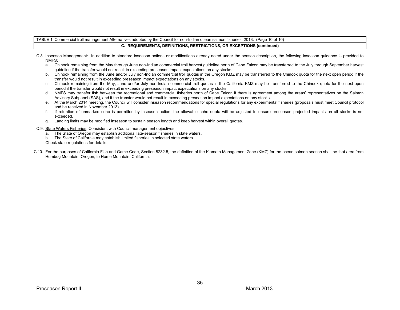TABLE 1. Commercial troll management Alternatives adopted by the Council for non-Indian ocean salmon fisheries, 2013. (Page 10 of 10) **C. REQUIREMENTS, DEFINITIONS, RESTRICTIONS, OR EXCEPTIONS (continued)** 

- C.8. Inseason Management: In addition to standard inseason actions or modifications already noted under the season description, the following inseason guidance is provided to NMFS:
	- a. Chinook remaining from the May through June non-Indian commercial troll harvest guideline north of Cape Falcon may be transferred to the July through September harvest guideline if the transfer would not result in exceeding preseason impact expectations on any stocks.
	- b. Chinook remaining from the June and/or July non-Indian commercial troll quotas in the Oregon KMZ may be transferred to the Chinook quota for the next open period if the transfer would not result in exceeding preseason impact expectations on any stocks.
	- c. Chinook remaining from the May, June and/or July non-Indian commercial troll quotas in the California KMZ may be transferred to the Chinook quota for the next open period if the transfer would not result in exceeding preseason impact expectations on any stocks.
	- d. NMFS may transfer fish between the recreational and commercial fisheries north of Cape Falcon if there is agreement among the areas' representatives on the Salmon Advisory Subpanel (SAS), and if the transfer would not result in exceeding preseason impact expectations on any stocks.
	- e. At the March 2014 meeting, the Council will consider inseason recommendations for special regulations for any experimental fisheries (proposals must meet Council protocol and be received in November 2013).
	- f. If retention of unmarked coho is permitted by inseason action, the allowable coho quota will be adjusted to ensure preseason projected impacts on all stocks is not exceeded.
	- g. Landing limits may be modified inseason to sustain season length and keep harvest within overall quotas.
- C.9. State Waters Fisheries: Consistent with Council management objectives:
	- a. The State of Oregon may establish additional late-season fisheries in state waters.
	- b. The State of California may establish limited fisheries in selected state waters.
	- Check state regulations for details.
- C.10. For the purposes of California Fish and Game Code, Section 8232.5, the definition of the Klamath Management Zone (KMZ) for the ocean salmon season shall be that area from Humbug Mountain, Oregon, to Horse Mountain, California.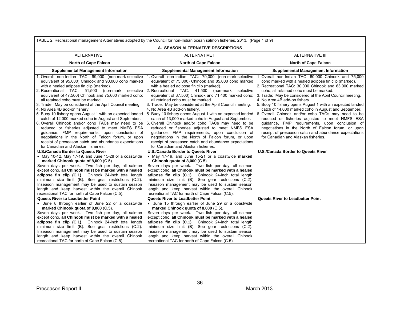| TABLE 2. Recreational management Alternatives adopted by the Council for non-Indian ocean salmon fisheries, 2013. (Page 1 of 9)                                                                                                                                                                                                                                                                                                                                                                                                                                                                                                                                                                                                                                                                                                                                                                                                               |                                                                                                                                                                                                                                                                                                                                                                                                                                                                                                                                                                                                                                                                                                                                                                                                                                   |                                                                                                                                                                                                                                                                                                                                                                                                                                                                                                                                                                                                                                                                                                                                                                                               |  |
|-----------------------------------------------------------------------------------------------------------------------------------------------------------------------------------------------------------------------------------------------------------------------------------------------------------------------------------------------------------------------------------------------------------------------------------------------------------------------------------------------------------------------------------------------------------------------------------------------------------------------------------------------------------------------------------------------------------------------------------------------------------------------------------------------------------------------------------------------------------------------------------------------------------------------------------------------|-----------------------------------------------------------------------------------------------------------------------------------------------------------------------------------------------------------------------------------------------------------------------------------------------------------------------------------------------------------------------------------------------------------------------------------------------------------------------------------------------------------------------------------------------------------------------------------------------------------------------------------------------------------------------------------------------------------------------------------------------------------------------------------------------------------------------------------|-----------------------------------------------------------------------------------------------------------------------------------------------------------------------------------------------------------------------------------------------------------------------------------------------------------------------------------------------------------------------------------------------------------------------------------------------------------------------------------------------------------------------------------------------------------------------------------------------------------------------------------------------------------------------------------------------------------------------------------------------------------------------------------------------|--|
| A. SEASON ALTERNATIVE DESCRIPTIONS                                                                                                                                                                                                                                                                                                                                                                                                                                                                                                                                                                                                                                                                                                                                                                                                                                                                                                            |                                                                                                                                                                                                                                                                                                                                                                                                                                                                                                                                                                                                                                                                                                                                                                                                                                   |                                                                                                                                                                                                                                                                                                                                                                                                                                                                                                                                                                                                                                                                                                                                                                                               |  |
| <b>ALTERNATIVE I</b><br><b>ALTERNATIVE III</b><br><b>ALTERNATIVE II</b>                                                                                                                                                                                                                                                                                                                                                                                                                                                                                                                                                                                                                                                                                                                                                                                                                                                                       |                                                                                                                                                                                                                                                                                                                                                                                                                                                                                                                                                                                                                                                                                                                                                                                                                                   |                                                                                                                                                                                                                                                                                                                                                                                                                                                                                                                                                                                                                                                                                                                                                                                               |  |
| <b>North of Cape Falcon</b>                                                                                                                                                                                                                                                                                                                                                                                                                                                                                                                                                                                                                                                                                                                                                                                                                                                                                                                   | North of Cape Falcon                                                                                                                                                                                                                                                                                                                                                                                                                                                                                                                                                                                                                                                                                                                                                                                                              | <b>North of Cape Falcon</b>                                                                                                                                                                                                                                                                                                                                                                                                                                                                                                                                                                                                                                                                                                                                                                   |  |
| <b>Supplemental Management Information</b>                                                                                                                                                                                                                                                                                                                                                                                                                                                                                                                                                                                                                                                                                                                                                                                                                                                                                                    | <b>Supplemental Management Information</b>                                                                                                                                                                                                                                                                                                                                                                                                                                                                                                                                                                                                                                                                                                                                                                                        | <b>Supplemental Management Information</b>                                                                                                                                                                                                                                                                                                                                                                                                                                                                                                                                                                                                                                                                                                                                                    |  |
| 1. Overall non-Indian TAC: 99,000 (non-mark-selective<br>equivalent of 95,000) Chinook and 90,000 coho marked<br>with a healed adipose fin clip (marked).<br>2. Recreational TAC: 51,500 (non-mark selective<br>equivalent of 47,500) Chinook and 75,600 marked coho;<br>all retained coho must be marked.<br>3. Trade: May be considered at the April Council meeting.<br>4. No Area 4B add-on fishery.<br>5. Buoy 10 fishery opens August 1 with an expected landed<br>catch of 12,000 marked coho in August and September.<br>6. Overall Chinook and/or coho TACs may need to be 6. Overall Chinook and/or coho TACs may need to be<br>reduced or fisheries adjusted to meet NMFS ESA<br>guidance, FMP requirements, upon conclusion of<br>negotiations in the North of Falcon forum, or upon<br>receipt of preseason catch and abundance expectations<br>for Canadian and Alaskan fisheries.<br><b>U.S./Canada Border to Queets River</b> | Overall non-Indian TAC: 79,000 (non-mark-selective<br>equivalent of 75,000) Chinook and 85,000 coho marked<br>with a healed adipose fin clip (marked).<br>2. Recreational TAC: 41,500 (non-mark selective<br>equivalent of 37,500) Chinook and 71,400 marked coho;<br>all retained coho must be marked.<br>3. Trade: May be considered at the April Council meeting.<br>4. No Area 4B add-on fishery.<br>5. Buoy 10 fishery opens August 1 with an expected landed<br>catch of 13,000 marked coho in August and September.<br>reduced or fisheries adjusted to meet NMFS ESA<br>guidance, FMP requirements, upon conclusion of<br>negotiations in the North of Falcon forum, or upon<br>receipt of preseason catch and abundance expectations<br>for Canadian and Alaskan fisheries.<br><b>U.S./Canada Border to Queets River</b> | Overall non-Indian TAC: 60,000 Chinook and 75,000<br>coho marked with a healed adipose fin clip (marked).<br>2. Recreational TAC: 30,000 Chinook and 63,000 marked<br>coho; all retained coho must be marked.<br>3. Trade: May be considered at the April Council meeting.<br>4. No Area 4B add-on fishery.<br>5. Buoy 10 fishery opens August 1 with an expected landed<br>catch of 14,000 marked coho in August and September.<br>6. Overall Chinook and/or coho TACs may need to be<br>reduced or fisheries adjusted to meet NMFS ESA<br>guidance, FMP requirements, upon conclusion of<br>negotiations in the North of Falcon forum, or upon<br>receipt of preseason catch and abundance expectations<br>for Canadian and Alaskan fisheries.<br><b>U.S./Canada Border to Queets River</b> |  |
| • May 10-12, May 17-19, and June 15-28 or a coastwide<br>marked Chinook quota of 8,000 (C.5).<br>Seven days per week. Two fish per day, all salmon<br>except coho, all Chinook must be marked with a healed<br>adipose fin clip (C.1). Chinook 24-inch total length<br>minimum size limit (B). See gear restrictions (C.2).<br>Inseason management may be used to sustain season<br>length and keep harvest within the overall Chinook<br>recreational TAC for north of Cape Falcon (C.5).                                                                                                                                                                                                                                                                                                                                                                                                                                                    | • May 17-19, and June 15-21 or a coastwide marked<br>Chinook quota of 8,000 $(C.5)$ .<br>Seven days per week. Two fish per day, all salmon<br>except coho, all Chinook must be marked with a healed<br>adipose fin clip (C.1). Chinook 24-inch total length<br>minimum size limit (B). See gear restrictions (C.2).<br>Inseason management may be used to sustain season<br>length and keep harvest within the overall Chinook<br>recreational TAC for north of Cape Falcon (C.5).                                                                                                                                                                                                                                                                                                                                                |                                                                                                                                                                                                                                                                                                                                                                                                                                                                                                                                                                                                                                                                                                                                                                                               |  |
| Queets River to Leadbetter Point                                                                                                                                                                                                                                                                                                                                                                                                                                                                                                                                                                                                                                                                                                                                                                                                                                                                                                              | Queets River to Leadbetter Point                                                                                                                                                                                                                                                                                                                                                                                                                                                                                                                                                                                                                                                                                                                                                                                                  | Queets River to Leadbetter Point                                                                                                                                                                                                                                                                                                                                                                                                                                                                                                                                                                                                                                                                                                                                                              |  |
| • June 8 through earlier of June 22 or a coastwide<br>marked Chinook quota of 8,000 (C.5).<br>Seven days per week. Two fish per day, all salmon<br>except coho, all Chinook must be marked with a healed<br>adipose fin clip (C.1). Chinook 24-inch total length<br>minimum size limit (B). See gear restrictions (C.2).<br>Inseason management may be used to sustain season<br>length and keep harvest within the overall Chinook<br>recreational TAC for north of Cape Falcon (C.5).                                                                                                                                                                                                                                                                                                                                                                                                                                                       | • June 15 through earlier of June 29 or a coastwide<br>marked Chinook quota of 8,000 (C.5).<br>Seven days per week. Two fish per day, all salmon<br>except coho, all Chinook must be marked with a healed<br>adipose fin clip (C.1). Chinook 24-inch total length<br>minimum size limit (B). See gear restrictions (C.2).<br>Inseason management may be used to sustain season<br>length and keep harvest within the overall Chinook<br>recreational TAC for north of Cape Falcon (C.5).                                                                                                                                                                                                                                                                                                                                          |                                                                                                                                                                                                                                                                                                                                                                                                                                                                                                                                                                                                                                                                                                                                                                                               |  |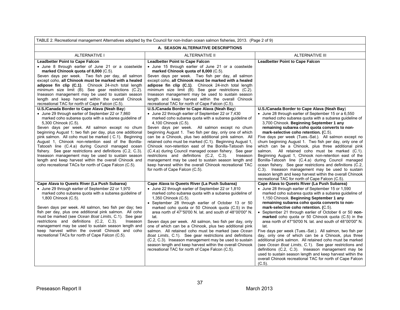| TABLE 2. Recreational management Alternatives adopted by the Council for non-Indian ocean salmon fisheries, 2013. (Page 2 of 9)                                                                                                                                                                                                                                                                                                                                                                                                                                                                                                                                                                                |                                                                                                                                                                                                                                                                                                                                                                                                                                                                                                                                                                                                                                                                                                                                                                                         |                                                                                                                                                                                                                                                                                                                                                                                                                                                                                                                                                                                                                                                                                                                                                                                                                                                                                                                                                             |  |  |
|----------------------------------------------------------------------------------------------------------------------------------------------------------------------------------------------------------------------------------------------------------------------------------------------------------------------------------------------------------------------------------------------------------------------------------------------------------------------------------------------------------------------------------------------------------------------------------------------------------------------------------------------------------------------------------------------------------------|-----------------------------------------------------------------------------------------------------------------------------------------------------------------------------------------------------------------------------------------------------------------------------------------------------------------------------------------------------------------------------------------------------------------------------------------------------------------------------------------------------------------------------------------------------------------------------------------------------------------------------------------------------------------------------------------------------------------------------------------------------------------------------------------|-------------------------------------------------------------------------------------------------------------------------------------------------------------------------------------------------------------------------------------------------------------------------------------------------------------------------------------------------------------------------------------------------------------------------------------------------------------------------------------------------------------------------------------------------------------------------------------------------------------------------------------------------------------------------------------------------------------------------------------------------------------------------------------------------------------------------------------------------------------------------------------------------------------------------------------------------------------|--|--|
|                                                                                                                                                                                                                                                                                                                                                                                                                                                                                                                                                                                                                                                                                                                | A. SEASON ALTERNATIVE DESCRIPTIONS                                                                                                                                                                                                                                                                                                                                                                                                                                                                                                                                                                                                                                                                                                                                                      |                                                                                                                                                                                                                                                                                                                                                                                                                                                                                                                                                                                                                                                                                                                                                                                                                                                                                                                                                             |  |  |
| <b>ALTERNATIVE I</b>                                                                                                                                                                                                                                                                                                                                                                                                                                                                                                                                                                                                                                                                                           | ALTERNATIVE II                                                                                                                                                                                                                                                                                                                                                                                                                                                                                                                                                                                                                                                                                                                                                                          | <b>ALTERNATIVE III</b>                                                                                                                                                                                                                                                                                                                                                                                                                                                                                                                                                                                                                                                                                                                                                                                                                                                                                                                                      |  |  |
| <b>Leadbetter Point to Cape Falcon</b><br>• June 8 through earlier of June 21 or a coastwide<br>marked Chinook quota of 8,000 (C.5).<br>Seven days per week. Two fish per day, all salmon<br>except coho, all Chinook must be marked with a healed<br>adipose fin clip (C.1). Chinook 24-inch total length<br>minimum size limit (B). See gear restrictions (C.2).<br>Inseason management may be used to sustain season<br>length and keep harvest within the overall Chinook<br>recreational TAC for north of Cape Falcon (C.5).                                                                                                                                                                              | <b>Leadbetter Point to Cape Falcon</b><br>• June 15 through earlier of June 21 or a coastwide<br>marked Chinook quota of 8,000 (C.5).<br>Seven days per week. Two fish per day, all salmon<br>except coho, all Chinook must be marked with a healed<br>adipose fin clip (C.1). Chinook 24-inch total length<br>minimum size limit (B). See gear restrictions (C.2).<br>Inseason management may be used to sustain season<br>length and keep harvest within the overall Chinook<br>recreational TAC for north of Cape Falcon (C.5).                                                                                                                                                                                                                                                      | <b>Leadbetter Point to Cape Falcon</b>                                                                                                                                                                                                                                                                                                                                                                                                                                                                                                                                                                                                                                                                                                                                                                                                                                                                                                                      |  |  |
| U.S./Canada Border to Cape Alava (Neah Bay)<br>• June 29 through earlier of September 22 or 7,860<br>marked coho subarea quota with a subarea quideline of<br>5,300 Chinook (C.5).<br>Seven days per week. All salmon except no chum<br>beginning August 1; two fish per day, plus one additional<br>pink salmon. All coho must be marked (C.1). Beginning<br>August 1, Chinook non-retention east of the Bonilla-<br>Tatoosh line (C.4.a) during Council managed ocean<br>fishery. See gear restrictions and definitions (C.2, C.3).<br>Inseason management may be used to sustain season<br>length and keep harvest within the overall Chinook and<br>coho recreational TACs for north of Cape Falcon (C.5). | U.S./Canada Border to Cape Alava (Neah Bay)<br>• June 22 through earlier of September 22 or 7,430<br>marked coho subarea quota with a subarea quideline of<br>4,100 Chinook (C.5).<br>Seven days per week. All salmon except no chum<br>beginning August 1. Two fish per day, only one of which<br>can be a Chinook, plus two additional pink salmon. All<br>retained coho must be marked (C.1). Beginning August 1,<br>Chinook non-retention east of the Bonilla-Tatoosh line<br>(C.4.a) during Council managed ocean fishery. See gear<br>restrictions and definitions (C.2, C.3).<br>Inseason<br>management may be used to sustain season length and<br>keep harvest within the overall Chinook recreational TAC<br>for north of Cape Falcon (C.5).                                  | U.S./Canada Border to Cape Alava (Neah Bay)<br>• June 28 through earlier of September 15 or a 6,550<br>marked coho subarea quota with a subarea quideline of<br>3,700 Chinook. Beginning September 1 any<br>remaining subarea coho quota converts to non-<br>mark-selective coho retention. (C.5).<br>Five days per week (Tues.-Sat.). All salmon except no<br>chum beginning August 1. Two fish per day, only one of<br>which can be a Chinook, plus three additional pink<br>salmon. All retained coho must be marked (C.1).<br>Beginning August 1, Chinook non-retention east of the<br>Bonilla-Tatoosh line (C.4.a) during Council managed<br>ocean fishery. See gear restrictions and definitions (C.2,<br>C.3). Inseason management may be used to sustain<br>season length and keep harvest within the overall Chinook<br>recreational TAC for north of Cape Falcon (C.5).                                                                           |  |  |
| Cape Alava to Queets River (La Push Subarea)<br>• June 29 through earlier of September 22 or 1,970<br>marked coho subarea quota with a subarea guideline of<br>1,800 Chinook (C.5).<br>Seven days per week. All salmon, two fish per day; two<br>fish per day, plus one additional pink salmon. All coho<br>must be marked (see Ocean Boat Limits, C.1). See gear<br>restrictions and definitions (C.2, C.3).<br>Inseason<br>management may be used to sustain season length and<br>keep harvest within the overall Chinook and coho<br>recreational TACs for north of Cape Falcon (C.5).                                                                                                                      | Cape Alava to Queets River (La Push Subarea)<br>• June 22 through earlier of September 22 or 1,810<br>marked coho subarea quota with a subarea guideline of<br>1,350 Chinook (C.5).<br>• September 28 through earlier of October 13 or 50<br>marked coho quota or 50 Chinook quota (C.5) in the<br>area north of 47°50'00 N. lat. and south of 48°00'00" N.<br>lat.<br>Seven days per week. All salmon, two fish per day, only<br>one of which can be a Chinook, plus two additional pink<br>salmon. All retained coho must be marked (see Ocean<br>Boat Limits, C.1). See gear restrictions and definitions<br>(C.2, C.3). Inseason management may be used to sustain<br>season length and keep harvest within the overall Chinook<br>recreational TAC for north of Cape Falcon (C.5). | Cape Alava to Queets River (La Push Subarea)<br>• June 28 through earlier of September 15 or 1,590<br>marked coho subarea quota with a subarea guideline of<br>1,150 Chinook. Beginning September 1 any<br>remaining subarea coho quota converts to non-<br>mark-selective coho retention. (C.5).<br>September 21 through earlier of October 6 or 50 non-<br>$\bullet$<br>marked coho quota or 50 Chinook quota (C.5) in the<br>area north of $47^{\circ}50'00$ N. lat. and south of $48^{\circ}00'00''$ N.<br>lat.<br>Five days per week (Tues.-Sat.). All salmon, two fish per<br>day, only one of which can be a Chinook, plus three<br>additional pink salmon. All retained coho must be marked<br>(see Ocean Boat Limits, C.1). See gear restrictions and<br>definitions (C.2, C.3). Inseason management may be<br>used to sustain season length and keep harvest within the<br>overall Chinook recreational TAC for north of Cape Falcon<br>$(C.5)$ . |  |  |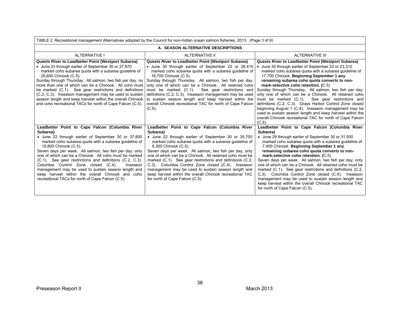| TABLE 2. Recreational management Alternatives adopted by the Council for non-Indian ocean salmon fisheries, 2013. (Page 3 of 9)                                                                                                                                                                                                                                                                                                                                                                                                                                                                          |                                                                                                                                                                                                                                                                                                                                                                                                                                                                                                                                                                                                     |                                                                                                                                                                                                                                                                                                                                                                                                                                                                                                                                                                                                                                                                                                                                           |  |
|----------------------------------------------------------------------------------------------------------------------------------------------------------------------------------------------------------------------------------------------------------------------------------------------------------------------------------------------------------------------------------------------------------------------------------------------------------------------------------------------------------------------------------------------------------------------------------------------------------|-----------------------------------------------------------------------------------------------------------------------------------------------------------------------------------------------------------------------------------------------------------------------------------------------------------------------------------------------------------------------------------------------------------------------------------------------------------------------------------------------------------------------------------------------------------------------------------------------------|-------------------------------------------------------------------------------------------------------------------------------------------------------------------------------------------------------------------------------------------------------------------------------------------------------------------------------------------------------------------------------------------------------------------------------------------------------------------------------------------------------------------------------------------------------------------------------------------------------------------------------------------------------------------------------------------------------------------------------------------|--|
| A. SEASON ALTERNATIVE DESCRIPTIONS                                                                                                                                                                                                                                                                                                                                                                                                                                                                                                                                                                       |                                                                                                                                                                                                                                                                                                                                                                                                                                                                                                                                                                                                     |                                                                                                                                                                                                                                                                                                                                                                                                                                                                                                                                                                                                                                                                                                                                           |  |
| <b>ALTERNATIVE I</b>                                                                                                                                                                                                                                                                                                                                                                                                                                                                                                                                                                                     | <b>ALTERNATIVE II</b>                                                                                                                                                                                                                                                                                                                                                                                                                                                                                                                                                                               | <b>ALTERNATIVE III</b>                                                                                                                                                                                                                                                                                                                                                                                                                                                                                                                                                                                                                                                                                                                    |  |
| Queets River to Leadbetter Point (Westport Subarea)<br>• June 23 through earlier of September 30 or 27,970<br>marked coho subarea quota with a subarea guideline of<br>25,600 Chinook (C.5).<br>Sunday through Thursday. All salmon; two fish per day, no<br>more than one of which can be a Chinook. All coho must<br>be marked (C.1). See gear restrictions and definitions<br>(C.2, C.3). Inseason management may be used to sustain<br>season length and keep harvest within the overall Chinook<br>and coho recreational TACs for north of Cape Falcon (C.5).                                       | Queets River to Leadbetter Point (Westport Subarea)<br>• June 30 through earlier of September 22 or 26,410<br>marked coho subarea quota with a subarea guideline of<br>19,700 Chinook (C.5).<br>Sunday through Thursday. All salmon, two fish per day,<br>only one of which can be a Chinook. All retained coho<br>must be marked (C.1).<br>See gear restrictions and<br>definitions (C.2, C.3). Inseason management may be used<br>to sustain season length and keep harvest within the<br>overall Chinook recreational TAC for north of Cape Falcon<br>$(C.5)$ .                                  | Queets River to Leadbetter Point (Westport Subarea)<br>• June 30 through earlier of September 22 or 23,310<br>marked coho subarea quota with a subarea quideline of<br>17,700 Chinook. Beginning September 1 any<br>remaining subarea coho quota converts to non-<br>mark-selective coho retention. (C.5)<br>Sunday through Thursday. All salmon, two fish per day,<br>only one of which can be a Chinook. All retained coho<br>must be marked (C.1).<br>See gear restrictions and<br>definitions (C.2, C.3). Grays Harbor Control Zone closed<br>beginning August 1 (C.4). Inseason management may be<br>used to sustain season length and keep harvest within the<br>overall Chinook recreational TAC for north of Cape Falcon<br>(C.5) |  |
| Leadbetter Point to Cape Falcon (Columbia River<br>Subarea)<br>• June 22 through earlier of September 30 or 37,800<br>marked coho subarea quota with a subarea guideline of<br>10,800 Chinook (C.5).<br>Seven days per week. All salmon, two fish per day, only<br>one of which can be a Chinook. All coho must be marked<br>(C.1). See gear restrictions and definitions (C.2, C.3).<br>Columbia Control Zone closed (C.4).<br>Inseason<br>management may be used to sustain season length and<br>keep harvest within the overall Chinook and coho<br>recreational TACs for north of Cape Falcon (C.5). | Leadbetter Point to Cape Falcon (Columbia River<br>Subarea)<br>• June 22 through earlier of September 30 or 35,700<br>marked coho subarea quota with a subarea guideline of<br>8,300 Chinook (C.5).<br>Seven days per week. All salmon, two fish per day, only<br>one of which can be a Chinook. All retained coho must be<br>marked (C.1). See gear restrictions and definitions (C.2,<br>C.3). Columbia Control Zone closed (C.4). Inseason<br>management may be used to sustain season length and<br>keep harvest within the overall Chinook recreational TAC<br>for north of Cape Falcon (C.5). | Leadbetter Point to Cape Falcon (Columbia River<br>Subarea)<br>• June 29 through earlier of September 30 or 31,500<br>marked coho subarea quota with a subarea guideline of<br>7,400 Chinook. Beginning September 1 any<br>remaining subarea coho quota converts to non-<br>mark-selective coho retention. (C.5).<br>Seven days per week. All salmon, two fish per day, only<br>one of which can be a Chinook. All retained coho must be<br>marked (C.1). See gear restrictions and definitions (C.2,<br>C.3). Columbia Control Zone closed (C.4). Inseason<br>management may be used to sustain season length and<br>keep harvest within the overall Chinook recreational TAC<br>for north of Cape Falcon (C.5).                         |  |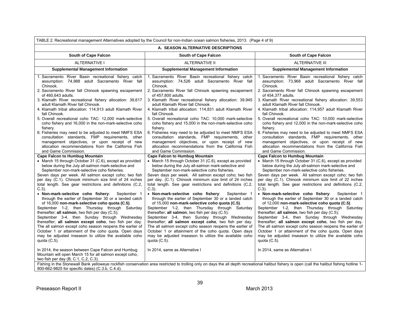| TABLE 2. Recreational management Alternatives adopted by the Council for non-Indian ocean salmon fisheries, 2013. (Page 4 of 9)                                                                                                                                                                                                                                                                                                                                                                                                                                                                                                                                                                                                                                                                                                                                                                                                                                                                                                        |                                                                                                                                                                                                                                                                                                                                                                                                                                                                                                                                                                                                                                                                                                                                                                                                                                                                                                                                                                                                                                                                |                                                                                                                                                                                                                                                                                                                                                                                                                                                                                                                                                                                                                                                                                                                                                                                                                                                                                                                         |  |
|----------------------------------------------------------------------------------------------------------------------------------------------------------------------------------------------------------------------------------------------------------------------------------------------------------------------------------------------------------------------------------------------------------------------------------------------------------------------------------------------------------------------------------------------------------------------------------------------------------------------------------------------------------------------------------------------------------------------------------------------------------------------------------------------------------------------------------------------------------------------------------------------------------------------------------------------------------------------------------------------------------------------------------------|----------------------------------------------------------------------------------------------------------------------------------------------------------------------------------------------------------------------------------------------------------------------------------------------------------------------------------------------------------------------------------------------------------------------------------------------------------------------------------------------------------------------------------------------------------------------------------------------------------------------------------------------------------------------------------------------------------------------------------------------------------------------------------------------------------------------------------------------------------------------------------------------------------------------------------------------------------------------------------------------------------------------------------------------------------------|-------------------------------------------------------------------------------------------------------------------------------------------------------------------------------------------------------------------------------------------------------------------------------------------------------------------------------------------------------------------------------------------------------------------------------------------------------------------------------------------------------------------------------------------------------------------------------------------------------------------------------------------------------------------------------------------------------------------------------------------------------------------------------------------------------------------------------------------------------------------------------------------------------------------------|--|
| A. SEASON ALTERNATIVE DESCRIPTIONS                                                                                                                                                                                                                                                                                                                                                                                                                                                                                                                                                                                                                                                                                                                                                                                                                                                                                                                                                                                                     |                                                                                                                                                                                                                                                                                                                                                                                                                                                                                                                                                                                                                                                                                                                                                                                                                                                                                                                                                                                                                                                                |                                                                                                                                                                                                                                                                                                                                                                                                                                                                                                                                                                                                                                                                                                                                                                                                                                                                                                                         |  |
| <b>South of Cape Falcon</b>                                                                                                                                                                                                                                                                                                                                                                                                                                                                                                                                                                                                                                                                                                                                                                                                                                                                                                                                                                                                            | <b>South of Cape Falcon</b>                                                                                                                                                                                                                                                                                                                                                                                                                                                                                                                                                                                                                                                                                                                                                                                                                                                                                                                                                                                                                                    | <b>South of Cape Falcon</b>                                                                                                                                                                                                                                                                                                                                                                                                                                                                                                                                                                                                                                                                                                                                                                                                                                                                                             |  |
| <b>ALTERNATIVE I</b>                                                                                                                                                                                                                                                                                                                                                                                                                                                                                                                                                                                                                                                                                                                                                                                                                                                                                                                                                                                                                   | <b>ALTERNATIVE II</b>                                                                                                                                                                                                                                                                                                                                                                                                                                                                                                                                                                                                                                                                                                                                                                                                                                                                                                                                                                                                                                          | <b>ALTERNATIVE III</b>                                                                                                                                                                                                                                                                                                                                                                                                                                                                                                                                                                                                                                                                                                                                                                                                                                                                                                  |  |
| <b>Supplemental Management Information</b>                                                                                                                                                                                                                                                                                                                                                                                                                                                                                                                                                                                                                                                                                                                                                                                                                                                                                                                                                                                             | <b>Supplemental Management Information</b>                                                                                                                                                                                                                                                                                                                                                                                                                                                                                                                                                                                                                                                                                                                                                                                                                                                                                                                                                                                                                     | <b>Supplemental Management Information</b>                                                                                                                                                                                                                                                                                                                                                                                                                                                                                                                                                                                                                                                                                                                                                                                                                                                                              |  |
| 1. Sacramento River Basin recreational fishery catch<br>assumption: 74,988 adult Sacramento River fall<br>Chinook.<br>2. Sacramento River fall Chinook spawning escapement<br>of 460.643 adults.<br>3. Klamath River recreational fishery allocation: 39,617<br>adult Klamath River fall Chinook.<br>4. Klamath tribal allocation: 114,913 adult Klamath River<br>fall Chinook.<br>5. Overall recreational coho TAC: 12,000 mark-selective<br>coho fishery and 16,000 in the non-mark-selective coho<br>fishery.<br>6. Fisheries may need to be adjusted to meet NMFS ESA<br>consultation standards, FMP requirements, other<br>management objectives, or upon receipt of new<br>allocation recommendations from the California Fish<br>and Game Commission.<br><b>Cape Falcon to Humbug Mountain</b><br>• March 15 through October 31 (C.6), except as provided<br>below during the July all-salmon mark-selective and                                                                                                                | 1. Sacramento River Basin recreational fishery catch<br>assumption: 74,526 adult Sacramento River fall<br>Chinook.<br>2. Sacramento River fall Chinook spawning escapement<br>of 457,800 adults.<br>3. Klamath River recreational fishery allocation: 39,945<br>adult Klamath River fall Chinook.<br>4. Klamath tribal allocation: 114,831 adult Klamath River<br>fall Chinook.<br>5. Overall recreational coho TAC: 10,000 mark-selective<br>coho fishery and 15,000 in the non-mark-selective coho<br>fishery.<br>6. Fisheries may need to be adjusted to meet NMFS ESA<br>consultation standards, FMP requirements, other<br>management objectives, or upon receipt of new<br>allocation recommendations from the California Fish<br>and Game Commission.<br><b>Cape Falcon to Humbug Mountain</b><br>• March 15 through October 31 (C.6), except as provided<br>below during the July all-salmon mark-selective and                                                                                                                                        | 1. Sacramento River Basin recreational fishery catch<br>assumption: 73,968 adult Sacramento River fall<br>Chinook.<br>2. Sacramento River fall Chinook spawning escapement<br>of 454,377 adults.<br>3. Klamath River recreational fishery allocation: 39,553<br>adult Klamath River fall Chinook.<br>4. Klamath tribal allocation: 114,957 adult Klamath River<br>fall Chinook.<br>5. Overall recreational coho TAC: 10,000 mark-selective<br>coho fishery and 12,000 in the non-mark-selective coho<br>fishery.<br>6. Fisheries may need to be adjusted to meet NMFS ESA<br>consultation standards, FMP requirements, other<br>management objectives, or upon receipt of new<br>allocation recommendations from the California Fish<br>and Game Commission.<br><b>Cape Falcon to Humbug Mountain</b><br>• March 15 through October 31 (C.6), except as provided<br>below during the July all-salmon mark-selective and |  |
| September non-mark-selective coho fisheries.<br>Seven days per week. All salmon except coho; two fish<br>per day (C.1). Chinook minimum size limit of 24 inches<br>total length. See gear restrictions and definitions (C.2,<br>$C.3$ ).<br>• Non-mark-selective coho fishery:<br>September 1<br>through the earlier of September 30 or a landed catch<br>of 16,000 non-mark-selective coho quota (C.5).<br>September 1-2, then Thursday through Saturday<br>thereafter; all salmon, two fish per day $(C.5)$ ;<br>September 3-4, then Sunday through Wednesday<br>thereafter; all salmon except coho, two fish per day.<br>The all salmon except coho season reopens the earlier of<br>October 1 or attainment of the coho quota. Open days<br>may be adjusted inseason to utilize the available coho<br>quota $(C.5)$ .<br>In 2014, the season between Cape Falcon and Humbug<br>Mountain will open March 15 for all salmon except coho,<br>two fish per day (B, C.1, C.2, C.3).<br>800-662-9825 for specific dates) (C.3.b, C.4.d). | September non-mark-selective coho fisheries.<br>Seven days per week. All salmon except coho; two fish<br>per day. (C.1). Chinook minimum size limit of 24 inches<br>total length. See gear restrictions and definitions (C.2,<br>$C.3$ ).<br>• Non-mark-selective coho fishery:<br>September 1<br>through the earlier of September 30 or a landed catch<br>of 15,000 non-mark-selective coho quota (C.5).<br>September 1-2, then Thursday through Saturday<br>thereafter; all salmon, two fish per day $(C.5)$ ;<br>September 3-4, then Sunday through Wednesday<br>thereafter; all salmon except coho, two fish per day.<br>The all salmon except coho season reopens the earlier of<br>October 1 or attainment of the coho quota. Open days<br>may be adjusted inseason to utilize the available coho<br>quota $(C.5)$ .<br>In 2014, same as Alternative I<br>Fishing in the Stonewall Bank yelloweye rockfish conservation area restricted to trolling only on days the all depth recreational halibut fishery is open (call the halibut fishing hotline 1- | September non-mark-selective coho fisheries.<br>Seven days per week. All salmon except coho; two fish<br>per day (C.1). Chinook minimum size limit of 22 inches<br>total length. See gear restrictions and definitions (C.2,<br>$C.3$ ).<br>• Non-mark-selective coho fishery: September 1<br>through the earlier of September 30 or a landed catch<br>of 12,000 non-mark-selective coho quota (C.5).<br>September 1-2, then Thursday through Saturday<br>thereafter; <b>all salmon</b> , two fish per day $(C.5)$ ;<br>September 3-4, then Sunday through Wednesday<br>thereafter; all salmon except coho, two fish per day.<br>The all salmon except coho season reopens the earlier of<br>October 1 or attainment of the coho quota. Open days<br>may be adjusted inseason to utilize the available coho<br>quota $(C.5)$ .<br>In 2014, same as Alternative I                                                        |  |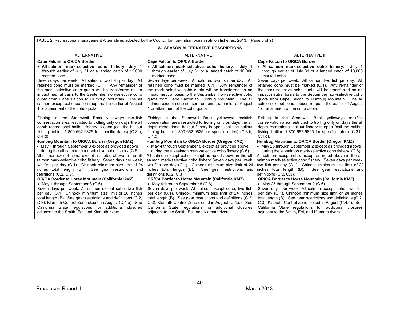| TABLE 2. Recreational management Alternatives adopted by the Council for non-Indian ocean salmon fisheries, 2013. (Page 5 of 9)                                                                                                                                                                                                                                                                                                                                                                                                                                                                                                                                                |                                                                                                                                                                                                                                                                                                                                                                                                                                                                                                                                                                                                                                                                                          |                                                                                                                                                                                                                                                                                                                                                                                                                                                                                                                                                                                                                                                                                          |  |  |  |
|--------------------------------------------------------------------------------------------------------------------------------------------------------------------------------------------------------------------------------------------------------------------------------------------------------------------------------------------------------------------------------------------------------------------------------------------------------------------------------------------------------------------------------------------------------------------------------------------------------------------------------------------------------------------------------|------------------------------------------------------------------------------------------------------------------------------------------------------------------------------------------------------------------------------------------------------------------------------------------------------------------------------------------------------------------------------------------------------------------------------------------------------------------------------------------------------------------------------------------------------------------------------------------------------------------------------------------------------------------------------------------|------------------------------------------------------------------------------------------------------------------------------------------------------------------------------------------------------------------------------------------------------------------------------------------------------------------------------------------------------------------------------------------------------------------------------------------------------------------------------------------------------------------------------------------------------------------------------------------------------------------------------------------------------------------------------------------|--|--|--|
| A. SEASON ALTERNATIVE DESCRIPTIONS                                                                                                                                                                                                                                                                                                                                                                                                                                                                                                                                                                                                                                             |                                                                                                                                                                                                                                                                                                                                                                                                                                                                                                                                                                                                                                                                                          |                                                                                                                                                                                                                                                                                                                                                                                                                                                                                                                                                                                                                                                                                          |  |  |  |
| <b>ALTERNATIVE II</b><br><b>ALTERNATIVE I</b><br>ALTERNATIVE III                                                                                                                                                                                                                                                                                                                                                                                                                                                                                                                                                                                                               |                                                                                                                                                                                                                                                                                                                                                                                                                                                                                                                                                                                                                                                                                          |                                                                                                                                                                                                                                                                                                                                                                                                                                                                                                                                                                                                                                                                                          |  |  |  |
| Cape Falcon to OR/CA Border<br>· All-salmon mark-selective coho fishery: July 1<br>through earlier of July 31 or a landed catch of 12,000<br>marked coho.<br>Seven days per week. All salmon, two fish per day. All<br>retained coho must be marked (C.1). Any remainder of<br>the mark selective coho quota will be transferred on an<br>impact neutral basis to the September non-selective coho<br>quota from Cape Falcon to Humbug Mountain. The all<br>salmon except coho season reopens the earlier of August<br>1 or attainment of the coho quota.<br>Fishing in the Stonewall Bank yelloweye rockfish<br>conservation area restricted to trolling only on days the all | <b>Cape Falcon to OR/CA Border</b><br>• All-salmon mark-selective coho fishery:<br>July 1<br>through earlier of July 31 or a landed catch of 10,000<br>marked coho.<br>Seven days per week. All salmon, two fish per day. All<br>retained coho must be marked (C.1). Any remainder of<br>the mark selective coho quota will be transferred on an<br>impact neutral basis to the September non-selective coho<br>quota from Cape Falcon to Humbug Mountain. The all<br>salmon except coho season reopens the earlier of August<br>1 or attainment of the coho quota.<br>Fishing in the Stonewall Bank yelloweye rockfish<br>conservation area restricted to trolling only on days the all | <b>Cape Falcon to OR/CA Border</b><br>• All-salmon mark-selective coho fishery:<br>July 1<br>through earlier of July 31 or a landed catch of 10,000<br>marked coho.<br>Seven days per week. All salmon, two fish per day. All<br>retained coho must be marked (C.1). Any remainder of<br>the mark selective coho quota will be transferred on an<br>impact neutral basis to the September non-selective coho<br>quota from Cape Falcon to Humbug Mountain. The all<br>salmon except coho season reopens the earlier of August<br>1 or attainment of the coho quota.<br>Fishing in the Stonewall Bank yelloweye rockfish<br>conservation area restricted to trolling only on days the all |  |  |  |
| depth recreational halibut fishery is open (call the halibut<br>fishing hotline 1-800-662-9825 for specific dates) (C.3.b,<br>$C.4.d$ ).                                                                                                                                                                                                                                                                                                                                                                                                                                                                                                                                       | depth recreational halibut fishery is open (call the halibut<br>fishing hotline 1-800-662-9825 for specific dates) (C.3.b,<br>$C.4.d$ ).                                                                                                                                                                                                                                                                                                                                                                                                                                                                                                                                                 | depth recreational halibut fishery is open (call the halibut<br>fishing hotline 1-800-662-9825 for specific dates) (C.3.b,<br>$C.4.d$ ).                                                                                                                                                                                                                                                                                                                                                                                                                                                                                                                                                 |  |  |  |
| Humbug Mountain to OR/CA Border (Oregon KMZ)<br>• May 1 through September 8 except as provided above<br>during the all-salmon mark-selective coho fishery (C.6).<br>All salmon except coho, except as noted above in the all-<br>salmon mark-selective coho fishery. Seven days per week,<br>two fish per day (C.1). Chinook minimum size limit of 24<br>inches total length (B).<br>See gear restrictions and<br>definitions (C.2, C.3).                                                                                                                                                                                                                                      | Humbug Mountain to OR/CA Border (Oregon KMZ)<br>• May 4 through September 8 except as provided above<br>during the all-salmon mark-selective coho fishery (C.6).<br>All salmon except coho, except as noted above in the all-<br>salmon mark-selective coho fishery Seven days per week,<br>two fish per day (C.1). Chinook minimum size limit of 24<br>inches total length (B).<br>See gear restrictions and<br>definitions (C.2, C.3).                                                                                                                                                                                                                                                 | Humbug Mountain to OR/CA Border (Oregon KMZ)<br>• May 25 through September 2 except as provided above<br>during the all-salmon mark-selective coho fishery. (C.6).<br>All salmon except coho, except as noted above in the all-<br>salmon mark-selective coho fishery. Seven days per week,<br>two fish per day (C.1). Chinook minimum size limit of 22<br>inches total length (B). See gear restrictions and<br>definitions (C.2, C.3).                                                                                                                                                                                                                                                 |  |  |  |
| OR/CA Border to Horse Mountain (California KMZ)<br>• May 1 through September 8 (C.6).<br>Seven days per week. All salmon except coho, two fish<br>per day (C.1). Chinook minimum size limit of 20 inches<br>total length (B). See gear restrictions and definitions (C.2,<br>C.3). Klamath Control Zone closed in August (C.4.e). See<br>California State regulations for additional closures<br>adjacent to the Smith, Eel, and Klamath rivers.                                                                                                                                                                                                                               | OR/CA Border to Horse Mountain (California KMZ)<br>• May 4 through September 8 $(C.6)$ .<br>Seven days per week. All salmon except coho, two fish<br>per day (C.1). Chinook minimum size limit of 24 inches<br>total length (B). See gear restrictions and definitions (C.2,<br>C.3). Klamath Control Zone closed in August (C.4.e). See<br>California State regulations for additional closures<br>adjacent to the Smith, Eel, and Klamath rivers.                                                                                                                                                                                                                                      | OR/CA Border to Horse Mountain (California KMZ)<br>• May 25 through September 2 (C.6).<br>Seven days per week. All salmon except coho, two fish<br>per day (C.1). Chinook minimum size limit of 24 inches<br>total length (B). See gear restrictions and definitions (C.2,<br>C.3). Klamath Control Zone closed in August (C.4.e). See<br>California State regulations for additional closures<br>adjacent to the Smith, Eel, and Klamath rivers.                                                                                                                                                                                                                                        |  |  |  |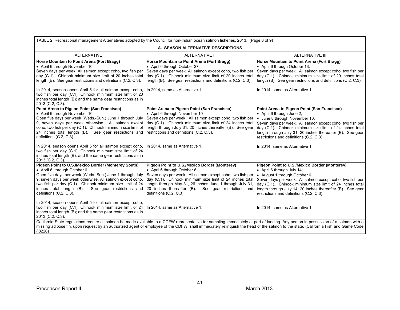| TABLE 2. Recreational management Alternatives adopted by the Council for non-Indian ocean salmon fisheries, 2013. (Page 6 of 9)                                                                                                                                                                                                                                                                                                                    |                                                                                                                                                                                                                                                                                                                                                                           |                                                                                                                                                                                                                                                                                                                                                                                 |  |
|----------------------------------------------------------------------------------------------------------------------------------------------------------------------------------------------------------------------------------------------------------------------------------------------------------------------------------------------------------------------------------------------------------------------------------------------------|---------------------------------------------------------------------------------------------------------------------------------------------------------------------------------------------------------------------------------------------------------------------------------------------------------------------------------------------------------------------------|---------------------------------------------------------------------------------------------------------------------------------------------------------------------------------------------------------------------------------------------------------------------------------------------------------------------------------------------------------------------------------|--|
| A. SEASON ALTERNATIVE DESCRIPTIONS                                                                                                                                                                                                                                                                                                                                                                                                                 |                                                                                                                                                                                                                                                                                                                                                                           |                                                                                                                                                                                                                                                                                                                                                                                 |  |
| <b>ALTERNATIVE I</b>                                                                                                                                                                                                                                                                                                                                                                                                                               | <b>ALTERNATIVE II</b><br><b>ALTERNATIVE III</b>                                                                                                                                                                                                                                                                                                                           |                                                                                                                                                                                                                                                                                                                                                                                 |  |
| Horse Mountain to Point Arena (Fort Bragg)<br>• April 6 through November 10.<br>Seven days per week. All salmon except coho, two fish per<br>day (C.1). Chinook minimum size limit of 20 inches total<br>length (B). See gear restrictions and definitions (C.2, C.3).<br>In 2014, season opens April 5 for all salmon except coho.                                                                                                                | Horse Mountain to Point Arena (Fort Bragg)<br>• April 6 through October 27.<br>Seven days per week. All salmon except coho, two fish per<br>day (C.1). Chinook minimum size limit of 20 inches total<br>length (B). See gear restrictions and definitions (C.2, C.3).<br>In 2014, same as Alternative 1.                                                                  | Horse Mountain to Point Arena (Fort Bragg)<br>• April 6 through October 13.<br>Seven days per week. All salmon except coho, two fish per<br>day (C.1). Chinook minimum size limit of 20 inches total<br>length (B). See gear restrictions and definitions (C.2, C.3).<br>In 2014, same as Alternative 1.                                                                        |  |
| two fish per day (C.1). Chinook minimum size limit of 20<br>inches total length (B); and the same gear restrictions as in<br>2013 (C.2, C.3).                                                                                                                                                                                                                                                                                                      |                                                                                                                                                                                                                                                                                                                                                                           |                                                                                                                                                                                                                                                                                                                                                                                 |  |
| Point Arena to Pigeon Point (San Francisco)<br>• April 6 through November 10<br>Open five days per week (Weds.-Sun.) June 1 through July<br>9, seven days per week otherwise. All salmon except<br>coho, two fish per day (C.1). Chinook minimum size limit of<br>24 inches total length (B). See gear restrictions and<br>definitions $(C.2, C.3)$ .<br>In 2014, season opens April 5 for all salmon except coho, In 2014, same as Alternative 1. | Point Arena to Pigeon Point (San Francisco)<br>• April 6 through November 10<br>Seven days per week. All salmon except coho, two fish per<br>day (C.1). Chinook minimum size limit of 24 inches total<br>length through July 31; 20 inches thereafter (B). See gear<br>restrictions and definitions (C.2, C.3).                                                           | Point Arena to Pigeon Point (San Francisco)<br>• April 6 through June 2;<br>• June 8 through November 10.<br>Seven days per week. All salmon except coho, two fish per<br>day (C.1). Chinook minimum size limit of 24 inches total<br>length through July 31; 20 inches thereafter (B). See gear<br>restrictions and definitions (C.2, C.3).<br>In 2014, same as Alternative 1. |  |
| two fish per day (C.1). Chinook minimum size limit of 24<br>inches total length (B); and the same gear restrictions as in<br>2013 (C.2, C.3).                                                                                                                                                                                                                                                                                                      |                                                                                                                                                                                                                                                                                                                                                                           |                                                                                                                                                                                                                                                                                                                                                                                 |  |
| Pigeon Point to U.S./Mexico Border (Monterey South)<br>• April 6 through October 6.<br>Open five days per week (Weds.-Sun.) June 1 through July<br>9, seven days per week otherwise. All salmon except coho,<br>two fish per day (C.1). Chinook minimum size limit of 24<br>inches total length (B).<br>See gear restrictions and<br>definitions (C.2, C.3).                                                                                       | Pigeon Point to U.S./Mexico Border (Monterey)<br>• April 6 through October 6.<br>Seven days per week. All salmon except coho, two fish per<br>day (C.1). Chinook minimum size limit of 24 inches total<br>length through May 31, 26 inches June 1 through July 31<br>20 inches thereafter (B). See gear restrictions and<br>definitions $(C.2, C.3)$ .                    | Pigeon Point to U.S./Mexico Border (Monterey)<br>• April 6 through July 14;<br>• August 1 through October 6.<br>Seven days per week. All salmon except coho, two fish per<br>day (C.1). Chinook minimum size limit of 24 inches total<br>length through July 14; 20 inches thereafter (B). See gear<br>restrictions and definitions (C.2, C.3).                                 |  |
| In 2014, season opens April 5 for all salmon except coho,<br>two fish per day (C.1). Chinook minimum size limit of $24 \mid$ In 2014, same as Alternative 1.<br>inches total length (B); and the same gear restrictions as in<br>2013 (C.2, C.3).                                                                                                                                                                                                  |                                                                                                                                                                                                                                                                                                                                                                           | In 2014, same as Alternative 1.                                                                                                                                                                                                                                                                                                                                                 |  |
| §8226)                                                                                                                                                                                                                                                                                                                                                                                                                                             | California State regulations require all salmon be made available to a CDFW representative for sampling immediately at port of landing. Any person in possession of a salmon with a<br>missing adipose fin, upon request by an authorized agent or employee of the CDFW, shall immediately relinquish the head of the salmon to the state. (California Fish and Game Code |                                                                                                                                                                                                                                                                                                                                                                                 |  |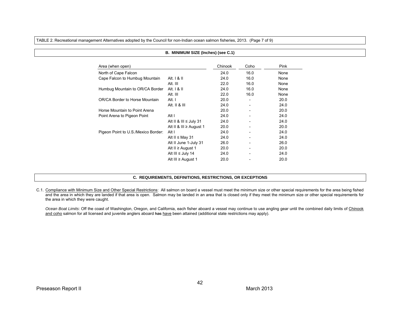TABLE 2. Recreational management Alternatives adopted by the Council for non-Indian ocean salmon fisheries, 2013. (Page 7 of 9)

|  | B. MINIMUM SIZE (Inches) (see C.1) |  |  |  |  |
|--|------------------------------------|--|--|--|--|
|--|------------------------------------|--|--|--|--|

| Area (when open)                    |                             | Chinook | Coho                     | Pink |
|-------------------------------------|-----------------------------|---------|--------------------------|------|
| North of Cape Falcon                |                             | 24.0    | 16.0                     | None |
| Cape Falcon to Humbug Mountain      | Alt. $\overline{8}$ II      | 24.0    | 16.0                     | None |
|                                     | Alt. III                    | 22.0    | 16.0                     | None |
| Humbug Mountain to OR/CA Border     | Alt. $\overline{8}$ II      | 24.0    | 16.0                     | None |
|                                     | Alt. III                    | 22.0    | 16.0                     | None |
| OR/CA Border to Horse Mountain      | Alt. I                      | 20.0    | $\overline{\phantom{a}}$ | 20.0 |
|                                     | Alt. $   8   $              | 24.0    | $\overline{\phantom{a}}$ | 24.0 |
| Horse Mountain to Point Arena       |                             | 20.0    | $\overline{\phantom{a}}$ | 20.0 |
| Point Arena to Pigeon Point         | Alt I                       | 24.0    | $\overline{\phantom{a}}$ | 24.0 |
|                                     | Alt II & III $\le$ July 31  | 24.0    | $\overline{\phantom{a}}$ | 24.0 |
|                                     | Alt II & III $\ge$ August 1 | 20.0    | $\overline{\phantom{a}}$ | 20.0 |
| Pigeon Point to U.S./Mexico Border: | Alt I                       | 24.0    | $\overline{\phantom{a}}$ | 24.0 |
|                                     | Alt $II \leq May 31$        | 24.0    | $\overline{\phantom{a}}$ | 24.0 |
|                                     | Alt II June 1-July 31       | 26.0    | -                        | 26.0 |
|                                     | Alt $II \ge$ August 1       | 20.0    | $\overline{\phantom{a}}$ | 20.0 |
|                                     | Alt III $\le$ July 14       | 24.0    | $\overline{\phantom{0}}$ | 24.0 |
|                                     | Alt III $\ge$ August 1      | 20.0    |                          | 20.0 |

## **C. REQUIREMENTS, DEFINITIONS, RESTRICTIONS, OR EXCEPTIONS**

C.1. Compliance with Minimum Size and Other Special Restrictions: All salmon on board a vessel must meet the minimum size or other special requirements for the area being fished and the area in which they are landed if that area is open. Salmon may be landed in an area that is closed only if they meet the minimum size or other special requirements for the area in which they were caught.

Ocean Boat Limits: Off the coast of Washington, Oregon, and California, each fisher aboard a vessel may continue to use angling gear until the combined daily limits of Chinook and coho salmon for all licensed and juvenile anglers aboard has have been attained (additional state restrictions may apply).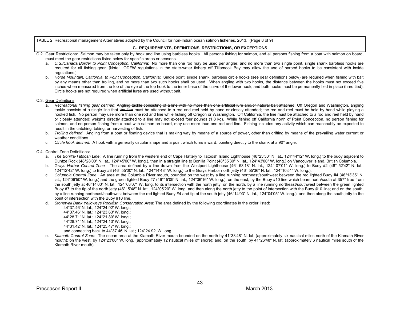TABLE 2. Recreational management Alternatives adopted by the Council for non-Indian ocean salmon fisheries, 2013. (Page 8 of 9)

## **C. REQUIREMENTS, DEFINITIONS, RESTRICTIONS, OR EXCEPTIONS**

- C.2. Gear Restrictions: Salmon may be taken only by hook and line using barbless hooks. All persons fishing for salmon, and all persons fishing from a boat with salmon on board, must meet the gear restrictions listed below for specific areas or seasons.
	- a. *U.S./Canada Border to Point Conception, California*: No more than one rod may be used per angler; and no more than two single point, single shank barbless hooks are required for all fishing gear. [Note: ODFW regulations in the state-water fishery off Tillamook Bay may allow the use of barbed hooks to be consistent with inside regulations.]
	- b. *Horse Mountain, California, to Point Conception, California*: Single point, single shank, barbless circle hooks (see gear definitions below) are required when fishing with bait by any means other than trolling, and no more than two such hooks shall be used. When angling with two hooks, the distance between the hooks must not exceed five inches when measured from the top of the eye of the top hook to the inner base of the curve of the lower hook, and both hooks must be permanently tied in place (hard tied). Circle hooks are not required when artificial lures are used without bait.

#### C.3. Gear Definitions:

- a. *Recreational fishing gear defined*: Angling tackle consisting of a line with no more than one artificial lure and/or natural bait attached. Off Oregon and Washington, angling tackle consists of a single line that the line must be attached to a rod and reel held by hand or closely attended; the rod and reel must be held by hand while playing a hooked fish. No person may use more than one rod and line while fishing off Oregon or Washington. Off California, the line must be attached to a rod and reel held by hand or closely attended; weights directly attached to a line may not exceed four pounds (1.8 kg). While fishing off California north of Point Conception, no person fishing for salmon, and no person fishing from a boat with salmon on board, may use more than one rod and line. Fishing includes any activity which can reasonably be expected to result in the catching, taking, or harvesting of fish.
- b. *Trolling defined*: Angling from a boat or floating device that is making way by means of a source of power, other than drifting by means of the prevailing water current or weather conditions.
- c. *Circle hook defined*: A hook with a generally circular shape and a point which turns inward, pointing directly to the shank at a 90° angle.

## C.4. Control Zone Definitions:

- a. *The Bonilla-Tatoosh Line*: A line running from the western end of Cape Flattery to Tatoosh Island Lighthouse (48°23'30" N. lat., 124°44'12" W. long.) to the buoy adjacent to Duntze Rock (48°28'00" N. lat., 124°45'00" W. long.), then in a straight line to Bonilla Point (48°35'30" N. lat., 124°43'00" W. long.) on Vancouver Island, British Columbia.
- b. *Grays Harbor Control Zone* The area defined by a line drawn from the Westport Lighthouse (46° 53'18" N. lat., 124° 07'01" W. long.) to Buoy #2 (46° 52'42" N. lat., 124°12'42" W. long.) to Buoy #3 (46° 55'00" N. lat., 124°14'48" W. long.) to the Grays Harbor north jetty (46° 55'36" N. lat., 124°10'51" W. long.).
- c. *Columbia Control Zone*: An area at the Columbia River mouth, bounded on the west by a line running northeast/southwest between the red lighted Buoy #4 (46°13'35" N. lat., 124°06'50" W. long.) and the green lighted Buoy #7 (46°15'09' N. lat., 124°06'16" W. long.); on the east, by the Buoy #10 line which bears north/south at 357° true from the south jetty at 46°14'00" N. lat., 124°03'07" W. long. to its intersection with the north jetty; on the north, by a line running northeast/southwest between the green lighted Buoy #7 to the tip of the north jetty (46°15'48" N. lat., 124°05'20" W. long. and then along the north jetty to the point of intersection with the Buoy #10 line; and on the south, by a line running northeast/southwest between the red lighted Buoy #4 and tip of the south jetty (46°14'03" N. lat., 124°04'05" W. long.), and then along the south jetty to the point of intersection with the Buoy #10 line.
- d. *Stonewall Bank Yelloweye Rockfish Conservation Area*: The area defined by the following coordinates in the order listed:

 44°37.46' N. lat.; 124°24.92' W. long.; 44°37.46' N. lat.; 124°23.63' W. long.; 44°28.71' N. lat.; 124°21.80' W. long.; 44°28.71' N. lat.; 124°24.10' W. long.; 44°31.42' N. lat.; 124°25.47' W. long.; and connecting back to 44°37.46' N. lat.; 124°24.92' W. long.

e. *Klamath Control Zone*: The ocean area at the Klamath River mouth bounded on the north by 41°38'48" N. lat. (approximately six nautical miles north of the Klamath River mouth); on the west, by 124°23'00" W. long. (approximately 12 nautical miles off shore); and, on the south, by 41°26'48" N. lat. (approximately 6 nautical miles south of the Klamath River mouth).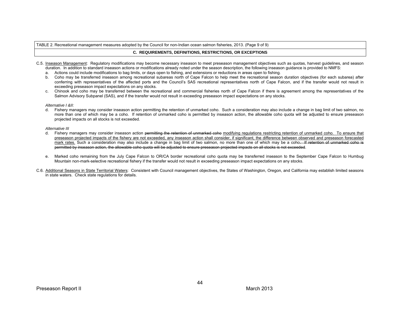TABLE 2. Recreational management measures adopted by the Council for non-Indian ocean salmon fisheries, 2013. (Page 9 of 9)

## **C. REQUIREMENTS, DEFINITIONS, RESTRICTIONS, OR EXCEPTIONS**

- C.5. Inseason Management: Regulatory modifications may become necessary inseason to meet preseason management objectives such as quotas, harvest guidelines, and season duration. In addition to standard inseason actions or modifications already noted under the season description, the following inseason guidance is provided to NMFS:
	- a. Actions could include modifications to bag limits, or days open to fishing, and extensions or reductions in areas open to fishing.
	- b. Coho may be transferred inseason among recreational subareas north of Cape Falcon to help meet the recreational season duration objectives (for each subarea) after conferring with representatives of the affected ports and the Council's SAS recreational representatives north of Cape Falcon, and if the transfer would not result in exceeding preseason impact expectations on any stocks.
	- c. Chinook and coho may be transferred between the recreational and commercial fisheries north of Cape Falcon if there is agreement among the representatives of the Salmon Advisory Subpanel (SAS), and if the transfer would not result in exceeding preseason impact expectations on any stocks.

#### *Alternative I &II:*

d. Fishery managers may consider inseason action permitting the retention of unmarked coho. Such a consideration may also include a change in bag limit of two salmon, no more than one of which may be a coho. If retention of unmarked coho is permitted by inseason action, the allowable coho quota will be adjusted to ensure preseason projected impacts on all stocks is not exceeded.

## *Alternative III*

- d. Fishery managers may consider inseason action permitting the retention of unmarked coho modifying regulations restricting retention of unmarked coho. To ensure that preseason projected impacts of the fishery are not exceeded, any inseason action shall consider, if significant, the difference between observed and preseason forecasted mark rates. Such a consideration may also include a change in bag limit of two salmon, no more than one of which may be a coho. If retention of unmarked coho is permitted by inseason action, the allowable coho quota will be adjusted to ensure preseason projected impacts on all stocks is not exceeded.
- e. Marked coho remaining from the July Cape Falcon to OR/CA border recreational coho quota may be transferred inseason to the September Cape Falcon to Humbug Mountain non-mark-selective recreational fishery if the transfer would not result in exceeding preseason impact expectations on any stocks.
- C.6. Additional Seasons in State Territorial Waters: Consistent with Council management objectives, the States of Washington, Oregon, and California may establish limited seasons in state waters. Check state regulations for details.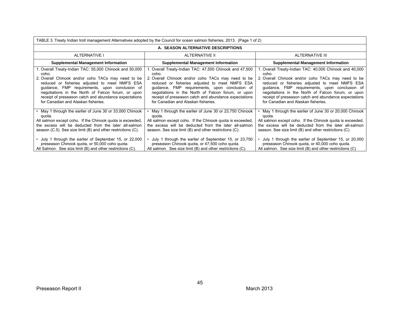| TABLE 3. Treaty Indian troll management Alternatives adopted by the Council for ocean salmon fisheries, 2013. (Page 1 of 2)                                                                                                                                                                                                                                                                                                             |                                                                                                                                                                                                                                                                                                                                                                                                                           |                                                                                                                                                                                                                                                                                                                                                                                                                          |  |  |  |  |  |  |  |
|-----------------------------------------------------------------------------------------------------------------------------------------------------------------------------------------------------------------------------------------------------------------------------------------------------------------------------------------------------------------------------------------------------------------------------------------|---------------------------------------------------------------------------------------------------------------------------------------------------------------------------------------------------------------------------------------------------------------------------------------------------------------------------------------------------------------------------------------------------------------------------|--------------------------------------------------------------------------------------------------------------------------------------------------------------------------------------------------------------------------------------------------------------------------------------------------------------------------------------------------------------------------------------------------------------------------|--|--|--|--|--|--|--|
|                                                                                                                                                                                                                                                                                                                                                                                                                                         | A. SEASON ALTERNATIVE DESCRIPTIONS                                                                                                                                                                                                                                                                                                                                                                                        |                                                                                                                                                                                                                                                                                                                                                                                                                          |  |  |  |  |  |  |  |
| <b>ALTERNATIVE I</b>                                                                                                                                                                                                                                                                                                                                                                                                                    | <b>ALTERNATIVE II</b>                                                                                                                                                                                                                                                                                                                                                                                                     | ALTERNATIVE III                                                                                                                                                                                                                                                                                                                                                                                                          |  |  |  |  |  |  |  |
| <b>Supplemental Management Information</b>                                                                                                                                                                                                                                                                                                                                                                                              | <b>Supplemental Management Information</b>                                                                                                                                                                                                                                                                                                                                                                                | <b>Supplemental Management Information</b>                                                                                                                                                                                                                                                                                                                                                                               |  |  |  |  |  |  |  |
| 1. Overall Treaty-Indian TAC: 55,000 Chinook and 50,000<br>coho.<br>2. Overall Chinook and/or coho TACs may need to be<br>reduced or fisheries adjusted to meet NMFS ESA<br>guidance, FMP requirements, upon conclusion of<br>negotiations in the North of Falcon forum, or upon<br>receipt of preseason catch and abundance expectations<br>for Canadian and Alaskan fisheries.                                                        | Overall Treaty-Indian TAC: 47,500 Chinook and 47,500<br>coho.<br>2. Overall Chinook and/or coho TACs may need to be<br>reduced or fisheries adjusted to meet NMFS ESA<br>guidance, FMP requirements, upon conclusion of<br>negotiations in the North of Falcon forum, or upon<br>receipt of preseason catch and abundance expectations<br>for Canadian and Alaskan fisheries.                                             | 1. Overall Treaty-Indian TAC: 40,000 Chinook and 40,000<br>coho.<br>2. Overall Chinook and/or coho TACs may need to be<br>reduced or fisheries adjusted to meet NMFS ESA<br>guidance, FMP requirements, upon conclusion of<br>negotiations in the North of Falcon forum, or upon<br>receipt of preseason catch and abundance expectations<br>for Canadian and Alaskan fisheries.                                         |  |  |  |  |  |  |  |
| May 1 through the earlier of June 30 or 33,000 Chinook<br>quota.<br>All salmon except coho. If the Chinook quota is exceeded,<br>the excess will be deducted from the later all-salmon<br>season $(C.5)$ . See size limit $(B)$ and other restrictions $(C)$ .<br>July 1 through the earlier of September 15, or 22,000<br>preseason Chinook quota, or 50,000 coho quota.<br>All Salmon. See size limit (B) and other restrictions (C). | May 1 through the earlier of June 30 or 23,750 Chinook<br>quota.<br>All salmon except coho. If the Chinook quota is exceeded,<br>the excess will be deducted from the later all-salmon<br>season. See size limit (B) and other restrictions (C).<br>July 1 through the earlier of September 15, or 23,750<br>preseason Chinook quota, or 47,500 coho quota.<br>All salmon. See size limit (B) and other restrictions (C). | May 1 through the earlier of June 30 or 20,000 Chinook<br>quota.<br>All salmon except coho. If the Chinook quota is exceeded,<br>the excess will be deducted from the later all-salmon<br>season. See size limit (B) and other restrictions (C).<br>July 1 through the earlier of September 15, or 20,000<br>preseason Chinook quota, or 40,000 coho quota.<br>All salmon. See size limit (B) and other restrictions (C) |  |  |  |  |  |  |  |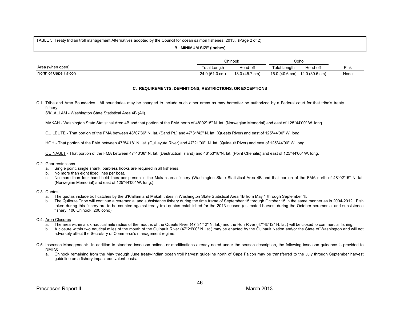TABLE 3. Treaty Indian troll management Alternatives adopted by the Council for ocean salmon fisheries, 2013**.** (Page 2 of 2)

## **B. MINIMUM SIZE (Inches)**

|                      |                     | Chinook        | Coho           |                |      |
|----------------------|---------------------|----------------|----------------|----------------|------|
| Area (when open)     | <b>Total Length</b> | Head-off       | Total Length   | Head-off       | Pink |
| North of Cape Falcon | 24.0 (61.0 cm)      | 18.0 (45.7 cm) | 16.0 (40.6 cm) | 12.0 (30.5 cm) | None |

## **C. REQUIREMENTS, DEFINITIONS, RESTRICTIONS, OR EXCEPTIONS**

C.1. Tribe and Area Boundaries. All boundaries may be changed to include such other areas as may hereafter be authorized by a Federal court for that tribe's treaty fishery.

S'KLALLAM - Washington State Statistical Area 4B (All).

MAKAH - Washington State Statistical Area 4B and that portion of the FMA north of 48°02'15" N. lat. (Norwegian Memorial) and east of 125°44'00" W. long.

QUILEUTE - That portion of the FMA between 48°07'36" N. lat. (Sand Pt.) and 47°31'42" N. lat. (Queets River) and east of 125°44'00" W. long.

HOH - That portion of the FMA between 47°54'18" N. lat. (Quillayute River) and 47°21'00" N. lat. (Quinault River) and east of 125°44'00" W. long.

QUINAULT - That portion of the FMA between 47°40'06" N. lat. (Destruction Island) and 46°53'18"N. lat. (Point Chehalis) and east of 125°44'00" W. long.

#### C.2. Gear restrictions

- a. Single point, single shank, barbless hooks are required in all fisheries.
- b. No more than eight fixed lines per boat.
- c. No more than four hand held lines per person in the Makah area fishery (Washington State Statistical Area 4B and that portion of the FMA north of 48°02'15" N. lat. (Norwegian Memorial) and east of 125°44'00" W. long.)

## C.3. <u>Quotas</u>

- a. The quotas include troll catches by the S'Klallam and Makah tribes in Washington State Statistical Area 4B from May 1 through September 15.
- b. The Quileute Tribe will continue a ceremonial and subsistence fishery during the time frame of September 15 through October 15 in the same manner as in 2004-2012. Fish taken during this fishery are to be counted against treaty troll quotas established for the 2013 season (estimated harvest during the October ceremonial and subsistence fishery: 100 Chinook; 200 coho).

## C.4. Area Closures

- a. The area within a six nautical mile radius of the mouths of the Queets River (47°31'42" N. lat.) and the Hoh River (47°45'12" N. lat.) will be closed to commercial fishing.
- b. A closure within two nautical miles of the mouth of the Quinault River (47°21'00" N. lat.) may be enacted by the Quinault Nation and/or the State of Washington and will not adversely affect the Secretary of Commerce's management regime.
- C.5. Inseason Management: In addition to standard inseason actions or modifications already noted under the season description, the following inseason guidance is provided to NMFS:
	- a. Chinook remaining from the May through June treaty-Indian ocean troll harvest guideline north of Cape Falcon may be transferred to the July through September harvest guideline on a fishery impact equivalent basis.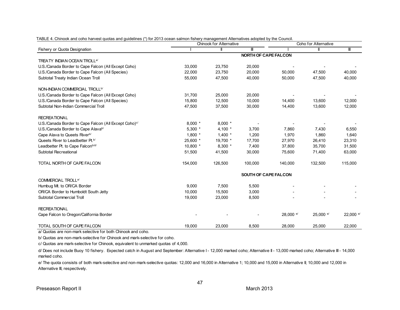|                                                                   |                      | <b>Chinook for Alternative</b> |                             |             | Coho for Alternative |              |  |  |  |
|-------------------------------------------------------------------|----------------------|--------------------------------|-----------------------------|-------------|----------------------|--------------|--|--|--|
| Fishery or Quota Designation                                      |                      |                                | Ш                           |             | Ш                    | $\mathbf{m}$ |  |  |  |
|                                                                   |                      |                                | <b>NORTH OF CAPE FALCON</b> |             |                      |              |  |  |  |
| TREATY INDIAN OCEAN TROLL <sup>a/</sup>                           |                      |                                |                             |             |                      |              |  |  |  |
| U.S./Canada Border to Cape Falcon (All Except Coho)               | 33,000               | 23,750                         | 20,000                      |             |                      |              |  |  |  |
| U.S./Canada Border to Cape Falcon (All Species)                   | 22,000               | 23,750                         | 20,000                      | 50,000      | 47,500               | 40,000       |  |  |  |
| Subtotal Treaty Indian Ocean Troll                                | 55,000               | 47,500                         | 40,000                      | 50,000      | 47,500               | 40,000       |  |  |  |
| NON-INDIAN COMMERCIAL TROLL <sup>b/</sup>                         |                      |                                |                             |             |                      |              |  |  |  |
| U.S./Canada Border to Cape Falcon (All Except Coho)               | 31,700               | 25,000                         | 20,000                      |             |                      |              |  |  |  |
| U.S./Canada Border to Cape Falcon (All Species)                   | 15,800               | 12,500                         | 10,000                      | 14,400      | 13,600               | 12,000       |  |  |  |
| Subtotal Non-Indian Commercial Troll                              | 47,500               | 37,500                         | 30,000                      | 14,400      | 13,600               | 12,000       |  |  |  |
| <b>RECREATIONAL</b>                                               |                      |                                |                             |             |                      |              |  |  |  |
| U.S./Canada Border to Cape Falcon (All Except Coho) <sup>c/</sup> | $8.000*$             | $8,000*$                       |                             |             |                      |              |  |  |  |
| U.S./Canada Border to Cape Alava <sup>b/</sup>                    | $5,300$ *            | 4,100 *                        | 3.700                       | 7.860       | 7,430                | 6,550        |  |  |  |
| Cape Alava to Queets Riverb/                                      | $1,800$ *            | $1,400$ *                      | 1,200                       | 1,970       | 1,860                | 1,640        |  |  |  |
| Queets River to Leadbetter Pt. <sup>b/</sup>                      | 25,600 *             | 19,700 *                       | 17,700                      | 27,970      | 26,410               | 23,310       |  |  |  |
| Leadbetter Pt. to Cape Falconb/d/                                 | 10,800 *             | 8,300 *                        | 7,400                       | 37,800      | 35,700               | 31,500       |  |  |  |
| Subtotal Recreational                                             | 51,500               | 41,500                         | 30,000                      | 75,600      | 71,400               | 63,000       |  |  |  |
| TOTAL NORTH OF CAPE FALCON                                        | 154,000              | 126,500                        | 100,000                     | 140,000     | 132,500              | 115,000      |  |  |  |
|                                                                   | SOUTH OF CAPE FALCON |                                |                             |             |                      |              |  |  |  |
| COMMERCIAL TROLL <sup>a/</sup>                                    |                      |                                |                             |             |                      |              |  |  |  |
| Humbug Mt. to OR/CA Border                                        | 9,000                | 7,500                          | 5,500                       |             |                      |              |  |  |  |
| OR/CA Border to Humboldt South Jetty                              | 10,000               | 15,500                         | 3,000                       |             |                      |              |  |  |  |
| <b>Subtotal Commercial Troll</b>                                  | 19,000               | 23,000                         | 8,500                       |             |                      |              |  |  |  |
| <b>RECREATIONAL</b>                                               |                      |                                |                             |             |                      |              |  |  |  |
| Cape Falcon to Oregon/California Border                           |                      |                                |                             | $28,000$ e/ | 25,000 $e/$          | $22,000$ e/  |  |  |  |
| TOTAL SOUTH OF CAPE FALCON                                        | 19,000               | 23,000                         | 8.500                       | 28.000      | 25,000               | 22,000       |  |  |  |

## TABLE 4. Chinook and coho harvest quotas and guidelines (\*) for 2013 ocean salmon fishery management Alternatives adopted by the Council.

a/ Quotas are non-mark selective for both Chinook and coho.

b/ Quotas are non-mark-selective for Chinook and mark-selective for coho.

c/ Quotas are mark-selective for Chinook, equivalent to unmarked quotas of 4,000.

d/ Does not include Buoy 10 fishery. Expected catch in August and September: Alternative I - 12,000 marked coho; Alternative II - 13,000 marked coho; Alternative II - 14,000 marked coho.

e/ The quota consists of both mark-selective and non-mark-selective quotas: 12,000 and 16,000 in Alternative 1; 10,000 and 15,000 in Alternative II; 10,000 and 12,000 in Alternative III, respectively.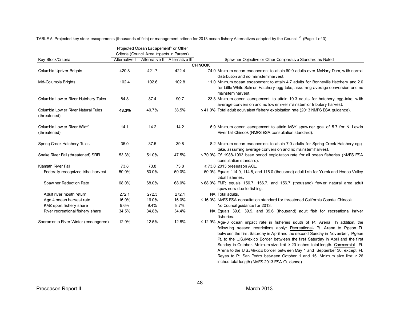|                                                          |               | Projected Ocean Escapement <sup>b/</sup> or Other |                                |                                                                                                                                                                                                                                                                                                                                                                                                                                                                                                                                                                                            |
|----------------------------------------------------------|---------------|---------------------------------------------------|--------------------------------|--------------------------------------------------------------------------------------------------------------------------------------------------------------------------------------------------------------------------------------------------------------------------------------------------------------------------------------------------------------------------------------------------------------------------------------------------------------------------------------------------------------------------------------------------------------------------------------------|
|                                                          |               | Criteria (Council Area Impacts in Parens)         |                                |                                                                                                                                                                                                                                                                                                                                                                                                                                                                                                                                                                                            |
| Key Stock/Criteria                                       | Alternative I |                                                   | Alternative II Alternative III | Spaw ner Objective or Other Comparative Standard as Noted                                                                                                                                                                                                                                                                                                                                                                                                                                                                                                                                  |
|                                                          |               |                                                   |                                | <b>CHINOOK</b>                                                                                                                                                                                                                                                                                                                                                                                                                                                                                                                                                                             |
| Columbia Upriver Brights                                 | 420.8         | 421.7                                             | 422.4                          | 74.0 Minimum ocean escapement to attain 60.0 adults over McNary Dam, with normal                                                                                                                                                                                                                                                                                                                                                                                                                                                                                                           |
|                                                          |               |                                                   |                                | distribution and no mainstem harvest.                                                                                                                                                                                                                                                                                                                                                                                                                                                                                                                                                      |
| Mid-Columbia Brights                                     | 102.4         | 102.6                                             | 102.8                          | 11.0 Minimum ocean escapement to attain 4.7 adults for Bonneville Hatchery and 2.0<br>for Little White Salmon Hatchery egg-take, assuming average conversion and no                                                                                                                                                                                                                                                                                                                                                                                                                        |
|                                                          |               |                                                   |                                | mainstem harvest.                                                                                                                                                                                                                                                                                                                                                                                                                                                                                                                                                                          |
| Columbia Low er River Hatchery Tules                     | 84.8          | 87.4                                              | 90.7                           | 23.8 Minimum ocean escapement to attain 10.3 adults for hatchery egg-take, with<br>average conversion and no low er river mainstem or tributary harvest.                                                                                                                                                                                                                                                                                                                                                                                                                                   |
| Columbia Low er River Natural Tules<br>(threatened)      | 43.3%         | 40.7%                                             | 38.5%                          | $\leq$ 41.0% Total adult equivalent fishery exploitation rate (2013 NMFS ESA guidance).                                                                                                                                                                                                                                                                                                                                                                                                                                                                                                    |
| Columbia Low er River Wild <sup>c/</sup><br>(threatened) | 14.1          | 14.2                                              | 14.2                           | 6.9 Minimum ocean escapement to attain MSY spawner goal of 5.7 for N. Lew is<br>River fall Chinook (NMFS ESA consultation standard).                                                                                                                                                                                                                                                                                                                                                                                                                                                       |
| Spring Creek Hatchery Tules                              | 35.0          | 37.5                                              | 39.8                           | 8.2 Minimum ocean escapement to attain 7.0 adults for Spring Creek Hatchery egg-<br>take, assuming average conversion and no mainstem harvest.                                                                                                                                                                                                                                                                                                                                                                                                                                             |
| Snake River Fall (threatened) SRFI                       | 53.3%         | 51.0%                                             | 47.5%                          | $\leq$ 70.0% Of 1988-1993 base period exploitation rate for all ocean fisheries (NMFS ESA<br>consultation standard).                                                                                                                                                                                                                                                                                                                                                                                                                                                                       |
| Klamath River Fall                                       | 73.8          | 73.8                                              | 73.8                           | $\geq$ 73.8 2013 preseason ACL.                                                                                                                                                                                                                                                                                                                                                                                                                                                                                                                                                            |
| Federally recognized tribal harvest                      | 50.0%         | 50.0%                                             | 50.0%                          | 50.0% Equals 114.9, 114.8, and 115.0 (thousand) adult fish for Yurok and Hoopa Valley<br>tribal fisheries.                                                                                                                                                                                                                                                                                                                                                                                                                                                                                 |
| Spaw ner Reduction Rate                                  | 68.0%         | 68.0%                                             | 68.0%                          | $\leq 68.0\%$ FMP; equals 156.7, 156.7, and 156.7 (thousand) few er natural area adult<br>spaw ners due to fishing.                                                                                                                                                                                                                                                                                                                                                                                                                                                                        |
| Adult river mouth return                                 | 272.1         | 272.3                                             | 272.1                          | NA Total adults.                                                                                                                                                                                                                                                                                                                                                                                                                                                                                                                                                                           |
| Age 4 ocean harvest rate                                 | 16.0%         | 16.0%                                             | 16.0%                          | ≤ 16.0% NMFS ESA consultation standard for threatened California Coastal Chinook.                                                                                                                                                                                                                                                                                                                                                                                                                                                                                                          |
| KMZ sport fishery share                                  | 9.6%          | 9.4%                                              | 8.7%                           | No Council quidance for 2013.                                                                                                                                                                                                                                                                                                                                                                                                                                                                                                                                                              |
| River recreational fishery share                         | 34.5%         | 34.8%                                             | 34.4%                          | NA Equals 39.6, 39.9, and 39.6 (thousand) adult fish for recreational inriver<br>fisheries.                                                                                                                                                                                                                                                                                                                                                                                                                                                                                                |
| Sacramento River Winter (endangered)                     | 12.9%         | 12.5%                                             | 12.8%                          | $\leq$ 12.9% Age-3 ocean impact rate in fisheries south of Pt. Arena. In addition, the<br>following season restrictions apply: Recreational- Pt. Arena to Pigeon Pt.<br>between the first Saturday in April and the second Sunday in November; Pigeon<br>Pt. to the U.S./Mexico Border between the first Saturday in April and the first<br>Sunday in October. Minimum size limit ≥ 20 inches total length. Commercial- Pt.<br>Arena to the U.S./Mexico border between May 1 and September 30, except Pt.<br>Reyes to Pt. San Pedro between October 1 and 15. Minimum size limit $\geq 26$ |

TABLE 5. Projected key stock escapements (thousands of fish) or management criteria for 2013 ocean fishery Alternatives adopted by the Council.<sup>a'</sup> (Page 1 of 3)

inches total length (NMFS 2013 ESA Guidance).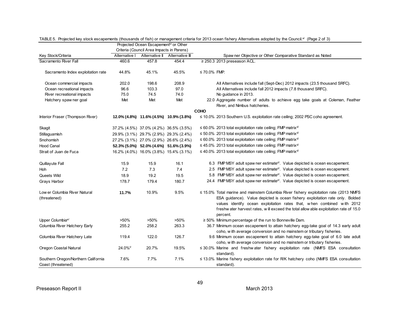|                                                           |                        | Projected Ocean Escapement <sup>b/</sup> or Other |                 |                                                                                                                                                                                                                                                                                                                                                             |
|-----------------------------------------------------------|------------------------|---------------------------------------------------|-----------------|-------------------------------------------------------------------------------------------------------------------------------------------------------------------------------------------------------------------------------------------------------------------------------------------------------------------------------------------------------------|
|                                                           |                        | Criteria (Council Area Impacts in Parens)         |                 |                                                                                                                                                                                                                                                                                                                                                             |
| Key Stock/Criteria                                        | Alternative I          | Alternative II                                    | Alternative III | Spaw ner Objective or Other Comparative Standard as Noted                                                                                                                                                                                                                                                                                                   |
| Sacramento River Fall                                     | 460.6                  | 457.8                                             | 454.4           | $\geq$ 250.3 2013 preseason ACL.                                                                                                                                                                                                                                                                                                                            |
| Sacramento Index exploitation rate                        | 44.8%                  | 45.1%                                             | 45.5%           | ≤ 70.0% FMP.                                                                                                                                                                                                                                                                                                                                                |
| Ocean commercial impacts                                  | 202.0<br>96.6          | 198.6<br>103.3                                    | 208.9<br>97.0   | All Alternatives include fall (Sept-Dec) 2012 impacts (23.5 thousand SRFC).                                                                                                                                                                                                                                                                                 |
| Ocean recreational impacts                                |                        |                                                   |                 | All Alternatives include fall 2012 impacts (7.8 thousand SRFC).                                                                                                                                                                                                                                                                                             |
| River recreational impacts                                | 75.0                   | 74.5                                              | 74.0            | No guidance in 2013.                                                                                                                                                                                                                                                                                                                                        |
| Hatchery spaw ner goal                                    | Met                    | Met                                               | Met             | 22.0 Aggregate number of adults to achieve egg take goals at Coleman, Feather<br>River, and Nimbus hatcheries.                                                                                                                                                                                                                                              |
|                                                           |                        |                                                   |                 | <b>COHO</b>                                                                                                                                                                                                                                                                                                                                                 |
| Interior Fraser (Thompson River)                          |                        | 12.0% (4.8%) 11.6% (4.5%) 10.9% (3.8%)            |                 | ≤ 10.0% 2013 Southern U.S. exploitation rate ceiling; 2002 PSC coho agreement.                                                                                                                                                                                                                                                                              |
| Skagit                                                    |                        | 37.2% (4.5%) 37.0% (4.2%) 36.5% (3.5%)            |                 | $\leq$ 60.0% 2013 total exploitation rate ceiling; FMP matrix <sup>d/</sup>                                                                                                                                                                                                                                                                                 |
| Stillaguamish                                             |                        | 29.9% (3.1%) 29.7% (2.9%) 29.3% (2.4%)            |                 | $\leq$ 50.0% 2013 total exploitation rate ceiling; FMP matrix <sup>d/</sup>                                                                                                                                                                                                                                                                                 |
| Snohomish                                                 |                        | 27.2% (3.1%) 27.0% (2.9%) 26.6% (2.4%)            |                 | $\leq$ 60.0% 2013 total exploitation rate ceiling; FMP matrix <sup>d/</sup>                                                                                                                                                                                                                                                                                 |
| <b>Hood Canal</b>                                         |                        | 52.3% (5.0%) 52.0% (4.6%) 51.6% (3.9%)            |                 | $\leq$ 45.0% 2013 total exploitation rate ceiling; FMP matrix <sup>d/</sup>                                                                                                                                                                                                                                                                                 |
| Strait of Juan de Fuca                                    |                        | 16.2% (4.0%) 16.0% (3.8%) 15.4% (3.1%)            |                 | $\leq$ 40.0% 2013 total exploitation rate ceiling; FMP matrix <sup>d/</sup>                                                                                                                                                                                                                                                                                 |
| Quillayute Fall                                           | 15.9                   | 15.9                                              | 16.1            | 6.3 FMP MSY adult spaw ner estimate <sup>d</sup> . Value depicted is ocean escapement.                                                                                                                                                                                                                                                                      |
| Hoh                                                       | 7.2                    | 7.3                                               | 7.4             | 2.5 FMP MSY adult spaw ner estimated. Value depicted is ocean escapement.                                                                                                                                                                                                                                                                                   |
| Queets Wild                                               | 18.9                   | 19.2                                              | 19.5            | 5.8 FMP MSY adult spaw ner estimated. Value depicted is ocean escapement.                                                                                                                                                                                                                                                                                   |
| Grays Harbor                                              | 178.7                  | 179.4                                             | 180.7           | 24.4 FMP MSY adult spaw ner estimate <sup>d</sup> . Value depicted is ocean escapement.                                                                                                                                                                                                                                                                     |
| Low er Columbia River Natural<br>(threatened)             | 11.7%                  | 10.9%                                             | 9.5%            | $\leq$ 15.0% Total marine and mainstem Columbia River fishery exploitation rate (2013 NMFS<br>ESA guidance). Value depicted is ocean fishery exploitation rate only. Bolded<br>values identify ocean exploitation rates that, when combined with 2012<br>freshw ater harvest rates, w ill exceed the total allow able exploitation rate of 15.0<br>percent. |
| Upper Columbia <sup>e/</sup>                              | $>50\%$                | $>50\%$                                           | $>50\%$         | ≥ 50% Minimum percentage of the run to Bonneville Dam.                                                                                                                                                                                                                                                                                                      |
| Columbia River Hatchery Early                             | 255.2                  | 258.2                                             | 263.3           | 36.7 Minimum ocean escapement to attain hatchery egg-take goal of 14.3 early adult                                                                                                                                                                                                                                                                          |
|                                                           |                        |                                                   |                 | coho, with average conversion and no mainstem or tributary fisheries.                                                                                                                                                                                                                                                                                       |
| Columbia River Hatchery Late                              | 119.4                  | 122.0                                             | 126.7           | 9.6 Minimum ocean escapement to attain hatchery egg-take goal of 6.0 late adult<br>coho, with average conversion and no mainstem or tributary fisheries.                                                                                                                                                                                                    |
| Oregon Coastal Natural                                    | $24.0\%$ <sup>f/</sup> | 20.7%                                             | 19.5%           | $\leq$ 30.0% Marine and freshwater fishery exploitation rate (NMFS ESA consultation<br>standard).                                                                                                                                                                                                                                                           |
| Southern Oregon/Northern California<br>Coast (threatened) | 7.6%                   | 7.7%                                              | 7.1%            | $\leq$ 13.0% Marine fishery exploitation rate for R/K hatchery coho (NMFS ESA consultation<br>standard).                                                                                                                                                                                                                                                    |

## TABLE 5. Projected key stock escapements (thousands of fish) or management criteria for 2013 ocean fishery Alternatives adopted by the Council.<sup>a/</sup> (Page 2 of 3)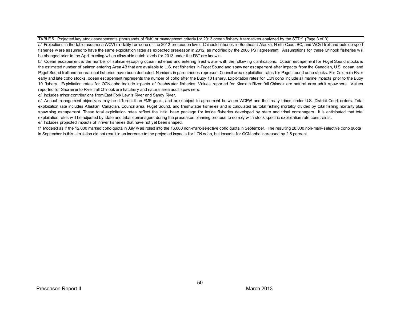#### TABLE 5. Projected key stock escapements (thousands of fish) or management criteria for 2013 ocean fishery Alternatives analyzed by the STT.<sup>a/</sup> (Page 3 of 3)

a/ Projections in the table assume <sup>a</sup> WCVI mortality for coho of the 2012 preseason level. Chinook fisheries in Southeast Alaska, North Coast BC, and WCVI troll and outside sport fisheries w ere assumed to have the same exploitation rates as expected preseason in 2012, as modified by the 2008 PST agreement. Assumptions for these Chinook fisheries will be changed prior to the April meeting w hen allow able catch levels for 2013 under the PST are know n.

b/ Ocean escapement is the number of salmon escaping ocean fisheries and entering freshw ater w ith the follow ing clarifications. Ocean escapement for Puget Sound stocks is the estimated number of salmon entering Area 4B that are available to U.S. net fisheries in Puget Sound and spaw ner escapement after impacts from the Canadian, U.S. ocean, and Puget Sound troll and recreational fisheries have been deducted. Numbers in parentheses represent Council area exploitation rates for Puget sound coho stocks. For Columbia River early and late coho stocks, ocean escapement represents the number of coho after the Buoy 10 fishery. Exploitation rates for LCN coho include all marine impacts prior to the Buoy 10 fishery. Exploitation rates for OCN coho include impacts of freshw ater fisheries. Values reported for Klamath River fall Chinook are natural area adult spaw ners. Values reported for Sacramento River fall Chinook are hatchery and natural area adult spaw ners.

c/ Includes minor contributions from East Fork Lew is River and Sandy River.

e/ Includes projected impacts of inriver fisheries that have not yet been shaped. d/ Annual management objectives may be different than FMP goals, and are subject to agreement betw een WDFW and the treaty tribes under U.S. District Court orders. Total exploitation rate includes Alaskan, Canadian, Council area, Puget Sound, and freshw ater fisheries and is calculated as total fishing mortality divided by total fishing mortality plus spaw ning escapement. These total exploitation rates reflect the initial base package for inside fisheries developed by state and tribal comanagers. It is anticipated that total exploitation rates w ill be adjusted by state and tribal comanagers during the preseason planning process to comply w ith stock specific exploitation rate constraints.

f/ Modeled as if the 12,000 marked coho quota in July w as rolled into the 16,000 non-mark-selective coho quota in September. The resulting 28,000 non-mark-selective coho quota in September in this simulation did not result in an increase to the projected impacts for LCN coho, but impacts for OCN coho increased by 2.5 percent.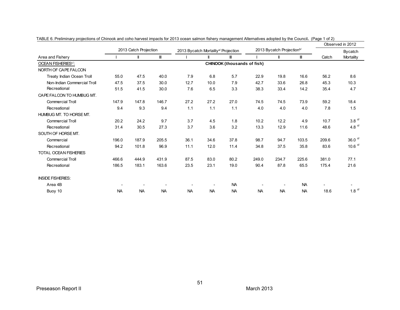|                                 |           |                       |              |                                                 |           |                                    |           |                                       |           |       | Observed in 2012  |
|---------------------------------|-----------|-----------------------|--------------|-------------------------------------------------|-----------|------------------------------------|-----------|---------------------------------------|-----------|-------|-------------------|
|                                 |           | 2013 Catch Projection |              | 2013 Bycatch Mortality <sup>a/</sup> Projection |           |                                    |           | 2013 Bycatch Projection <sup>b/</sup> |           |       | <b>Bycatch</b>    |
| Area and Fishery                |           | Ш                     | $\mathbf{H}$ |                                                 | Ш         | $\mathbb{I}$                       |           | Ш                                     | Ш         | Catch | Mortality         |
| OCEAN FISHERIES <sup>c/</sup> : |           |                       |              |                                                 |           | <b>CHINOOK (thousands of fish)</b> |           |                                       |           |       |                   |
| NORTH OF CAPE FALCON            |           |                       |              |                                                 |           |                                    |           |                                       |           |       |                   |
| Treaty Indian Ocean Troll       | 55.0      | 47.5                  | 40.0         | 7.9                                             | 6.8       | 5.7                                | 22.9      | 19.8                                  | 16.6      | 56.2  | 8.6               |
| Non-Indian Commercial Troll     | 47.5      | 37.5                  | 30.0         | 12.7                                            | 10.0      | 7.9                                | 42.7      | 33.6                                  | 26.8      | 45.3  | 10.3              |
| Recreational                    | 51.5      | 41.5                  | 30.0         | 7.6                                             | 6.5       | 3.3                                | 38.3      | 33.4                                  | 14.2      | 35.4  | 4.7               |
| CAPE FALCON TO HUMBUG MT.       |           |                       |              |                                                 |           |                                    |           |                                       |           |       |                   |
| <b>Commercial Troll</b>         | 147.9     | 147.8                 | 146.7        | 27.2                                            | 27.2      | 27.0                               | 74.5      | 74.5                                  | 73.9      | 59.2  | 18.4              |
| Recreational                    | 9.4       | 9.3                   | 9.4          | 1.1                                             | 1.1       | 1.1                                | 4.0       | 4.0                                   | 4.0       | 7.8   | 1.5               |
| HUMBUG MT. TO HORSE MT.         |           |                       |              |                                                 |           |                                    |           |                                       |           |       |                   |
| <b>Commercial Troll</b>         | 20.2      | 24.2                  | 9.7          | 3.7                                             | 4.5       | 1.8                                | 10.2      | 12.2                                  | 4.9       | 10.7  | 3.8 <sup>d/</sup> |
| Recreational                    | 31.4      | 30.5                  | 27.3         | 3.7                                             | 3.6       | 3.2                                | 13.3      | 12.9                                  | 11.6      | 48.6  | $4.8$ d/          |
| SOUTH OF HORSE MT.              |           |                       |              |                                                 |           |                                    |           |                                       |           |       |                   |
| Commercial                      | 196.0     | 187.9                 | 205.5        | 36.1                                            | 34.6      | 37.8                               | 98.7      | 94.7                                  | 103.5     | 209.6 | 36.0 $d/$         |
| Recreational                    | 94.2      | 101.8                 | 96.9         | 11.1                                            | 12.0      | 11.4                               | 34.8      | 37.5                                  | 35.8      | 83.6  | 10.6 $d/$         |
| <b>TOTAL OCEAN FISHERIES</b>    |           |                       |              |                                                 |           |                                    |           |                                       |           |       |                   |
| <b>Commercial Troll</b>         | 466.6     | 444.9                 | 431.9        | 87.5                                            | 83.0      | 80.2                               | 249.0     | 234.7                                 | 225.6     | 381.0 | 77.1              |
| Recreational                    | 186.5     | 183.1                 | 163.6        | 23.5                                            | 23.1      | 19.0                               | 90.4      | 87.8                                  | 65.5      | 175.4 | 21.6              |
| <b>INSIDE FISHERIES:</b>        |           |                       |              |                                                 |           |                                    |           |                                       |           |       |                   |
| Area 4B                         |           |                       |              |                                                 |           | <b>NA</b>                          |           |                                       | <b>NA</b> |       |                   |
| Buoy 10                         | <b>NA</b> | <b>NA</b>             | <b>NA</b>    | <b>NA</b>                                       | <b>NA</b> | <b>NA</b>                          | <b>NA</b> | <b>NA</b>                             | <b>NA</b> | 18.6  | $1.8$ d/          |

TABLE 6. Preliminary projections of Chinook and coho harvest impacts for 2013 ocean salmon fishery management Alternatives adopted by the Council**.** (Page 1 of 2)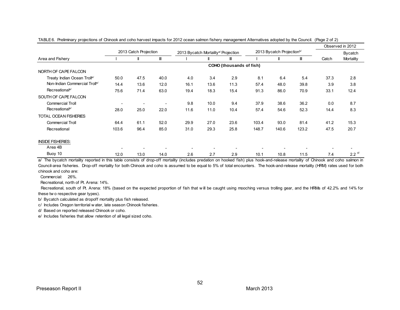|                               |                                 |      |                                                 |      |      |      |                                       |              |       |         | Observed in 2012 |
|-------------------------------|---------------------------------|------|-------------------------------------------------|------|------|------|---------------------------------------|--------------|-------|---------|------------------|
|                               | 2013 Catch Projection           |      | 2013 Bycatch Mortality <sup>a/</sup> Projection |      |      |      | 2013 Bycatch Projection <sup>b/</sup> |              |       | Bycatch |                  |
| Area and Fishery              |                                 | Ш    | Ш                                               |      | Ш    | Ш    |                                       | $\mathbf{I}$ | Ш     | Catch   | Mortality        |
|                               | <b>COHO</b> (thousands of fish) |      |                                                 |      |      |      |                                       |              |       |         |                  |
| NORTH OF CAPE FALCON          |                                 |      |                                                 |      |      |      |                                       |              |       |         |                  |
| Treaty Indian Ocean Trolle/   | 50.0                            | 47.5 | 40.0                                            | 4.0  | 3.4  | 2.9  | 8.1                                   | 6.4          | 5.4   | 37.3    | 2.8              |
| Non-Indian Commercial Trolle/ | 14.4                            | 13.6 | 12.0                                            | 16.1 | 13.6 | 11.3 | 57.4                                  | 48.0         | 39.8  | 3.9     | 3.8              |
| Recreational <sup>e/</sup>    | 75.6                            | 71.4 | 63.0                                            | 19.4 | 18.3 | 15.4 | 91.3                                  | 86.0         | 70.9  | 33.1    | 12.4             |
| SOUTH OF CAPE FALCON          |                                 |      |                                                 |      |      |      |                                       |              |       |         |                  |
| <b>Commercial Troll</b>       | $\overline{\phantom{a}}$        |      |                                                 | 9.8  | 10.0 | 9.4  | 37.9                                  | 38.6         | 36.2  | 0.0     | 8.7              |
| Recreational <sup>e/</sup>    | 28.0                            | 25.0 | 22.0                                            | 11.6 | 11.0 | 10.4 | 57.4                                  | 54.6         | 52.3  | 14.4    | 8.3              |
| <b>TOTAL OCEAN FISHERIES</b>  |                                 |      |                                                 |      |      |      |                                       |              |       |         |                  |
| <b>Commercial Troll</b>       | 64.4                            | 61.1 | 52.0                                            | 29.9 | 27.0 | 23.6 | 103.4                                 | 93.0         | 81.4  | 41.2    | 15.3             |
| Recreational                  | 103.6                           | 96.4 | 85.0                                            | 31.0 | 29.3 | 25.8 | 148.7                                 | 140.6        | 123.2 | 47.5    | 20.7             |
| <b>INSIDE FISHERIES:</b>      |                                 |      |                                                 |      |      |      |                                       |              |       |         |                  |
| Area 4B                       | $\overline{\phantom{a}}$        | ٠    |                                                 |      |      |      |                                       |              |       |         |                  |
| Buoy 10                       | 12.0                            | 13.0 | 14.0                                            | 2.6  | 2.7  | 2.9  | 10.1                                  | 10.8         | 11.5  | 7.4     | $2.2$ d/         |

TABLE 6. Preliminary projections of Chinook and coho harvest impacts for 2012 ocean salmon fishery management Alternatives adopted by the Council. (Page 2 of 2)

a/ The bycatch mortality reported in this table consists of drop-off mortality (includes predation on hooked fish) plus hook-and-release mortality of Chinook and coho salmon in Council-area fisheries. Drop-off mortality for both Chinook and coho is assumed to be equal to 5% of total encounters. The hook-and-release mortality (HRM) rates used for both chinook and coho are:

Commercial: 26%.

Recreational, north of Pt. Arena: 14%.

Recreational, south of Pt. Arena: 18% (based on the expected proportion of fish that <sup>w</sup> ill be caught using mooching versus trolling gear, and the HRMs of 42.2% and 14% for these tw o respective gear types).

b/ Bycatch calculated as dropoff mortality plus fish released.

c/ Includes Oregon territorial w ater, late season Chinook fisheries.

d/ Based on reported released Chinook or coho.

e/ Includes fisheries that allow retention of all legal sized coho.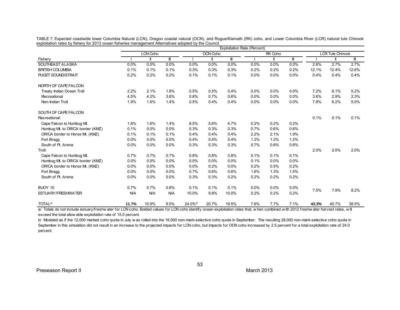|                                  | Exploitation Rate (Percent) |                 |            |                     |          |       |      |         |              |       |                         |              |
|----------------------------------|-----------------------------|-----------------|------------|---------------------|----------|-------|------|---------|--------------|-------|-------------------------|--------------|
|                                  |                             | <b>LCN Coho</b> |            |                     | OCN Coho |       |      | RK Coho |              |       | <b>LCR Tule Chinook</b> |              |
| Fishery                          |                             |                 | Ш          |                     |          | Ш     |      |         | $\mathbf{m}$ |       | Ш                       | $\mathbf{m}$ |
| SOUTHEAST ALASKA                 | 0.0%                        | 0.0%            | 0.0%       | 0.0%                | 0.0%     | 0.0%  | 0.0% | 0.0%    | 0.0%         | 2.6%  | 2.7%                    | 2.7%         |
| <b>BRITISH COLUMBIA</b>          | 0.1%                        | 0.1%            | 0.1%       | 0.3%                | 0.3%     | 0.3%  | 0.2% | 0.2%    | 0.2%         | 12.1% | 12.4%                   | 12.6%        |
| PUGET SOUND/STRAIT               | 0.2%                        | 0.2%            | 0.2%       | 0.1%                | 0.1%     | 0.1%  | 0.0% | 0.0%    | 0.0%         | 0.4%  | 0.4%                    | 0.4%         |
| NORTH OF CAPE FALCON             |                             |                 |            |                     |          |       |      |         |              |       |                         |              |
| Treaty Indian Ocean Troll        | 2.2%                        | 2.1%            | 1.8%       | 0.5%                | 0.5%     | 0.4%  | 0.0% | 0.0%    | 0.0%         | 7.2%  | 6.1%                    | 5.2%         |
| Recreational                     | 4.5%                        | 4.2%            | 3.6%       | 0.8%                | 0.7%     | 0.6%  | 0.0% | 0.0%    | 0.0%         | 3.6%  | 2.9%                    | 2.3%         |
| Non-Indian Troll                 | 1.9%                        | 1.6%            | 1.4%       | 0.5%                | 0.4%     | 0.4%  | 0.0% | 0.0%    | 0.0%         | 7.8%  | 6.2%                    | 5.0%         |
| SOUTH OF CAPE FALCON             |                             |                 |            |                     |          |       |      |         |              |       |                         |              |
| Recreational:                    |                             |                 |            |                     |          |       |      |         |              | 0.1%  | 0.1%                    | 0.1%         |
| Cape Falcon to Humbug Mt.        | 1.8%                        | 1.6%            | 1.4%       | 8.5%                | 5.6%     | 4.7%  | 0.2% | 0.2%    | 0.2%         |       |                         |              |
| Humbug Mt. to OR/CA border (KMZ) | 0.1%                        | 0.0%            | 0.0%       | 0.3%                | 0.3%     | 0.3%  | 0.7% | 0.6%    | 0.6%         |       |                         |              |
| OR/CA border to Horse Mt. (KMZ)  | 0.1%                        | 0.1%            | 0.1%       | 0.4%                | 0.4%     | 0.4%  | 2.2% | 2.1%    | 1.9%         |       |                         |              |
| Fort Bragg                       | 0.0%                        | 0.0%            | 0.0%       | 0.4%                | 0.4%     | 0.4%  | 1.2% | 1.2%    | 1.2%         |       |                         |              |
| South of Pt. Arena               | 0.0%                        | 0.0%            | 0.0%       | 0.3%                | 0.3%     | 0.3%  | 0.7% | 0.8%    | 0.6%         |       |                         |              |
| Troll:                           |                             |                 |            |                     |          |       |      |         |              | 2.0%  | 2.0%                    | 2.0%         |
| Cape Falcon to Humbug Mt.        | 0.7%                        | 0.7%            | 0.7%       | 0.8%                | 0.8%     | 0.8%  | 0.1% | 0.1%    | 0.1%         |       |                         |              |
| Humbug Mt. to OR/CA border (KMZ) | $0.0\%$                     | 0.0%            | 0.0%       | 0.0%                | 0.0%     | 0.0%  | 0.1% | 0.0%    | 0.0%         |       |                         |              |
| OR/CA border to Horse Mt. (KMZ)  | 0.0%                        | 0.0%            | 0.0%       | 0.0%                | 0.2%     | 0.0%  | 0.2% | 0.5%    | 0.2%         |       |                         |              |
| Fort Bragg                       | 0.0%                        | 0.0%            | 0.0%       | 0.7%                | 0.6%     | 0.6%  | 1.6% | 1.3%    | 1.5%         |       |                         |              |
| South of Pt. Arena               | 0.0%                        | 0.0%            | 0.0%       | 0.3%                | 0.3%     | 0.2%  | 0.2% | 0.2%    | 0.2%         |       |                         |              |
| BUOY 10                          | 0.7%                        | 0.7%            | 0.8%       | 0.1%                | 0.1%     | 0.1%  | 0.0% | 0.0%    | 0.0%         |       |                         |              |
| <b>ESTUARY/FRESHWATER</b>        | <b>N/A</b>                  | <b>N/A</b>      | <b>N/A</b> | 10.0%               | 9.8%     | 10.0% | 0.2% | 0.2%    | 0.2%         | 7.5%  | 7.9%                    | 8.2%         |
| TOTAL <sup>a/</sup>              | 11.7%                       | 10.9%           | 9.5%       | 24.0% <sup>b/</sup> | 20.7%    | 19.5% | 7.6% | 7.7%    | 7.1%         | 43.3% | 40.7%                   | 38.5%        |

TABLE 7. Expected coastwide lower Columbia Natural (LCN), Oregon coastal natural (OCN), and Rogue/Klamath (RK) coho, and Lower Columbia River (LCR) natural tule Chinook exploitation rates by fishery for 2013 ocean fisheries management Alternatives adopted by the Council.

a/ Totals do not include estuary/freshw ater for LCN coho. Bolded values for LCN coho identify ocean exploitation rates that, w hen combined w ith 2012 freshw ater harvest rates, w ill exceed the total allow able exploitation rate of 15.0 percent.

b/ Modeled as if the 12,000 marked coho quota in July w as rolled into the 16,000 non-mark-selective coho quota in September. The resulting 28,000 non-mark-selective coho quota in September in this simulation did not result in an increase to the projected impacts for LCN coho, but impacts for OCN coho increased by 2.5 percent for a total exploitation rate of 24.0 percent.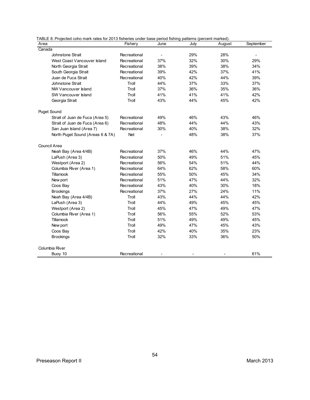| TABLE 8. Projected coho mark rates for 2013 fisheries under base period fishing patterns (percent marked). |  |  |
|------------------------------------------------------------------------------------------------------------|--|--|
|                                                                                                            |  |  |

| TABLE 8. Projected coho mark rates for 2013 fisheries under base period fishing patterns (percent marked).<br>Area | Fishery      | June | July | August | September |
|--------------------------------------------------------------------------------------------------------------------|--------------|------|------|--------|-----------|
| Canada                                                                                                             |              |      |      |        |           |
| Johnstone Strait                                                                                                   | Recreational |      | 29%  | 28%    |           |
| West Coast Vancouver Island                                                                                        | Recreational | 37%  | 32%  | 30%    | 29%       |
| North Georgia Strait                                                                                               | Recreational | 38%  | 39%  | 38%    | 34%       |
| South Georgia Strait                                                                                               | Recreational | 39%  | 42%  | 37%    | 41%       |
| Juan de Fuca Strait                                                                                                | Recreational | 40%  | 42%  | 44%    | 39%       |
| Johnstone Strait                                                                                                   | Troll        | 44%  | 37%  | 33%    | 37%       |
| NW Vancouver Island                                                                                                | Troll        | 37%  | 36%  | 35%    | 36%       |
| SW Vancouver Island                                                                                                | Troll        | 41%  | 41%  | 41%    | 42%       |
| Georgia Strait                                                                                                     | Troll        | 43%  | 44%  | 45%    | 42%       |
| <b>Puget Sound</b>                                                                                                 |              |      |      |        |           |
| Strait of Juan de Fuca (Area 5)                                                                                    | Recreational | 49%  | 46%  | 43%    | 46%       |
| Strait of Juan de Fuca (Area 6)                                                                                    | Recreational | 48%  | 44%  | 44%    | 43%       |
| San Juan Island (Area 7)                                                                                           | Recreational | 30%  | 40%  | 38%    | 32%       |
| North Puget Sound (Areas 6 & 7A)                                                                                   | <b>Net</b>   |      | 48%  | 38%    | 37%       |
| Council Area                                                                                                       |              |      |      |        |           |
| Neah Bay (Area 4/4B)                                                                                               | Recreational | 37%  | 46%  | 44%    | 47%       |
| LaPush (Area 3)                                                                                                    | Recreational | 50%  | 49%  | 51%    | 45%       |
| Westport (Area 2)                                                                                                  | Recreational | 56%  | 54%  | 51%    | 44%       |
| Columbia River (Area 1)                                                                                            | Recreational | 64%  | 62%  | 58%    | 60%       |
| Tillamook                                                                                                          | Recreational | 55%  | 50%  | 45%    | 34%       |
| New port                                                                                                           | Recreational | 51%  | 47%  | 44%    | 32%       |
| Coos Bay                                                                                                           | Recreational | 43%  | 40%  | 30%    | 18%       |
| <b>Brookings</b>                                                                                                   | Recreational | 37%  | 27%  | 24%    | 11%       |
| Neah Bay (Area 4/4B)                                                                                               | Troll        | 43%  | 44%  | 44%    | 42%       |
| LaPush (Area 3)                                                                                                    | Troll        | 44%  | 49%  | 45%    | 45%       |
| Westport (Area 2)                                                                                                  | Troll        | 45%  | 47%  | 49%    | 47%       |
| Columbia River (Area 1)                                                                                            | Troll        | 56%  | 55%  | 52%    | 53%       |
| Tillamook                                                                                                          | Troll        | 51%  | 49%  | 49%    | 45%       |
| New port                                                                                                           | Troll        | 49%  | 47%  | 45%    | 43%       |
| Coos Bay                                                                                                           | Troll        | 42%  | 40%  | 35%    | 23%       |
| <b>Brookings</b>                                                                                                   | Troll        | 32%  | 33%  | 36%    | 50%       |
| Columbia River                                                                                                     |              |      |      |        |           |
| Buoy 10                                                                                                            | Recreational |      |      |        | 61%       |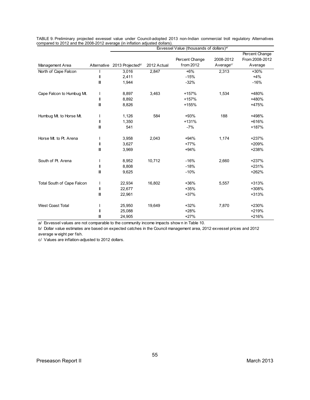|                            | Exvessel Value (thousands of dollars) <sup>a/</sup> |                                          |             |                |                       |                |  |  |  |
|----------------------------|-----------------------------------------------------|------------------------------------------|-------------|----------------|-----------------------|----------------|--|--|--|
|                            |                                                     |                                          |             |                |                       | Percent Change |  |  |  |
|                            |                                                     |                                          |             | Percent Change | 2008-2012             | From 2008-2012 |  |  |  |
| Management Area            |                                                     | Alternative 2013 Projected <sup>b/</sup> | 2012 Actual | from 2012      | Average <sup>c/</sup> | Average        |  |  |  |
| North of Cape Falcon       |                                                     | 3,016                                    | 2,847       | $+6%$          | 2,313                 | $+30%$         |  |  |  |
|                            | Ш                                                   | 2,411                                    |             | $-15%$         |                       | $+4%$          |  |  |  |
|                            | $\label{eq:1} \quad \text{III}$                     | 1,944                                    |             | $-32%$         |                       | $-16%$         |  |  |  |
| Cape Falcon to Humbug Mt.  | $\mathbf{I}$                                        | 8,897                                    | 3,463       | +157%          | 1,534                 | +480%          |  |  |  |
|                            | Ш                                                   | 8,892                                    |             | +157%          |                       | +480%          |  |  |  |
|                            | $\mathbf{m}$                                        | 8,826                                    |             | +155%          |                       | +475%          |  |  |  |
| Humbug Mt. to Horse Mt.    |                                                     | 1,126                                    | 584         | +93%           | 188                   | +498%          |  |  |  |
|                            | Ш                                                   | 1,350                                    |             | $+131%$        |                       | +616%          |  |  |  |
|                            | Ш                                                   | 541                                      |             | $-7%$          |                       | +187%          |  |  |  |
| Horse Mt. to Pt. Arena     |                                                     | 3,958                                    | 2,043       | $+94%$         | 1,174                 | +237%          |  |  |  |
|                            | Ш                                                   | 3,627                                    |             | $+77%$         |                       | +209%          |  |  |  |
|                            | $\mathbf{m}$                                        | 3,969                                    |             | $+94%$         |                       | +238%          |  |  |  |
| South of Pt. Arena         |                                                     | 8,952                                    | 10,712      | $-16%$         | 2,660                 | $+237%$        |  |  |  |
|                            | Ш                                                   | 8,808                                    |             | $-18%$         |                       | $+231%$        |  |  |  |
|                            | $\ensuremath{\mathsf{III}}\xspace$                  | 9,625                                    |             | $-10%$         |                       | +262%          |  |  |  |
| Total South of Cape Falcon | T                                                   | 22,934                                   | 16,802      | +36%           | 5,557                 | +313%          |  |  |  |
|                            | Ш                                                   | 22,677                                   |             | +35%           |                       | +308%          |  |  |  |
|                            | Ш                                                   | 22,961                                   |             | $+37%$         |                       | +313%          |  |  |  |
| <b>West Coast Total</b>    |                                                     | 25,950                                   | 19,649      | $+32%$         | 7,870                 | +230%          |  |  |  |
|                            | Ш                                                   | 25,088                                   |             | $+28%$         |                       | +219%          |  |  |  |
|                            | Ш                                                   | 24,905                                   |             | $+27%$         |                       | +216%          |  |  |  |

| TABLE 9. Preliminary projected exvessel value under Council-adopted 2013 non-Indian commercial troll regulatory Alternatives |  |  |  |  |  |  |
|------------------------------------------------------------------------------------------------------------------------------|--|--|--|--|--|--|
| compared to 2012 and the 2008-2012 average (in inflation adjusted dollars).                                                  |  |  |  |  |  |  |

a/ Exvessel values are not comparable to the community income impacts show n in Table 10.

b/ Dollar value estimates are based on expected catches in the Council management area, 2012 exvessel prices and 2012

average w eight per fish.

c/ Values are inflation-adjusted to 2012 dollars.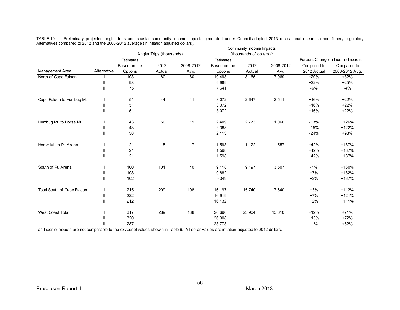|                            |                                    |              |                          |                |              | Community Income Impacts             |           |                                  |                |  |  |
|----------------------------|------------------------------------|--------------|--------------------------|----------------|--------------|--------------------------------------|-----------|----------------------------------|----------------|--|--|
|                            |                                    |              | Angler Trips (thousands) |                |              | (thousands of dollars) <sup>a/</sup> |           |                                  |                |  |  |
|                            |                                    | Estimates    |                          |                | Estimates    |                                      |           | Percent Change in Income Impacts |                |  |  |
|                            |                                    | Based on the | 2012                     | 2008-2012      | Based on the | 2012                                 | 2008-2012 | Compared to                      | Compared to    |  |  |
| Management Area            | Alternative                        | Options      | Actual                   | Avg.           | Options      | Actual                               | Avg.      | 2012 Actual                      | 2008-2012 Avg. |  |  |
| North of Cape Falcon       |                                    | 103          | 80                       | 80             | 10,498       | 8,165                                | 7,969     | $+29%$                           | $+32%$         |  |  |
|                            | Ш                                  | 98           |                          |                | 9,989        |                                      |           | $+22%$                           | $+25%$         |  |  |
|                            | Ш                                  | 75           |                          |                | 7,641        |                                      |           | $-6%$                            | $-4%$          |  |  |
| Cape Falcon to Humbug Mt.  |                                    | 51           | 44                       | 41             | 3,072        | 2,647                                | 2,511     | $+16%$                           | $+22%$         |  |  |
|                            | $\mathsf{I}$                       | 51           |                          |                | 3,072        |                                      |           | $+16%$                           | $+22%$         |  |  |
|                            | $\ensuremath{\mathsf{III}}\xspace$ | 51           |                          |                | 3,072        |                                      |           | $+16%$                           | $+22%$         |  |  |
| Humbug Mt. to Horse Mt.    |                                    | 43           | 50                       | 19             | 2,409        | 2,773                                | 1,066     | $-13%$                           | +126%          |  |  |
|                            | Ш                                  | 43           |                          |                | 2,368        |                                      |           | $-15%$                           | $+122%$        |  |  |
|                            | $\  \ $                            | 38           |                          |                | 2,113        |                                      |           | $-24%$                           | +98%           |  |  |
| Horse Mt. to Pt. Arena     |                                    | 21           | 15                       | $\overline{7}$ | 1,598        | 1,122                                | 557       | $+42%$                           | +187%          |  |  |
|                            | Ш                                  | 21           |                          |                | 1,598        |                                      |           | $+42%$                           | +187%          |  |  |
|                            | $\label{eq:1} \quad \text{III}$    | 21           |                          |                | 1,598        |                                      |           | $+42%$                           | +187%          |  |  |
| South of Pt. Arena         |                                    | 100          | 101                      | 40             | 9,118        | 9,197                                | 3,507     | $-1%$                            | +160%          |  |  |
|                            | Ш                                  | 108          |                          |                | 9,882        |                                      |           | $+7%$                            | +182%          |  |  |
|                            | $\  \ $                            | 102          |                          |                | 9,349        |                                      |           | $+2%$                            | +167%          |  |  |
| Total South of Cape Falcon |                                    | 215          | 209                      | 108            | 16,197       | 15,740                               | 7,640     | $+3%$                            | $+112%$        |  |  |
|                            | $\mathsf{I}\mathsf{I}$             | 222          |                          |                | 16,919       |                                      |           | $+7%$                            | $+121%$        |  |  |
|                            | $\label{eq:1} \quad \text{III}$    | 212          |                          |                | 16,132       |                                      |           | $+2\%$                           | $+111%$        |  |  |
| <b>West Coast Total</b>    |                                    | 317          | 289                      | 188            | 26,696       | 23,904                               | 15,610    | $+12%$                           | $+71%$         |  |  |
|                            | Ш                                  | 320          |                          |                | 26,908       |                                      |           | $+13%$                           | $+72%$         |  |  |
|                            | Ш                                  | 287          |                          |                | 23,773       |                                      |           | $-1%$                            | $+52%$         |  |  |

TABLE 10. Preliminary projected angler trips and coastal community income impacts generated under Council-adopted 2013 recreational ocean salmon fishery regulatory Alternatives compared to 2012 and the 2008-2012 average (in inflation adjusted dollars)**.**

a/ Income impacts are not comparable to the exvessel values show n in Table 9. All dollar values are inflation-adjusted to 2012 dollars.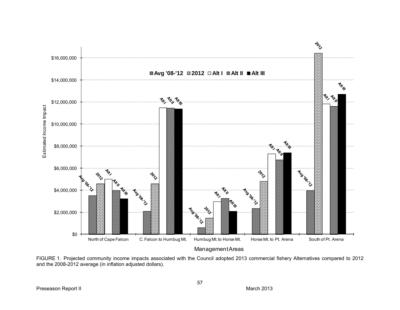

FIGURE 1. Projected community income impacts associated with the Council adopted 2013 commercial fishery Alternatives compared to 2012 and the 2008-2012 average (in inflation adjusted dollars).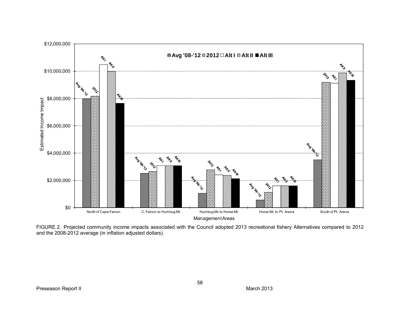

FIGURE 2. Projected community income impacts associated with the Council adopted 2013 recreational fishery Alternatives compared to 2012 and the 2008-2012 average (in inflation adjusted dollars).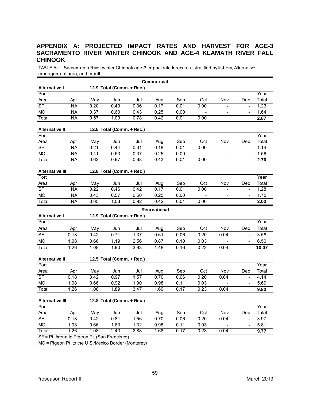# **APPENDIX A: PROJECTED IMPACT RATES AND HARVEST FOR AGE-3 SACRAMENTO RIVER WINTER CHINOOK AND AGE-4 KLAMATH RIVER FALL CHINOOK**

TABLE A-1. Sacramento River winter Chinook age-3 impact rate forecasts, stratified by fishery, Alternative, management area, and month.

| <b>Commercial</b>        |                 |      |                           |      |      |      |      |                          |     |       |  |  |
|--------------------------|-----------------|------|---------------------------|------|------|------|------|--------------------------|-----|-------|--|--|
| <b>Alternative I</b>     |                 |      | 12.9 Total (Comm. + Rec.) |      |      |      |      |                          |     |       |  |  |
| Port                     |                 |      |                           |      |      |      |      |                          |     | Year  |  |  |
| Area                     | Apr             | May  | Jun                       | Jul  | Aug  | Sep  | Oct  | Nov                      | Dec | Total |  |  |
| SF                       | <b>NA</b>       | 0.20 | 0.49                      | 0.36 | 0.17 | 0.01 | 0.00 | $\overline{\phantom{a}}$ |     | 1.23  |  |  |
| <b>MO</b>                | <b>NA</b>       | 0.37 | 0.60                      | 0.43 | 0.25 | 0.00 |      | $\overline{\phantom{a}}$ |     | 1.64  |  |  |
| Total                    | <b>NA</b>       | 0.57 | 1.09                      | 0.78 | 0.42 | 0.01 | 0.00 |                          |     | 2.87  |  |  |
| <b>Alternative II</b>    |                 |      | 12.5 Total (Comm. + Rec.) |      |      |      |      |                          |     |       |  |  |
| Port                     |                 |      |                           |      |      |      |      |                          |     | Year  |  |  |
| Area                     | Apr             | May  | Jun                       | Jul  | Aug  | Sep  | Oct  | Nov                      | Dec | Total |  |  |
| $\overline{\mathsf{SF}}$ | <b>NA</b>       | 0.21 | 0.44                      | 0.31 | 0.18 | 0.01 | 0.00 | $\frac{1}{2}$            |     | 1.14  |  |  |
| <b>MO</b>                | NA              | 0.41 | 0.53                      | 0.37 | 0.25 | 0.00 |      |                          |     | 1.56  |  |  |
| Total                    | N <sub>A</sub>  | 0.62 | 0.97                      | 0.68 | 0.43 | 0.01 | 0.00 |                          |     | 2.70  |  |  |
| <b>Alternative III</b>   |                 |      | 12.8 Total (Comm. + Rec.) |      |      |      |      |                          |     |       |  |  |
| Port                     |                 |      |                           |      |      |      |      |                          |     | Year  |  |  |
| Area                     | Apr             | May  | Jun                       | Jul  | Aug  | Sep  | Oct  | Nov                      | Dec | Total |  |  |
| SF                       | <b>NA</b>       | 0.22 | 0.46                      | 0.42 | 0.17 | 0.01 | 0.00 | $\overline{a}$           |     | 1.28  |  |  |
| <b>MO</b>                | NA              | 0.43 | 0.57                      | 0.50 | 0.25 | 0.00 |      | $\overline{\phantom{a}}$ |     | 1.75  |  |  |
| Total                    | $\overline{NA}$ | 0.65 | 1.03                      | 0.92 | 0.42 | 0.01 | 0.00 |                          |     | 3.03  |  |  |
| Recreational             |                 |      |                           |      |      |      |      |                          |     |       |  |  |
| <b>Alternative I</b>     |                 |      | 12.9 Total (Comm. + Rec.) |      |      |      |      |                          |     |       |  |  |
| Port                     |                 |      |                           |      |      |      |      |                          |     | Year  |  |  |
| Area                     | Apr             | May  | Jun                       | Jul  | Aug  | Sep  | Oct  | Nov                      | Dec | Total |  |  |
| $S$ F                    | 0.18            | 0.42 | 0.71                      | 1.37 | 0.61 | 0.06 | 0.20 | 0.04                     |     | 3.58  |  |  |
| <b>MO</b>                | 1.08            | 0.66 | 1.19                      | 2.56 | 0.87 | 0.10 | 0.03 |                          |     | 6.50  |  |  |
| Total                    | 1.26            | 1.08 | 1.90                      | 3.93 | 1.48 | 0.16 | 0.22 | 0.04                     |     | 10.07 |  |  |
| <b>Alternative II</b>    |                 |      | 12.5 Total (Comm. + Rec.) |      |      |      |      |                          |     |       |  |  |
| Port                     |                 |      |                           |      |      |      |      |                          |     | Year  |  |  |
| Area                     | Apr             | May  | Jun                       | Jul  | Aug  | Sep  | Oct  | Nov                      | Dec | Total |  |  |
| SF                       | 0.18            | 0.42 | 0.97                      | 1.57 | 0.70 | 0.06 | 0.20 | 0.04                     |     | 4.14  |  |  |
| <b>MO</b>                | 1.08            | 0.66 | 0.92                      | 1.90 | 0.98 | 0.11 | 0.03 |                          |     | 5.69  |  |  |
| Total                    | 1.26            | 1.08 | 1.89                      | 3.47 | 1.69 | 0.17 | 0.23 | 0.04                     |     | 9.83  |  |  |
|                          |                 |      |                           |      |      |      |      |                          |     |       |  |  |
| <b>Alternative III</b>   |                 |      | 12.8 Total (Comm. + Rec.) |      |      |      |      |                          |     |       |  |  |
| Port                     |                 |      |                           |      |      |      |      |                          |     | Year  |  |  |
| Area                     | Apr             | May  | Jun                       | Jul  | Aug  | Sep  | Oct  | Nov                      | Dec | Total |  |  |
| SF                       | 0.18            | 0.42 | 0.81                      | 1.56 | 0.70 | 0.06 | 0.20 | 0.04                     |     | 3.97  |  |  |
| <b>MO</b>                | 1.08            | 0.66 | 1.63                      | 1.32 | 0.98 | 0.11 | 0.03 | $\blacksquare$           |     | 5.81  |  |  |
| Total                    | 1.26            | 1.08 | 2.43                      | 2.88 | 1.68 | 0.17 | 0.23 | 0.04                     |     | 9.77  |  |  |

SF = Pt. Arena to Pigeon Pt. (San Francisco)

MO = Pigeon Pt. to the U.S./Mexico Border (Monterey)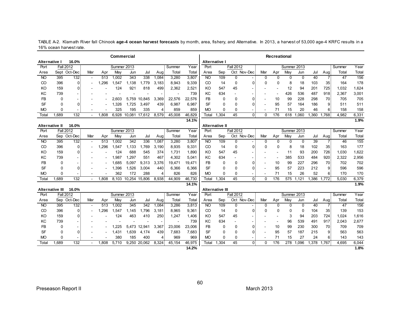|                         |  |  | TABLE A-2. Klamath River fall Chinook age-4 ocean harvest forecasts by month, area, fishery, and Alternative. In 2013, a harvest of 53,000 age-4 KRFC results in a |  |
|-------------------------|--|--|--------------------------------------------------------------------------------------------------------------------------------------------------------------------|--|
| 16% ocean harvest rate. |  |  |                                                                                                                                                                    |  |

| Commercial           |                        |                  |                |       |             |               |              | Recreational             |        |        |                |                                         |                  |             |          |                |             |              |        |                |        |       |
|----------------------|------------------------|------------------|----------------|-------|-------------|---------------|--------------|--------------------------|--------|--------|----------------|-----------------------------------------|------------------|-------------|----------|----------------|-------------|--------------|--------|----------------|--------|-------|
| <b>Alternative I</b> |                        | 16.0%            |                |       |             |               |              |                          |        |        | Alternative I  |                                         |                  |             |          |                |             |              |        |                |        |       |
| Port                 |                        | <b>Fall 2012</b> |                |       | Summer 2013 |               |              |                          | Summer | Year   | Port           |                                         | <b>Fall 2012</b> |             |          |                | Summer 2013 |              |        |                | Summer | Year  |
| Area                 |                        | Sept Oct-Dec     | Mar            | Apr   | Mav         | Jun           | Jul          | Aug                      | Total  | Total  | Area           | Sep                                     |                  | Oct Nov-Dec | Mar      | Apr            | May         | Jun          | Jul    | Aug            | Total  | Total |
| <b>NO</b>            | 395                    | 132              |                | 513   | 1.002       | 343           | 338          | 1.084                    | 3.280  | 3.807  | NO             | 109                                     | $\Omega$         |             | $\Omega$ | $\Omega$       | $\Omega$    | $\mathbf{0}$ | 40     | $\overline{7}$ | 47     | 156   |
| CO                   | 396                    | 0                |                | ,296  | 1,547       | 1,138         | 1,779        | 3,183                    | 8,943  | 9,339  | CO             | 14                                      | 0                | $\Omega$    | 0        | $\Omega$       | 8           | 18           | 103    | 35             | 164    | 178   |
| KO                   | 159                    | 0                |                |       | 124         | 921           | 818          | 499                      | 2.362  | 2,521  | KO             | 547                                     | 45               |             |          |                | 12          | 94           | 201    | 725            | 1.032  | 1,624 |
| KC                   | 739                    |                  |                |       |             |               |              | $\overline{\phantom{a}}$ |        | 739    | КC             | 634                                     |                  |             |          | $\blacksquare$ | 426         | 536          | 487    | 918            | 2.367  | 3,001 |
| FB                   | 0                      |                  |                |       | 2,603       | 5,759         | 10.845       | 3,369                    | 22,576 | 22,576 | FB             | 0                                       | 0                | $\Omega$    |          | 10             | 99          | 228          | 298    | 70             | 705    | 705   |
| <b>SF</b>            | 0                      | 0                |                |       | 1,326       | 1,725         | 3,497        | 439                      | 6,987  | 6,987  | SF             | 0                                       | 0                | $\Omega$    |          | 95             | 57          | 164          | 186    | 9              | 511    | 511   |
| <b>MO</b>            | 0                      |                  |                |       | 325         | 195           | 335          | $\overline{4}$           | 859    | 859    | <b>MO</b>      | 0                                       | 0                |             |          | 71             | 15          | 20           | 46     | 6              | 158    | 158   |
| Total                | 1.689                  | 132              | $\overline{a}$ | 1.808 | 6,928       | 10,081        | 17,612       | 8.579                    | 45,008 | 46,829 | Total          | 1,304                                   | 45               | $\Omega$    | $\Omega$ | 176            | 618         | .060<br>1    | 1.360  | 1.768          | 4,982  | 6,331 |
|                      |                        |                  |                |       |             |               |              |                          |        | 14.1%  |                |                                         |                  |             |          |                |             |              |        |                |        | 1.9%  |
| Alternative II       |                        | 16.0%            |                |       |             |               |              |                          |        |        |                | <b>Alternative II</b>                   |                  |             |          |                |             |              |        |                |        |       |
| Port                 |                        | <b>Fall 2012</b> |                |       | Summer 2013 |               |              |                          | Summer | Year   | Port           |                                         | <b>Fall 2012</b> |             |          |                | Summer 2013 |              |        |                | Summer | Year  |
| Area                 |                        | Sep Oct-Dec      | Mar            | Apr   | May         | Jun           | Jul          | Aug                      | Total  | Total  | Area           | Sep                                     |                  | Oct Nov-Dec | Mar      | Apr            | May         | Jun          | Jul    | Aug            | Total  | Total |
| NO.                  | 395                    | 132              |                | 513   | 1.002       | 342           | 336          | 1.087                    | 3,280  | 3.807  | NO             | 109                                     | 0                |             | 0        | $\Omega$       | $\Omega$    | $\mathbf 0$  | 39     | $\overline{7}$ | 46     | 155   |
| CO                   | 396                    | 0                |                | ,296  | 1.547       | 1,133         | 1.769        | 3.190                    | 8,935  | 9,331  | CO             | 14                                      | 0                | $\Omega$    | 0        | 0              | 8           | 18           | 102    | 35             | 163    | 177   |
| KO                   | 159                    | 0                |                |       | 124         | 688           | 545          | 374                      | 1,731  | 1,890  | KΟ             | 547                                     | 45               |             |          | ۰              | 11          | 93           | 200    | 726            | 1,030  | 1,622 |
| KC                   | 739                    |                  |                |       | 1,987       | 1,297         | 551          | 467                      | 4,302  | 5,041  | KС             | 634                                     |                  |             |          | $\sim$         | 385         | 533          | 484    | 920            | 2,322  | 2,956 |
| <b>FB</b>            | 0                      |                  |                |       | 1.685       | 5,097         | 9,313        | 3,376                    | 19,471 | 19,471 | FB             | 0                                       | 0                | 0           |          | 10             | 99          | 227          | 296    | 70             | 702    | 702   |
| <b>SF</b>            | 0                      | 0                |                |       | 1,396       | 1,526         | 3,004        | 440                      | 6,366  | 6,366  | SF             | 0                                       | 0                | $\Omega$    | $\sim$   | 95             | 57          | 223          | 212    | 9              | 596    | 596   |
| <b>MO</b>            | $\Omega$               |                  |                |       | 362         | 172           | 288          | 4                        | 826    | 826    | MO             | 0                                       | 0                |             |          | 71             | 15          | 26           | 52     | 6              | 170    | 170   |
| Total                | 1,689                  | 132              |                | 1.808 | 8,103       | 10,254 15,806 |              | 8,938                    | 44,909 | 46,730 | Total          | 1,304                                   | 45               | $\Omega$    | $\Omega$ | 176            | 575         | 1,121        | 1,386  | 1.772          | 5.030  | 6,379 |
|                      |                        |                  |                |       |             |               |              |                          |        | 14.1%  |                |                                         |                  |             |          |                |             |              |        |                |        | 1.9%  |
|                      | <b>Alternative III</b> | 16.0%            |                |       |             |               |              |                          |        |        |                | Alternative III                         |                  |             |          |                |             |              |        |                |        |       |
| Port                 |                        | <b>Fall 2012</b> |                |       | Summer 2013 |               |              |                          | Summer | Year   |                | <b>Fall 2012</b><br>Summer 2013<br>Port |                  |             |          |                |             |              | Summer | Year           |        |       |
| Area                 |                        | Sep Oct-Dec      | Mar            | Apr   | Mav         | Jun           | Jul          | Aug                      | Total  | Total  | Area           | Sep                                     |                  | Oct Nov-Dec | Mar      | Apr            | May         | Jun          | Jul    | Aug            | Total  | Total |
| <b>NO</b>            | 395                    | 132              |                | 513   | 1,002       | 345           | 342          | 1.084                    | 3,286  | 3.813  | N <sub>O</sub> | 109                                     | 0                |             | 0        | $\Omega$       | $\mathbf 0$ | $\mathbf 0$  | 40     | 7              | 47     | 156   |
| CO                   | 396                    | 0                |                | ,296  | 1,547       | 1,145         | 1,796        | 3,181                    | 8,965  | 9,361  | CO             | 14                                      | 0                | $\Omega$    | 0        | 0              | 0           | 0            | 104    | 35             | 139    | 153   |
| KO                   | 159                    | 0                |                |       | 124         | 463           | 410          | 250                      | 1,247  | 1.406  | ΚO             | 547                                     | 45               |             |          |                | 3           | 94           | 203    | 724            | 1.024  | 1,616 |
| KC                   | 739                    |                  |                |       |             |               |              |                          |        | 739    | KС             | 634                                     |                  |             |          |                | 96          | 539          | 491    | 917            | 2,043  | 2,677 |
| FB                   | 0                      |                  |                |       | 1.225       | 5,473         | 12,941       | 3,367                    | 23,006 | 23,006 | FB             | 0                                       | 0                | $\Omega$    |          | 10             | 99          | 230          | 300    | 70             | 709    | 709   |
| <b>SF</b>            | 0                      | 0                |                |       | 1,431       | 1,639         | 4,174        | 439                      | 7,683  | 7,683  | <b>SF</b>      | 0                                       | 0                | $\Omega$    |          | 95             | 57          | 187          | 215    | 9              | 563    | 563   |
| <b>MO</b>            | 0                      |                  |                |       | 380         | 185           | 400          | $\overline{\mathcal{A}}$ | 969    | 969    | <b>MO</b>      | 0                                       | 0                |             |          | 71             | 15          | 27           | 24     | 6              | 143    | 143   |
| Total                | 1.689                  | 132              |                | .808  | 5.710       |               | 9.250 20.062 | 8.324                    | 45.154 | 46,975 | Total          | 1.304                                   | 45               | $\Omega$    | $\Omega$ | 176            | 278         | .096         | ,378   | 1.767          | 4.695  | 6,044 |
|                      |                        |                  |                |       |             |               |              |                          |        | 14.2%  |                |                                         |                  |             |          |                |             |              |        |                |        | 1.8%  |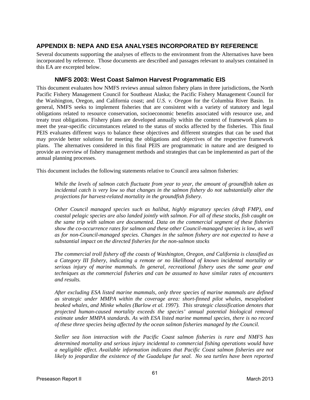## **APPENDIX B: NEPA AND ESA ANALYSES INCORPORATED BY REFERENCE**

Several documents supporting the analyses of effects to the environment from the Alternatives have been incorporated by reference. Those documents are described and passages relevant to analyses contained in this EA are excerpted below.

## **NMFS 2003: West Coast Salmon Harvest Programmatic EIS**

This document evaluates how NMFS reviews annual salmon fishery plans in three jurisdictions, the North Pacific Fishery Management Council for Southeast Alaska; the Pacific Fishery Management Council for the Washington, Oregon, and California coast; and *U.S. v. Oregon* for the Columbia River Basin. In general, NMFS seeks to implement fisheries that are consistent with a variety of statutory and legal obligations related to resource conservation, socioeconomic benefits associated with resource use, and treaty trust obligations. Fishery plans are developed annually within the context of framework plans to meet the year-specific circumstances related to the status of stocks affected by the fisheries. This final PEIS evaluates different ways to balance these objectives and different strategies that can be used that may provide better solutions for meeting the obligations and objectives of the respective framework plans. The alternatives considered in this final PEIS are programmatic in nature and are designed to provide an overview of fishery management methods and strategies that can be implemented as part of the annual planning processes.

This document includes the following statements relative to Council area salmon fisheries:

*While the levels of salmon catch fluctuate from year to year, the amount of groundfish taken as incidental catch is very low so that changes in the salmon fishery do not substantially alter the projections for harvest-related mortality in the groundfish fishery.* 

*Other Council managed species such as halibut, highly migratory species (draft FMP), and coastal pelagic species are also landed jointly with salmon. For all of these stocks, fish caught on the same trip with salmon are documented. Data on the commercial segment of these fisheries show the co-occurrence rates for salmon and these other Council-managed species is low, as well as for non-Council-managed species. Changes in the salmon fishery are not expected to have a substantial impact on the directed fisheries for the non-salmon stocks* 

*The commercial troll fishery off the coasts of Washington, Oregon, and California is classified as a Category III fishery, indicating a remote or no likelihood of known incidental mortality or serious injury of marine mammals. In general, recreational fishery uses the same gear and techniques as the commercial fisheries and can be assumed to have similar rates of encounters and results.* 

*After excluding ESA listed marine mammals, only three species of marine mammals are defined as strategic under MMPA within the coverage area: short-finned pilot whales, mesoplodont beaked whales, and Minke whales (Barlow et al. 1997). This strategic classification denotes that projected human-caused mortality exceeds the species' annual potential biological removal estimate under MMPA standards. As with ESA listed marine mammal species, there is no record of these three species being affected by the ocean salmon fisheries managed by the Council.* 

*Steller sea lion interaction with the Pacific Coast salmon fisheries is rare and NMFS has determined mortality and serious injury incidental to commercial fishing operations would have a negligible effect. Available information indicates that Pacific Coast salmon fisheries are not likely to jeopardize the existence of the Guadalupe fur seal. No sea turtles have been reported*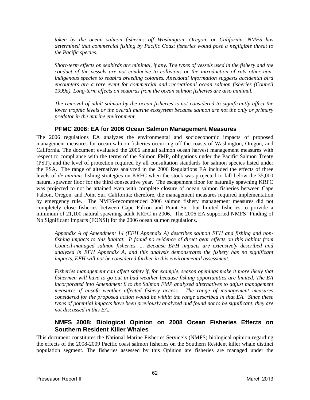*taken by the ocean salmon fisheries off Washington, Oregon, or California. NMFS has determined that commercial fishing by Pacific Coast fisheries would pose a negligible threat to the Pacific species.* 

*Short-term effects on seabirds are minimal, if any. The types of vessels used in the fishery and the conduct of the vessels are not conducive to collisions or the introduction of rats other nonindigenous species to seabird breeding colonies. Anecdotal information suggests accidental bird encounters are a rare event for commercial and recreational ocean salmon fisheries (Council 1999a). Long-term effects on seabirds from the ocean salmon fisheries are also minimal.* 

*The removal of adult salmon by the ocean fisheries is not considered to significantly affect the lower trophic levels or the overall marine ecosystem because salmon are not the only or primary predator in the marine environment.* 

## **PFMC 2006: EA for 2006 Ocean Salmon Management Measures**

The 2006 regulations EA analyzes the environmental and socioeconomic impacts of proposed management measures for ocean salmon fisheries occurring off the coasts of Washington, Oregon, and California. The document evaluated the 2006 annual salmon ocean harvest management measures with respect to compliance with the terms of the Salmon FMP, obligations under the Pacific Salmon Treaty (PST), and the level of protection required by all consultation standards for salmon species listed under the ESA. The range of alternatives analyzed in the 2006 Regulations EA included the effects of three levels of *de minimis* fishing strategies on KRFC when the stock was projected to fall below the 35,000 natural spawner floor for the third consecutive year. The escapement floor for naturally spawning KRFC was projected to not be attained even with complete closure of ocean salmon fisheries between Cape Falcon, Oregon, and Point Sur, California; therefore, the management measures required implementation by emergency rule. The NMFS-recommended 2006 salmon fishery management measures did not completely close fisheries between Cape Falcon and Point Sur, but limited fisheries to provide a minimum of 21,100 natural spawning adult KRFC in 2006. The 2006 EA supported NMFS' Finding of No Significant Impacts (FONSI) for the 2006 ocean salmon regulations.

*Appendix A of Amendment 14 (EFH Appendix A) describes salmon EFH and fishing and nonfishing impacts to this habitat. It found no evidence of direct gear effects on this habitat from Council-managed salmon fisheries. ... Because EFH impacts are extensively described and analyzed in EFH Appendix A, and this analysis demonstrates the fishery has no significant impacts, EFH will not be considered further in this environmental assessment.* 

*Fisheries management can affect safety if, for example, season openings make it more likely that fishermen will have to go out in bad weather because fishing opportunities are limited. The EA incorporated into Amendment 8 to the Salmon FMP analyzed alternatives to adjust management measures if unsafe weather affected fishery access. The range of management measures considered for the proposed action would be within the range described in that EA. Since these types of potential impacts have been previously analyzed and found not to be significant, they are not discussed in this EA.*

## **NMFS 2008: Biological Opinion on 2008 Ocean Fisheries Effects on Southern Resident Killer Whales**

This document constitutes the National Marine Fisheries Service's (NMFS) biological opinion regarding the effects of the 2008-2009 Pacific coast salmon fisheries on the Southern Resident killer whale distinct population segment. The fisheries assessed by this Opinion are fisheries are managed under the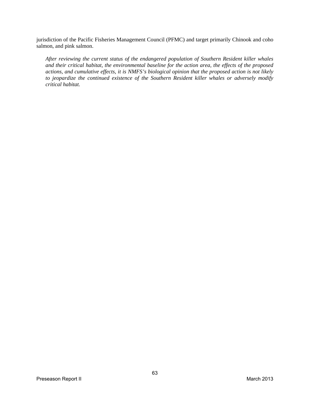jurisdiction of the Pacific Fisheries Management Council (PFMC) and target primarily Chinook and coho salmon, and pink salmon.

*After reviewing the current status of the endangered population of Southern Resident killer whales and their critical habitat, the environmental baseline for the action area, the effects of the proposed actions, and cumulative effects, it is NMFS's biological opinion that the proposed action is not likely to jeopardize the continued existence of the Southern Resident killer whales or adversely modify critical habitat.*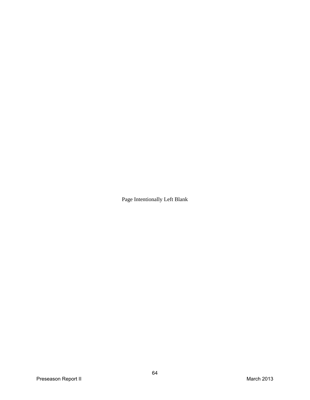Page Intentionally Left Blank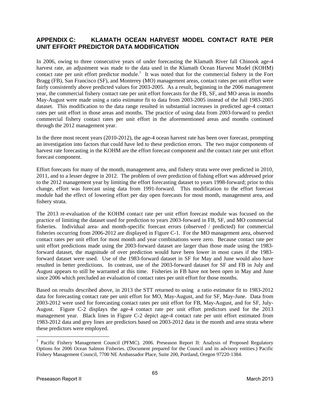## **APPENDIX C: KLAMATH OCEAN HARVEST MODEL CONTACT RATE PER UNIT EFFORT PREDICTOR DATA MODIFICATION**

In 2006, owing to three consecutive years of under forecasting the Klamath River fall Chinook age-4 harvest rate, an adjustment was made to the data used in the Klamath Ocean Harvest Model (KOHM) contact rate per unit effort predictor module.<sup>1</sup> It was noted that for the commercial fishery in the Fort Bragg (FB), San Francisco (SF), and Monterey (MO) management areas, contact rates per unit effort were fairly consistently above predicted values for 2003-2005. As a result, beginning in the 2006 management year, the commercial fishery contact rate per unit effort forecasts for the FB, SF, and MO areas in months May-August were made using a ratio estimator fit to data from 2003-2005 instead of the full 1983-2005 dataset. This modification to the data range resulted in substantial increases in predicted age-4 contact rates per unit effort in those areas and months. The practice of using data from 2003-forward to predict commercial fishery contact rates per unit effort in the aforementioned areas and months continued through the 2012 management year.

In the three most recent years (2010-2012), the age-4 ocean harvest rate has been over forecast, prompting an investigation into factors that could have led to these prediction errors. The two major components of harvest rate forecasting in the KOHM are the effort forecast component and the contact rate per unit effort forecast component.

Effort forecasts for many of the month, management area, and fishery strata were over predicted in 2010, 2011, and to a lesser degree in 2012. The problem of over prediction of fishing effort was addressed prior to the 2012 management year by limiting the effort forecasting dataset to years 1998-forward; prior to this change, effort was forecast using data from 1991-forward. This modification to the effort forecast module had the effect of lowering effort per day open forecasts for most month, management area, and fishery strata.

The 2013 re-evaluation of the KOHM contact rate per unit effort forecast module was focused on the practice of limiting the dataset used for prediction to years 2003-forward in FB, SF, and MO commercial fisheries. Individual area- and month-specific forecast errors (observed / predicted) for commercial fisheries occurring from 2006-2012 are displayed in Figure C-1. For the MO management area, observed contact rates per unit effort for most month and year combinations were zero. Because contact rate per unit effort predictions made using the 2003-forward dataset are larger than those made using the 1983 forward dataset, the magnitude of over prediction would have been lower in most cases if the 1983 forward dataset were used. Use of the 1983-forward dataset in SF for May and June would also have resulted in better predictions. In contrast, use of the 2003-forward dataset for SF and FB in July and August appears to still be warranted at this time. Fisheries in FB have not been open in May and June since 2006 which precluded an evaluation of contact rates per unit effort for those months.

Based on results described above, in 2013 the STT returned to using a ratio estimator fit to 1983-2012 data for forecasting contact rate per unit effort for MO, May-August, and for SF, May-June. Data from 2003-2012 were used for forecasting contact rates per unit effort for FB, May-August, and for SF, July-August. Figure C-2 displays the age-4 contact rate per unit effort predictors used for the 2013 management year. Black lines in Figure C-2 depict age-4 contact rate per unit effort estimated from 1983-2012 data and grey lines are predictors based on 2003-2012 data in the month and area strata where these predictors were employed.

-

<sup>&</sup>lt;sup>1</sup> Pacific Fishery Management Council (PFMC). 2006. Preseason Report II: Analysis of Proposed Regulatory Options for 2006 Ocean Salmon Fisheries. (Document prepared for the Council and its advisory entities.) Pacific Fishery Management Council, 7700 NE Ambassador Place, Suite 200, Portland, Oregon 97220-1384.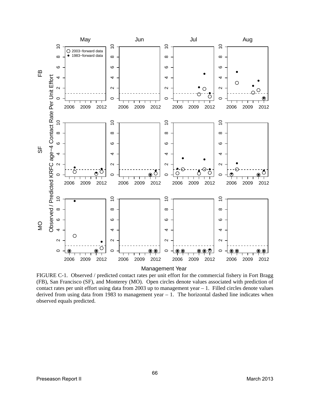

FIGURE C-1. Observed / predicted contact rates per unit effort for the commercial fishery in Fort Bragg (FB), San Francisco (SF), and Monterey (MO). Open circles denote values associated with prediction of contact rates per unit effort using data from 2003 up to management year – 1. Filled circles denote values derived from using data from 1983 to management year  $-1$ . The horizontal dashed line indicates when observed equals predicted.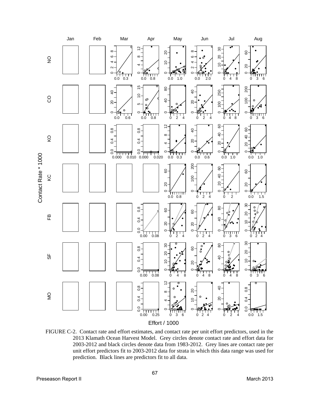

FIGURE C-2. Contact rate and effort estimates, and contact rate per unit effort predictors, used in the 2013 Klamath Ocean Harvest Model. Grey circles denote contact rate and effort data for 2003-2012 and black circles denote data from 1983-2012. Grey lines are contact rate per unit effort predictors fit to 2003-2012 data for strata in which this data range was used for prediction. Black lines are predictors fit to all data.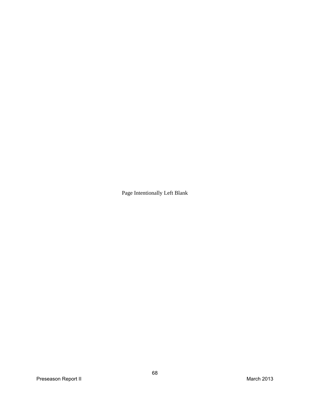Page Intentionally Left Blank